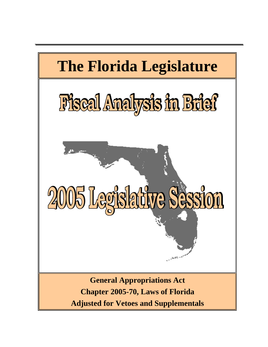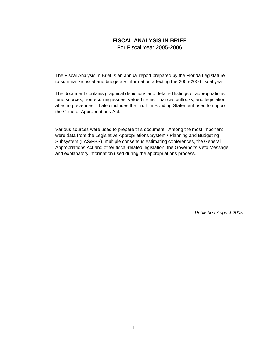### **FISCAL ANALYSIS IN BRIEF**

For Fiscal Year 2005-2006

The Fiscal Analysis in Brief is an annual report prepared by the Florida Legislature to summarize fiscal and budgetary information affecting the 2005-2006 fiscal year.

The document contains graphical depictions and detailed listings of appropriations, fund sources, nonrecurring issues, vetoed items, financial outlooks, and legislation affecting revenues. It also includes the Truth in Bonding Statement used to support the General Appropriations Act.

Various sources were used to prepare this document. Among the most important were data from the Legislative Appropriations System / Planning and Budgeting Subsystem (LAS/PBS), multiple consensus estimating conferences, the General Appropriations Act and other fiscal-related legislation, the Governor's Veto Message and explanatory information used during the appropriations process.

*Published August 2005*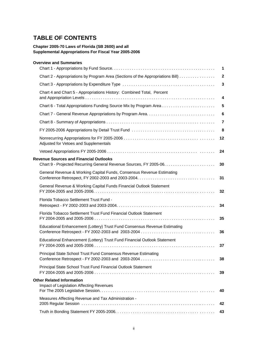## **TABLE OF CONTENTS**

### **Chapter 2005-70 Laws of Florida (SB 2600) and all Supplemental Appropriations For Fiscal Year 2005-2006**

### **Overview and Summaries**

|                                                                                     | $\mathbf 1$             |
|-------------------------------------------------------------------------------------|-------------------------|
| Chart 2 - Appropriations by Program Area (Sections of the Appropriations Bill)      | $\boldsymbol{2}$        |
|                                                                                     | $\mathbf{3}$            |
| Chart 4 and Chart 5 - Appropriations History: Combined Total, Percent               | 4                       |
|                                                                                     | 5                       |
|                                                                                     | $6\phantom{1}6$         |
|                                                                                     | $\overline{\mathbf{7}}$ |
|                                                                                     | 8                       |
| Adjusted for Vetoes and Supplementals                                               | 12                      |
|                                                                                     | 24                      |
| <b>Revenue Sources and Financial Outlooks</b>                                       | 30                      |
| General Revenue & Working Capital Funds, Consensus Revenue Estimating               | 31                      |
| General Revenue & Working Capital Funds Financial Outlook Statement                 | 32                      |
| Florida Tobacco Settlement Trust Fund -                                             | 34                      |
| Florida Tobacco Settlement Trust Fund Financial Outlook Statement                   | 35                      |
| Educational Enhancement (Lottery) Trust Fund Consensus Revenue Estimating           | 36                      |
| Educational Enhancement (Lottery) Trust Fund Financial Outlook Statement            | 37                      |
| Principal State School Trust Fund Consensus Revenue Estimating                      | 38                      |
| Principal State School Trust Fund Financial Outlook Statement                       | 39                      |
| <b>Other Related Information</b><br><b>Impact of Legislation Affecting Revenues</b> | 40                      |
| Measures Affecting Revenue and Tax Administration -                                 | 42                      |
|                                                                                     | 43                      |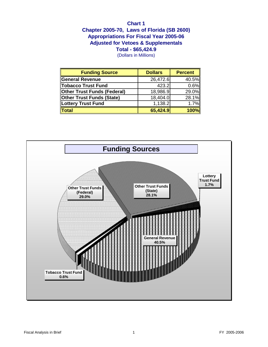## **Chapter 2005-70, Laws of Florida (SB 2600) Chart 1 Total - \$65,424.9 Appropriations For Fiscal Year 2005-06 Adjusted for Vetoes & Supplementals**

(Dollars in Millions)

| <b>Funding Source</b>       | <b>Dollars</b> | <b>Percent</b> |
|-----------------------------|----------------|----------------|
| <b>General Revenue</b>      | 26,472.6       | 40.5%          |
| <b>Tobacco Trust Fund</b>   | 423.2          | 0.6%           |
| Other Trust Funds (Federal) | 18,986.9       | 29.0%          |
| Other Trust Funds (State)   | 18,404.0       | 28.1%          |
| Lottery Trust Fund          | 1,138.2        | 1.7%           |
| <b>Total</b>                | 65,424.9       | <b>100%</b>    |

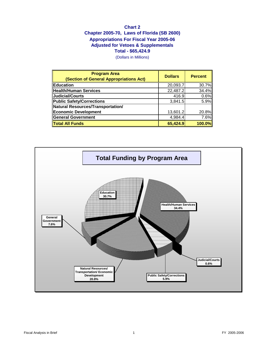## **Chart 2 Chapter 2005-70, Laws of Florida (SB 2600) Appropriations For Fiscal Year 2005-06 Adjusted for Vetoes & Supplementals Total - \$65,424.9**

(Dollars in Millions)

| <b>Program Area</b><br>(Section of General Appropriations Act) | <b>Dollars</b> | <b>Percent</b> |
|----------------------------------------------------------------|----------------|----------------|
| <b>Education</b>                                               | 20,093.7       | 30.7%          |
| Health/Human Services                                          | 22,487.2       | 34.4%          |
| Judicial/Courts                                                | 416.9          | 0.6%           |
| Public Safety/Corrections                                      | 3,841.5        | 5.9%           |
| Natural Resources/Transportation/                              |                |                |
| <b>Economic Development</b>                                    | 13,601.2       | 20.8%          |
| General Government                                             | 4,984.4        | 7.6%           |
| <b>Total All Funds</b>                                         | 65,424.9       | 100.0%         |

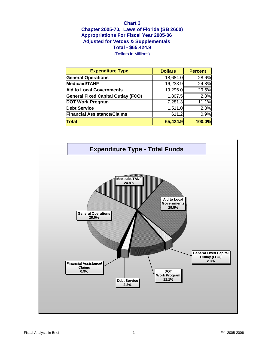### **Chart 3 Chapter 2005-70, Laws of Florida (SB 2600) Total - \$65,424.9 Appropriations For Fiscal Year 2005-06 Adjusted for Vetoes & Supplementals**

(Dollars in Millions)

| <b>Expenditure Type</b>                   | <b>Dollars</b> | <b>Percent</b> |  |
|-------------------------------------------|----------------|----------------|--|
| <b>General Operations</b>                 | 18,684.0       | 28.6%          |  |
| Medicaid/TANF                             | 16,233.9       | 24.8%          |  |
| Aid to Local Governments                  | 19,296.0       | 29.5%          |  |
| <b>General Fixed Capital Outlay (FCO)</b> | 1,807.5        | 2.8%           |  |
| DOT Work Program                          | 7,281.3        | 11.1%          |  |
| Debt Service                              | 1,511.0        | 2.3%           |  |
| Financial Assistance/Claims               | 611.2          | 0.9%           |  |
| <b>Total</b>                              | 65,424.9       | <b>100.0%</b>  |  |

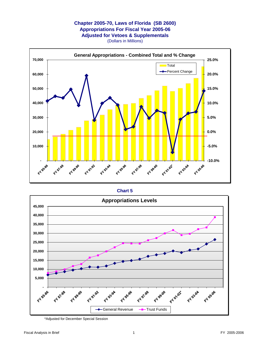### **Chapter 2005-70, Laws of Florida (SB 2600) Appropriations For Fiscal Year 2005-06 Adjusted for Vetoes & Supplementals** (Dollars in Millions)



### **Chart 5**



\*Adjusted for December Special Session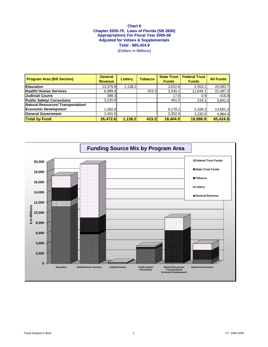(Dollars in Millions)

| <b>Program Area (Bill Section)</b> | <b>General</b><br><b>Revenue</b> | <b>Lottery</b> | <b>Tobacco</b> | <b>State Trust</b><br><b>Funds</b> | <b>Federal Trust</b><br><b>Funds</b> | <b>All Funds</b> |
|------------------------------------|----------------------------------|----------------|----------------|------------------------------------|--------------------------------------|------------------|
| <b>Education</b>                   | 13,379.8                         | 1,138.2        |                | 3,022.6                            | 2,553.1                              | 20,093.7         |
| Health/ Human Services             | 6,989.8                          |                | 423.2          | 3,430.1                            | 11,644.1                             | 22,487.2         |
| Judicial/ Courts                   | 398.3                            |                |                | 17.8                               | 0.9                                  | 416.9            |
| Public Safety/ Corrections         | 3,220.9                          |                |                | 401.5                              | 219.1                                | 3,841.5          |
| Natural Resources/ Transportation/ |                                  |                |                |                                    |                                      |                  |
| Economic Development               | 1,082.8                          |                |                | 9,179.2                            | 3,339.2                              | 13,601.2         |
| General Government                 | 1,401.0                          |                |                | 2,352.9                            | 1,230.5                              | 4,984.4          |
| <b>Total by Fund</b>               | 26,472.6                         | 1,138.2        | 423.2          | 18,404.0                           | 18,986.9                             | 65,424.9         |

### **Chart 6 Chapter 2005-70, Laws of Florida (SB 2600) Appropriations For Fiscal Year 2005-06 Adjusted for Vetoes & Supplementals Total - \$65,424.9**

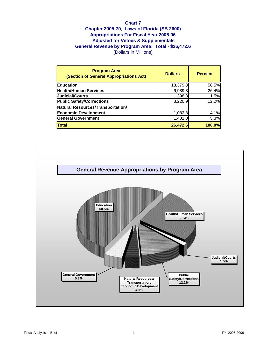### **Chart 7 Chapter 2005-70, Laws of Florida (SB 2600) Appropriations For Fiscal Year 2005-06 Adjusted for Vetoes & Supplementals General Revenue by Program Area: Total - \$26,472.6** (Dollars in Millions)

| <b>Program Area</b><br>(Section of General Appropriations Act) | <b>Dollars</b> | <b>Percent</b> |
|----------------------------------------------------------------|----------------|----------------|
| Education                                                      | 13,379.8       | 50.5%          |
| Health/Human Services                                          | 6,989.8        | 26.4%          |
| Judicial/Courts                                                | 398.3          | 1.5%           |
| Public Safety/Corrections                                      | 3,220.9        | 12.2%          |
| Natural Resources/Transportation/                              |                |                |
| Economic Development                                           | 1,082.8        | 4.1%           |
| General Government                                             | 1,401.0        | 5.3%           |
| $\ $ Total                                                     | 26,472.6       | $100.0\%$      |

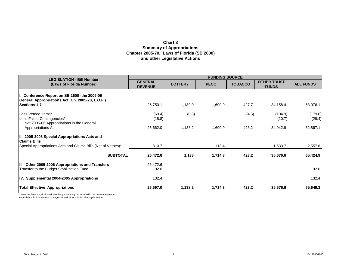## **Chart 8 Summary of Appropriations Chapter 2005-70, Laws of Florida (SB 2600) and other Legislative Actions**

| <b>LEGISLATION - Bill Number</b>                                                                 |                                  |                | <b>FUNDING SOURCE</b> |                |                                    |                   |
|--------------------------------------------------------------------------------------------------|----------------------------------|----------------|-----------------------|----------------|------------------------------------|-------------------|
| (Laws of Florida Number)                                                                         | <b>GENERAL</b><br><b>REVENUE</b> | <b>LOTTERY</b> | <b>PECO</b>           | <b>TOBACCO</b> | <b>OTHER TRUST</b><br><b>FUNDS</b> | <b>ALL FUNDS</b>  |
| I. Conference Report on SB 2600 -the 2005-06<br>General Appropriations Act (Ch. 2005-70, L.O.F.) |                                  |                |                       |                |                                    |                   |
| <b>Sections 1-7</b>                                                                              | 25,750.1                         | 1,139.0        | 1,600.9               | 427.7          | 34,158.4                           | 63,076.1          |
| Less Vetoed Items*<br>Less Failed Contingencies*                                                 | (69.4)<br>(18.8)                 | (0.8)          |                       | (4.5)          | (104.9)<br>(10.7)                  | (179.6)<br>(29.4) |
| Net 2005-06 Appropriations in the General<br><b>Appropriations Act</b>                           | 25,662.0                         | 1,138.2        | 1,600.9               | 423.2          | 34,042.9                           | 62,867.1          |
| III. 2005-2006 Special Appropriations Acts and<br><b>Claims Bills</b>                            |                                  |                |                       |                |                                    |                   |
| Special Appropriations Acts and Claims Bills (Net of Vetoes)*                                    | 810.7                            |                | 113.4                 |                | 1,633.7                            | 2,557.8           |
| <b>SUBTOTAL</b>                                                                                  | 26,472.6                         | 1,138          | 1,714.3               | 423.2          | 35,676.6                           | 65,424.9          |
| III. Other 2005-2006 Appropriations and Transfers<br>Transfer to the Budget Stabilization Fund   | 26,472.6<br>92.0                 |                |                       |                |                                    | 92.0              |
| IV. Supplemental 2004-2005 Appropriations                                                        | 132.4                            |                |                       |                |                                    | 132.4             |
| <b>Total Effective Appropriations</b>                                                            | 26,697.0                         | 1,138.2        | 1,714.3               | 423.2          | 35,676.6                           | 65,649.3          |

\* Amounts listed may include double budget authority not included in the General Revenue

Financial Outlook Statement on Pages 32 and 33 of this Fiscal Analysis in Brief.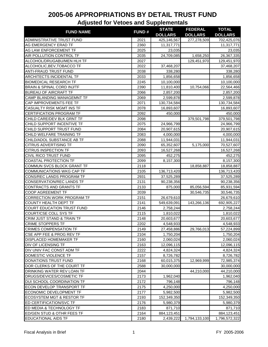| <b>FUND NAME</b>                     | <b>FUND#</b> | <b>STATE</b>   | <b>FEDERAL</b> | <b>TOTAL</b>   |
|--------------------------------------|--------------|----------------|----------------|----------------|
|                                      |              | <b>DOLLARS</b> | <b>DOLLARS</b> | <b>DOLLARS</b> |
| <b>ADMINISTRATIVE TRUST FUND</b>     | 2021         | 425,146,567    | 277,278,509    | 702,425,076    |
| <b>AG EMERGENCY ERAD TF</b>          | 2360         | 11,317,771     |                | 11,317,771     |
| <b>AG LAW ENFORCEMENT TF</b>         | 2025         | 23,035         |                | 23,035         |
| AIR POLLUTION CONTROL TF             | 2035         | 24,709,085     | 1,658,250      | 26,367,335     |
| ALCOHOL/DRUGABU/MEN HLH TF           | 2027         |                | 129,451,970    | 129,451,970    |
| ALCOHOLIC, BEV, TOBACCO TF           | 2022         | 37,468,207     |                | 37,468,207     |
| <b>ANTI-FRAUD TRUST FUND</b>         | 2038         | 338,280        |                | 338,280        |
| <b>ARCHITECTS INCIDENTAL TF</b>      | 2033         | 1,856,658      |                | 1,856,658      |
| <b>BIOMEDICAL RESEARCH TF</b>        | 2245         | 10,100,000     |                | 10,100,000     |
| BRAIN & SPINAL CORD INJ/TF           | 2390         | 11,810,400     | 10,754,066     | 22,564,466     |
| <b>BUREAU OF AIRCRAFT TF</b>         | 2066         | 2,857,200      |                | 2,857,200      |
| CAMP BLANDING MANAGEMNT TF           | 2069         | 2,599,878      |                | 2,599,878      |
| CAP IMPROVEMENTS FEE TF              | 2071         | 130,734,584    |                | 130,734,584    |
| <b>CASUALTY RISK MGMT INS TF</b>     | 2078         | 16,893,607     |                | 16,893,607     |
| CERTIFICATION PROGRAM TF             | 2092         | 450,000        |                | 450,000        |
| CHILD CARE/DEV BLK GRNT TF           | 2098         |                | 379,501,798    | 379,501,798    |
| CHILD SUPPORT INCENTIVE TF           | 2075         | 24,966,799     |                | 24,966,799     |
| CHILD SUPPORT TRUST FUND             | 2084         | 20,907,615     |                | 20,907,615     |
| CHILD WELFARE TRAINING TF            | 2083         | 4,000,000      |                | 4,000,000      |
| CHILD/ADOL SUBSTANCE AB TF           | 2088         | 11,944,031     |                | 11,944,031     |
| <b>CITRUS ADVERTISING TF</b>         | 2090         | 65,352,607     | 5,175,000      | 70,527,607     |
| <b>CITRUS INSPECTION TF</b>          | 2093         | 16,527,268     |                | 16,527,268     |
| <b>CIVIL RICO TRUST FUND</b>         | 2095         | 452,275        |                | 452,275        |
| <b>COASTAL PROTECTION TF</b>         | 2099         | 8,157,300      |                | 8,157,300      |
| COMMUN SVCS BLOCK GRANT TF           | 2118         |                | 18,858,887     | 18,858,887     |
| COMMUNICATIONS WKG CAP TF            | 2105         | 136,713,420    |                | 136,713,420    |
| CONS/REC LANDS PROGRAM TF            | 2931         | 37,525,289     |                | 37,525,289     |
| <b>CONSERVATION/REC LANDS TF</b>     | 2131         | 90,238,356     |                | 90,238,356     |
| CONTRACTS AND GRANTS TF              | 2133         | 875,000        | 85,056,594     | 85,931,594     |
| <b>COOP AGREEMENT TF</b>             | 2039         |                | 30,546,735     | 30,546,735     |
| <b>CORRECTION WORK PROGRAM TF</b>    | 2151         | 26,679,610     |                | 26,679,610     |
| <b>COUNTY HEALTH DEPT TF</b>         | 2141         | 549,639,091    | 143,266,136    | 692,905,227    |
| COURT EDUCATION TRUST FUND           | 2146         | 2,758,244      |                | 2,758,244      |
| COURT/CSE COLL SYS TF                | 2115         | 1,810,022      |                | 1,810,022      |
| CRIM JUST STAND & TRAIN TF           | 2148         | 20,603,677     |                | 20,603,677     |
| <b>CRIME STOPPERS TF</b>             | 2202         | 4,548,933      |                | 4,548,933      |
| <b>CRIMES COMPENSATION TF</b>        | 2149         | 27,458,886     | 29,766,013     | 57,224,899     |
| CSE APP FEE & PROG REV TF            | 2104         | 1,750,204      |                | 1,750,204      |
| <b>DISPLACED HOMEMAKER TF</b>        | 2160         | 2,060,024      |                | 2,060,024      |
| <b>DIV OF LICENSING TF</b>           | 2163         | 12,096,115     |                | 12,096,115     |
| DIV UNIV FAC CONST ADM TF            | 2222         | 4,824,324      |                | 4,824,324      |
| DOMESTIC VIOLENCE TF                 | 2157         | 8,726,782      |                | 8,726,782      |
| DONATIONS TRUST FUND                 | 2168         | 60,015,375     | 12,969,999     | 72,985,374     |
| DOR CLERKS OF THE COURT TF           | 2588         | 30,000,000     |                | 30,000,000     |
| DRINKING WATER REV LOAN TF           | 2044         |                | 44,210,000     | 44,210,000     |
| <b>DRUGS/DEVICES/COSMETIC TF</b>     | 2173         | 1,962,040      |                | 1,962,040      |
| DUI SCHOOL COORDINATION TF           | 2172         | 796,148        |                | 796,148        |
| <b>ECON DEVELOP TRANSPORT TF</b>     | 2175         | 4,250,000      |                | 4,250,000      |
| <b>ECONOMIC DEVELOPMENT TF</b>       | 2177         | 5,982,500      |                | 5,982,500      |
| <b>ECOSYSTEM MGT &amp; RESTOR TF</b> | 2193         | 152,349,350    |                | 152,349,350    |
| ED CERTIFICATION/SVC TF              | 2176         | 5,980,379      |                | 5,980,379      |
| ED MEDIA & TECHNOLOGY TF             | 2183         | 871,710        |                | 871,710        |
| ED/GEN STUD & OTHR FEES TF           | 2164         | 884,123,451    |                | 884,123,451    |
| <b>EDUCATIONAL AIDS TF</b>           | 2180         | 2,439,222      | 1,794,133,100  | 1,796,572,322  |
|                                      |              |                |                |                |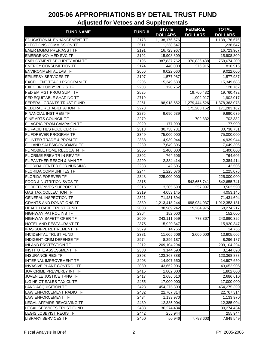| <b>FUND#</b><br><b>FUND NAME</b><br><b>DOLLARS</b><br><b>DOLLARS</b><br><b>DOLLARS</b><br>2178<br>1,138,176,676<br>1,138,176,676<br>2511<br>1,238,647<br>1,238,647<br>2191<br>16,723,967<br>16,723,967<br>2192<br>15,908,809<br>15,908,809<br>370,836,438<br>2195<br>387,837,762<br>758,674,200<br>2174<br>376,915<br>440,000<br>816,915<br>2050<br>9,022,060<br>9,022,060<br>2197<br>1,577,987<br>1,577,987<br>2206<br>15,349,688<br>15,349,688<br>2203<br>120,762<br>120,762<br>2525<br>19,760,432<br>19,760,432<br>2719<br>1,902,017<br>1,902,017<br>2261<br>1,279,444,526<br>1,378,363,078<br>98,918,552<br>2270<br>171,283,162<br>171,283,162<br>2275<br>9,690,639<br>9,690,639<br>702,332<br>2279<br>702,332<br>2920<br>177,990<br>177,990<br>2313<br>30,738,731<br>30,738,731<br>2349<br>75,000,000<br>75,000,000<br>2338<br>4,939,944<br>4,939,944<br>2289<br>7,649,306<br>7,649,306<br>2865<br>1,400,000<br>1,400,000 |                                     |      | <b>STATE</b> | <b>FEDERAL</b> | <b>TOTAL</b> |
|--------------------------------------------------------------------------------------------------------------------------------------------------------------------------------------------------------------------------------------------------------------------------------------------------------------------------------------------------------------------------------------------------------------------------------------------------------------------------------------------------------------------------------------------------------------------------------------------------------------------------------------------------------------------------------------------------------------------------------------------------------------------------------------------------------------------------------------------------------------------------------------------------------------------------------|-------------------------------------|------|--------------|----------------|--------------|
|                                                                                                                                                                                                                                                                                                                                                                                                                                                                                                                                                                                                                                                                                                                                                                                                                                                                                                                                |                                     |      |              |                |              |
|                                                                                                                                                                                                                                                                                                                                                                                                                                                                                                                                                                                                                                                                                                                                                                                                                                                                                                                                | EDUCATIONAL ENHANCEMENT TF          |      |              |                |              |
|                                                                                                                                                                                                                                                                                                                                                                                                                                                                                                                                                                                                                                                                                                                                                                                                                                                                                                                                | <b>ELECTIONS COMMISSION TF</b>      |      |              |                |              |
|                                                                                                                                                                                                                                                                                                                                                                                                                                                                                                                                                                                                                                                                                                                                                                                                                                                                                                                                | <b>EMER MGMG PREP/ASST TF</b>       |      |              |                |              |
|                                                                                                                                                                                                                                                                                                                                                                                                                                                                                                                                                                                                                                                                                                                                                                                                                                                                                                                                | <b>EMERGENCY MED SVC TF</b>         |      |              |                |              |
|                                                                                                                                                                                                                                                                                                                                                                                                                                                                                                                                                                                                                                                                                                                                                                                                                                                                                                                                | <b>EMPLOYMENT SECURITY ADM TF</b>   |      |              |                |              |
|                                                                                                                                                                                                                                                                                                                                                                                                                                                                                                                                                                                                                                                                                                                                                                                                                                                                                                                                | <b>ENERGY CONSUMPTION TF</b>        |      |              |                |              |
|                                                                                                                                                                                                                                                                                                                                                                                                                                                                                                                                                                                                                                                                                                                                                                                                                                                                                                                                | <b>ENVIRONMENTAL LAB TF</b>         |      |              |                |              |
|                                                                                                                                                                                                                                                                                                                                                                                                                                                                                                                                                                                                                                                                                                                                                                                                                                                                                                                                | <b>EPILEPSY SERVICES TF</b>         |      |              |                |              |
|                                                                                                                                                                                                                                                                                                                                                                                                                                                                                                                                                                                                                                                                                                                                                                                                                                                                                                                                | <b>EXCELLENT TEACH PROGRAM TF</b>   |      |              |                |              |
|                                                                                                                                                                                                                                                                                                                                                                                                                                                                                                                                                                                                                                                                                                                                                                                                                                                                                                                                | <b>EXEC BR LOBBY REGIS TF</b>       |      |              |                |              |
|                                                                                                                                                                                                                                                                                                                                                                                                                                                                                                                                                                                                                                                                                                                                                                                                                                                                                                                                | FED EM MGT PROG SUPT TF             |      |              |                |              |
|                                                                                                                                                                                                                                                                                                                                                                                                                                                                                                                                                                                                                                                                                                                                                                                                                                                                                                                                | FED EQUITABLE SHARING TF            |      |              |                |              |
|                                                                                                                                                                                                                                                                                                                                                                                                                                                                                                                                                                                                                                                                                                                                                                                                                                                                                                                                | FEDERAL GRANTS TRUST FUND           |      |              |                |              |
|                                                                                                                                                                                                                                                                                                                                                                                                                                                                                                                                                                                                                                                                                                                                                                                                                                                                                                                                | FEDERAL REHABILITATION TF           |      |              |                |              |
|                                                                                                                                                                                                                                                                                                                                                                                                                                                                                                                                                                                                                                                                                                                                                                                                                                                                                                                                | FINANCIAL INST REG TF               |      |              |                |              |
|                                                                                                                                                                                                                                                                                                                                                                                                                                                                                                                                                                                                                                                                                                                                                                                                                                                                                                                                | FINE ARTS COUNCIL TF                |      |              |                |              |
|                                                                                                                                                                                                                                                                                                                                                                                                                                                                                                                                                                                                                                                                                                                                                                                                                                                                                                                                | FL AGRIC PROM CAMPAIGN TF           |      |              |                |              |
|                                                                                                                                                                                                                                                                                                                                                                                                                                                                                                                                                                                                                                                                                                                                                                                                                                                                                                                                | FL FACILITIES POOL CLR TF           |      |              |                |              |
|                                                                                                                                                                                                                                                                                                                                                                                                                                                                                                                                                                                                                                                                                                                                                                                                                                                                                                                                | FL FOREVER PROGRAM TF               |      |              |                |              |
|                                                                                                                                                                                                                                                                                                                                                                                                                                                                                                                                                                                                                                                                                                                                                                                                                                                                                                                                | FL INTER TRADE & PROM TF            |      |              |                |              |
|                                                                                                                                                                                                                                                                                                                                                                                                                                                                                                                                                                                                                                                                                                                                                                                                                                                                                                                                | FL LAND SALES/CONDO/MBL TF          |      |              |                |              |
|                                                                                                                                                                                                                                                                                                                                                                                                                                                                                                                                                                                                                                                                                                                                                                                                                                                                                                                                | FL MOBILE HOME RELOCATN TF          |      |              |                |              |
|                                                                                                                                                                                                                                                                                                                                                                                                                                                                                                                                                                                                                                                                                                                                                                                                                                                                                                                                | FL.CRIME PREV TR IN REV TF          | 2302 | 764,606      |                | 764,606      |
| 2,384,414<br>2299<br>2,384,414                                                                                                                                                                                                                                                                                                                                                                                                                                                                                                                                                                                                                                                                                                                                                                                                                                                                                                 | FL.PANTHER RESCH & MAN TF           |      |              |                |              |
| 42,506<br>2283<br>42,506                                                                                                                                                                                                                                                                                                                                                                                                                                                                                                                                                                                                                                                                                                                                                                                                                                                                                                       | FLORIDA CENTER FOR NURSING          |      |              |                |              |
| 2244<br>1,225,076<br>1,225,076                                                                                                                                                                                                                                                                                                                                                                                                                                                                                                                                                                                                                                                                                                                                                                                                                                                                                                 | <b>FLORIDA COMMUNITIES TF</b>       |      |              |                |              |
| 2348<br>225,000,000<br>225,000,000                                                                                                                                                                                                                                                                                                                                                                                                                                                                                                                                                                                                                                                                                                                                                                                                                                                                                             | <b>FLORIDA FOREVER TF</b>           |      |              |                |              |
| 2315<br>542,655,741<br>542,655,741                                                                                                                                                                                                                                                                                                                                                                                                                                                                                                                                                                                                                                                                                                                                                                                                                                                                                             | <b>FOOD &amp; NUTRITION SVCS TF</b> |      |              |                |              |
| 2316<br>3,305,593<br>257,997<br>3,563,590                                                                                                                                                                                                                                                                                                                                                                                                                                                                                                                                                                                                                                                                                                                                                                                                                                                                                      | FORFEIT/INVES SUPPORT TF            |      |              |                |              |
| 2319<br>4,053,145<br>4,053,145                                                                                                                                                                                                                                                                                                                                                                                                                                                                                                                                                                                                                                                                                                                                                                                                                                                                                                 | <b>GAS TAX COLLECTION TF</b>        |      |              |                |              |
| 2321<br>71,431,694<br>71,431,694                                                                                                                                                                                                                                                                                                                                                                                                                                                                                                                                                                                                                                                                                                                                                                                                                                                                                               | <b>GENERAL INSPECTION TF</b>        |      |              |                |              |
| <b>GRANTS AND DONATIONS TF</b><br>2339<br>1,213,418,244<br>698,934,937<br>1,912,353,181                                                                                                                                                                                                                                                                                                                                                                                                                                                                                                                                                                                                                                                                                                                                                                                                                                        |                                     |      |              |                |              |
| 2003<br>38,989,242<br>19,284,975<br>58,274,217                                                                                                                                                                                                                                                                                                                                                                                                                                                                                                                                                                                                                                                                                                                                                                                                                                                                                 | HEALTH CARE TRUST FUND              |      |              |                |              |
| 2364<br>152,000<br>152,000                                                                                                                                                                                                                                                                                                                                                                                                                                                                                                                                                                                                                                                                                                                                                                                                                                                                                                     | <b>HIGHWAY PATROL INS TF</b>        |      |              |                |              |
| <b>HIGHWAY SAFETY OPER TF</b><br>2009<br>243,111,959<br>778,367<br>243,890,326                                                                                                                                                                                                                                                                                                                                                                                                                                                                                                                                                                                                                                                                                                                                                                                                                                                 |                                     |      |              |                |              |
| 2375<br>15,920,347<br>15,920,347                                                                                                                                                                                                                                                                                                                                                                                                                                                                                                                                                                                                                                                                                                                                                                                                                                                                                               | HOTEL AND RESTAURANT TF             |      |              |                |              |
| 2379<br>14,766<br>14,766                                                                                                                                                                                                                                                                                                                                                                                                                                                                                                                                                                                                                                                                                                                                                                                                                                                                                                       | <b>IFAS SUPPL RETIREMENT TF</b>     |      |              |                |              |
| 2381<br>11,605,606<br>2,000,000<br>13,605,606                                                                                                                                                                                                                                                                                                                                                                                                                                                                                                                                                                                                                                                                                                                                                                                                                                                                                  | <b>INCIDENTAL TRUST FUND</b>        |      |              |                |              |
| INDIGENT CRIM DEFENSE TF<br>2974<br>8,296,187<br>8,296,187                                                                                                                                                                                                                                                                                                                                                                                                                                                                                                                                                                                                                                                                                                                                                                                                                                                                     |                                     |      |              |                |              |
| 2212<br>209,104,294<br>209,104,294                                                                                                                                                                                                                                                                                                                                                                                                                                                                                                                                                                                                                                                                                                                                                                                                                                                                                             | <b>INLAND PROTECTION TF</b>         |      |              |                |              |
| <b>INSTITUTE ASSESSMENT TF</b><br>3,144,690<br>2380<br>3,144,690                                                                                                                                                                                                                                                                                                                                                                                                                                                                                                                                                                                                                                                                                                                                                                                                                                                               |                                     |      |              |                |              |
| 2393<br>123,368,888<br>123,368,888                                                                                                                                                                                                                                                                                                                                                                                                                                                                                                                                                                                                                                                                                                                                                                                                                                                                                             | <b>INSURANCE REG TF</b>             |      |              |                |              |
| 2408<br>14,907,650<br>14,907,650                                                                                                                                                                                                                                                                                                                                                                                                                                                                                                                                                                                                                                                                                                                                                                                                                                                                                               | INTERNAL IMPROVEMENT TF             |      |              |                |              |
| <b>INVASIVE PLANT CONTROL TF</b><br>2030<br>43,652,906<br>43,652,906                                                                                                                                                                                                                                                                                                                                                                                                                                                                                                                                                                                                                                                                                                                                                                                                                                                           |                                     |      |              |                |              |
| JUV CRIME PREV/ERLY INT TF<br>2415<br>1,802,000<br>1,802,000                                                                                                                                                                                                                                                                                                                                                                                                                                                                                                                                                                                                                                                                                                                                                                                                                                                                   |                                     |      |              |                |              |
| JUVENILE JUSTICE TRNG TF<br>2417<br>2,686,610<br>2,686,610                                                                                                                                                                                                                                                                                                                                                                                                                                                                                                                                                                                                                                                                                                                                                                                                                                                                     |                                     |      |              |                |              |
| 2455<br>17,000,000<br>17,000,000                                                                                                                                                                                                                                                                                                                                                                                                                                                                                                                                                                                                                                                                                                                                                                                                                                                                                               | L/G HF-CT SALES TAX CL TF           |      |              |                |              |
| 2423<br>454,275,399<br>454,275,399                                                                                                                                                                                                                                                                                                                                                                                                                                                                                                                                                                                                                                                                                                                                                                                                                                                                                             | <b>LAND ACQUISITION TF</b>          |      |              |                |              |
| 2432<br>22,767,314<br>22,767,314                                                                                                                                                                                                                                                                                                                                                                                                                                                                                                                                                                                                                                                                                                                                                                                                                                                                                               | LAW ENFORCEMENT RADIO TF            |      |              |                |              |
| <b>LAW ENFORCEMENT TF</b><br>2434<br>1,133,970<br>1,133,970                                                                                                                                                                                                                                                                                                                                                                                                                                                                                                                                                                                                                                                                                                                                                                                                                                                                    |                                     |      |              |                |              |
| 2439<br>12,385,004<br>12,385,004                                                                                                                                                                                                                                                                                                                                                                                                                                                                                                                                                                                                                                                                                                                                                                                                                                                                                               | LEGAL AFFAIRS REVOLVING TF          |      |              |                |              |
| 2438<br>30,274,434<br>30,274,434                                                                                                                                                                                                                                                                                                                                                                                                                                                                                                                                                                                                                                                                                                                                                                                                                                                                                               | LEGAL SERVICES TRUST FUND           |      |              |                |              |
| 2442<br>255,944<br>255,944                                                                                                                                                                                                                                                                                                                                                                                                                                                                                                                                                                                                                                                                                                                                                                                                                                                                                                     | LEGIS LOBBYIST REGIS TF             |      |              |                |              |
| 2450<br>50,946<br>7,798,603<br>7,849,549                                                                                                                                                                                                                                                                                                                                                                                                                                                                                                                                                                                                                                                                                                                                                                                                                                                                                       | <b>LIBRARY SERVICES TF</b>          |      |              |                |              |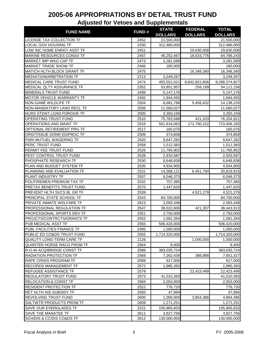| <b>FUND NAME</b>                  | <b>FUND#</b> | <b>STATE</b>   | <b>FEDERAL</b> | <b>TOTAL</b>            |
|-----------------------------------|--------------|----------------|----------------|-------------------------|
|                                   |              | <b>DOLLARS</b> | <b>DOLLARS</b> | <b>DOLLARS</b>          |
| LICENSE TAX COLLECTION TF         | 2452         | 21,500,000     |                | 21,500,000              |
| LOCAL GOV HOUSING TF              | 2250         | 312,486,000    |                | 312,486,000             |
| LOW INC HOME ENRGY ASST TF        | 2451         |                | 29,630,008     | 29,630,008              |
| MARINE RESOURCES CONSV TF         | 2467         | 46,252,467     | 18,533,776     | 64,786,243              |
| <b>MARKET IMP WKG CAP TF</b>      | 2473         | 3,281,589      |                | 3,281,589               |
| <b>MARKET TRADE SHOW TF</b>       | 2466         | 180,000        |                | 180,000                 |
| <b>MAT/CH HLTH BLOCK GRANT TF</b> | 2475         |                | 16,348,340     | 16,348,340              |
| <b>MEDIATION/ARBITRATION TF</b>   | 2213         | 3,249,267      |                | 3,249,267               |
| <b>MEDICAL CARE TRUST FUND</b>    | 2474         | 455,552,021    | 8,842,822,806  | 9,298,374,827           |
| MEDICAL QLTY ASSURANCE TF         | 2352         | 53,851,957     | 259,199        | 54,111,156              |
| MINERALS TRUST FUND               | 2499         | 5,147,176      |                | 5,147,176               |
| <b>MOTOR VEHICLE WARRANTY TF</b>  | 2492         | 1,944,455      |                | 1,944,455               |
| NON-GAME WILDLIFE TF              | 2504         | 8,681,788      | 5,456,432      | 14,138,220              |
| NON-MANDATORY LAND RECL TF        | 2506         | 11,560,027     |                | 11,560,027              |
| NURS STDNT LOAN FORGIVE TF        | 2505         | 3,350,159      |                | 3,350,159               |
| OPERATING TRUST FUND              | 2510         | 75,783,588     | 421,333        | 76,204,921              |
| OPERATIONS AND MAINT TF           | 2516         | 551,616,063    | 171,790,102    | 723,406,165             |
| OPTIONAL RETIREMENT PRG TF        | 2517         | 165,076        |                | 165,076                 |
| ORG/TISSUE DONR ED/PROC TF        | 2509         | 374,858        |                | 374,858                 |
| PARI-MUTUEL WAGERING TF           | 2520         | 9,647,282      |                | 9,647,282               |
| <b>PERC TRUST FUND</b>            | 2558         | 1,512,383      |                | 1,512,383               |
| PERMIT FEE TRUST FUND             | 2526         |                |                |                         |
| PEST CONTROL TRUST FUND           | 2528         | 11,765,902     |                | 11,765,902<br>2,933,587 |
|                                   |              | 2,933,587      |                |                         |
| PHOSPHATE RESEARCH TF             | 2530         | 6,648,838      |                | 6,648,838               |
| PLAN AND BUDGET SYSTEM TF         | 2535         | 4,934,905      |                | 4,934,905               |
| PLANNING AND EVALUATION TF        | 2531         | 14,368,121     | 6,451,794      | 20,819,915              |
| PLANT INDUSTRY TF                 | 2507         | 6,046,373      |                | 6,046,373               |
| POL/FIREMEN PREMIUM TAX TF        | 2532         | 757,385        |                | 757,385                 |
| PRETAX BENEFITS TRUST FUND        | 2570         | 1,447,620      |                | 1,447,620               |
| PREVENT HLTH SVCS BL GR TF        | 2539         |                | 4,521,279      | 4,521,279               |
| PRINCIPAL STATE SCHOOL TF         | 2543         | 84,700,000     |                | 84,700,000              |
| PRIVATE INMATE WELFARE TF         | 2623         | 2,093,348      |                | 2,093,348               |
| PROFESSIONAL REGULATION TF        | 2547         | 38,022,606     | 421,307        | 38,443,913              |
| PROFESSIONAL SPORTS DEV TF        | 2551         | 2,750,000      |                | 2,750,000               |
| PROJCTS/CONTRCTS/GRANTS TF        | 2552         | 1,581,354      |                | 1,581,354               |
| PUB MEDICAL ASST TF               | 2565         | 506,420,000    |                | 506,420,000             |
| PUBL FACILITIES FINANCE TF        | 2495         | 1,000,000      |                | 1,000,000               |
| PUBLIC ED CO&DS TRUST FUND        | 2555         | 1,714,320,000  |                | 1,714,320,000           |
| QUALITY LONG-TERM CARE TF         | 2126         |                | 1,000,000      | 1,000,000               |
| QUARTER HORSE RACG PROM TF        | 2564         | 8,400          |                | 8,400                   |
| R-O-W ACQ/BRIDGE CONST TF         | 2586         | 383,035,724    |                | 383,035,724             |
| RADIATION PROTECTION TF           | 2569         | 7,262,439      | 388,888        | 7,651,327               |
| RAPE CRISIS PROGRAM TF            | 2089         | 917,000        |                | 917,000                 |
| RECORDS MANAGEMENT TF             | 2572         | 1,985,393      |                | 1,985,393               |
| REFUGEE ASSISTANCE TF             | 2579         |                | 22,423,499     | 22,423,499              |
| <b>REGULATORY TRUST FUND</b>      | 2573         | 41,010,383     |                | 41,010,383              |
| <b>RELOCATION &amp; CONST TF</b>  | 2584         | 2,053,000      |                | 2,053,000               |
| <b>RESIDENT PROTECTION TF</b>     | 2522         |                |                |                         |
| RET HLTH INS SUBSIDY TF           |              | 776,720        |                | 776,720                 |
|                                   | 2583         | 47,994         |                | 47,994                  |
| <b>REVOLVING TRUST FUND</b>       | 2600         | 1,000,000      | 3,854,386      | 4,854,386               |
| <b>SALTWTR PRODUCTS PROM TF</b>   | 2609         | 1,271,251      |                | 1,271,251               |
| SAVE OUR EVERGLADES TF            | 2221         | 105,865,833    |                | 105,865,833             |
| <b>SAVE THE MANATEE TF</b>        | 2611         | 3,827,756      |                | 3,827,756               |
| SCH/DIS & CC/DIS CO&DS TF         | 2612         | 130,000,000    |                | 130,000,000             |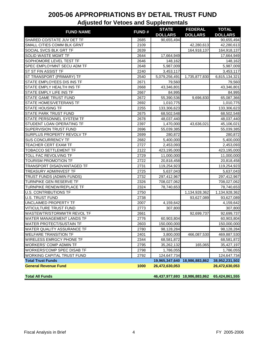| <b>FUND NAME</b>                                         | <b>FUND#</b> | <b>STATE</b>                 | <b>FEDERAL</b>                | <b>TOTAL</b>             |
|----------------------------------------------------------|--------------|------------------------------|-------------------------------|--------------------------|
|                                                          | 2685         | <b>DOLLARS</b><br>90,655,494 | <b>DOLLARS</b>                | <b>DOLLARS</b>           |
| SHARED CO/STATE JUV DET TF<br>SMALL CITIES COMM BLK GRNT | 2109         |                              | 42,280,613                    | 90,655,494<br>42,280,613 |
| SOCIAL SVCS BLK GRT TF                                   | 2639         |                              | 164,918,137                   | 164,918,137              |
| <b>SOLID WASTE MGMT TF</b>                               | 2644         | 17,664,949                   |                               | 17,664,949               |
| SOPHOMORE LEVEL TEST TF                                  | 2646         | 148,162                      |                               | 148,162                  |
| SPEC EMPLOYMNT SECU ADM TF                               | 2648         | 5,987,009                    |                               | 5,987,009                |
| ST ST FIN ASSIST TF                                      |              |                              |                               | 3,453,117                |
| ST TRANSPORT (PRIMARY) TF                                | 2240<br>2540 | 3,453,117<br>5,079,256,491   | 1,735,877,830                 | 6,815,134,321            |
| STATE EMPLOYEES DIS INS TF                               | 2671         | 79,560                       |                               |                          |
| STATE EMPLY HEALTH INS TF                                |              |                              |                               | 79,560                   |
|                                                          | 2668         | 43,346,801                   |                               | 43,346,801               |
| STATE EMPLY LIFE INS TF                                  | 2667         | 84,995                       |                               | 84,995                   |
| STATE GAME TRUST FUND                                    | 2672         | 55,390,536                   | 9,696,830                     | 65,087,366               |
| STATE HOMES/VETERANS TF                                  | 2692         | 1,010,775                    |                               | 1,010,775                |
| <b>STATE HOUSING TF</b>                                  | 2255         | 133,306,623                  |                               | 133,306,623              |
| <b>STATE PARK TRUST FUND</b>                             | 2675         | 68,502,548                   |                               | 68,502,548               |
| STATE PERSONNEL SYSTEM TF                                | 2678         | 48,037,440                   |                               | 48,037,440               |
| STUDENT LOAN OPERATING TF                                | 2397         | 1,470,000                    | 43,636,021                    | 45,106,021               |
| SUPERVISION TRUST FUND                                   | 2696         | 55,039,385                   |                               | 55,039,385               |
| <b>SURPLUS PROPERTY REVOLV TF</b>                        | 2699         | 280,872                      |                               | 280,872                  |
| <b>SUS CONCURRENCY TF</b>                                | 2682         | 5,400,000                    |                               | 5,400,000                |
| TEACHER CERT EXAM TF                                     | 2727         | 2,453,093                    |                               | 2,453,093                |
| TOBACCO SETTLEMENT TF                                    | 2122         | 423,195,000                  |                               | 423,195,000              |
| TOLL FAC REVOLVING TF                                    | 2729         | 11,000,000                   |                               | 11,000,000               |
| TOURISM PROMOTION TF                                     | 2722         | 20,818,458                   |                               | 20,818,458               |
| TRANSPORT DISADVANTAGED TF                               | 2731         | 119,254,923                  |                               | 119,254,923              |
| TREASURY ADM/INVEST TF                                   | 2725         | 5,637,043                    |                               | 5,637,043                |
| TRUST FUNDS (ADMIN FUNDS)                                | 2732         | 297,412,967                  |                               | 297,412,967              |
| <b>TURNPIKE GEN RESERVE TF</b>                           | 2326         | 708,027,062                  |                               | 708,027,062              |
| TURNPIKE RENEW/REPLACE TF                                | 2324         | 78,740,653                   |                               | 78,740,653               |
| <b>U.S. CONTRIBUTIONS TF</b>                             | 2750         |                              | 1,134,928,362                 | 1,134,928,362            |
| <b>U.S. TRUST FUND</b>                                   | 2738         |                              | 93,627,089                    | 93,627,089               |
| UNCLAIMED PROPERTY TF                                    | 2007         | 4,159,642                    |                               | 4,159,642                |
| VITICULTURE TRUST FUND                                   | 2773         | 307,800                      |                               | 307,800                  |
| WASTEWTR/STORMWTR REVOL TF                               | 2661         |                              | 92,699,737                    | 92,699,737               |
| WATER MANAGEMENT LANDS TF                                | 2776         | 60,903,804                   |                               | 60,903,804               |
| WATER PROTECT/SUSTAIN TF                                 | 2603         | 150,000,000                  |                               | 150,000,000              |
| WATER QUALITY ASSURANCE TF                               | 2780         | 98,128,284                   |                               | 98,128,284               |
| <b>WELFARE TRANSITION TF</b>                             | 2401         | 3,800,000                    | 466,087,530                   | 469,887,530              |
| WIRELESS EMRGCY PHONE TF                                 | 2344         | 68,581,872                   |                               | 68,581,872               |
| WORKERS' COMP ADMIN TF                                   | 2795         | 35,262,132                   | 165,065                       | 35,427,197               |
| WORKERS'COMP SPEC DISAB TF                               | 2798         | 1,786,055                    |                               | 1,786,055                |
| WORKING CAPITAL TRUST FUND                               | 2792         | 124,647,734                  |                               | 124,647,734              |
| <b>Total Trust Funds</b>                                 |              |                              | 19,965,347,640 18,986,883,862 | 38,952,231,502           |
| <b>General Revenue Fund</b>                              | 1000         | 26,472,630,053               |                               | 26,472,630,053           |
| <b>Total All Funds</b>                                   |              |                              | 46,437,977,693 18,986,883,862 | 65,424,861,555           |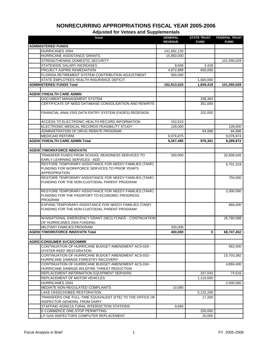| <b>Issue</b>                                                                    | <b>GENERAL</b> | <b>STATE TRUST</b> | <b>FEDERAL TRUST</b> |
|---------------------------------------------------------------------------------|----------------|--------------------|----------------------|
|                                                                                 | <b>REVENUE</b> | <b>FUND</b>        | <b>FUND</b>          |
| <b>ADMINISTERED FUNDS</b>                                                       |                |                    |                      |
| HURRICANES 2004<br>HURRICANE ASSISTANCE GRANTS                                  | 141,681,130    |                    |                      |
| STRENGTHENING DOMESTIC SECURITY                                                 | 15,850,000     |                    |                      |
| STATEWIDE SALARY INCREASES                                                      | 9,506          | 3,418              | 101,590,029          |
| PROJECT ASPIRE REMEDIATION                                                      | 4,872,889      | 656,000            |                      |
| FLORIDA RETIREMENT SYSTEM CONTRIBUTION ADJUSTMENT                               | 500,000        |                    |                      |
| STATE EMPLOYEES HEALTH INSURANCE DEFICIT                                        |                | 1,000,000          |                      |
| <b>ADMINISTERED FUNDS Total</b>                                                 | 162,913,525    | 1,659,418          | 101,590,029          |
|                                                                                 |                |                    |                      |
| <b>AGENCY/HEALTH CARE ADMIN</b>                                                 |                |                    |                      |
| DOCUMENT MANAGEMENT SYSTEM                                                      |                | 338,363            |                      |
| CERTIFICATE OF NEED DATABASE CONSOLIDATION AND REWRITE                          |                | 351,000            |                      |
|                                                                                 |                |                    |                      |
| FINANCIAL ANALYSIS DATA ENTRY SYSTEM (FADES) REDESIGN                           |                | 202,000            |                      |
|                                                                                 |                |                    |                      |
| ACCESS TO ELECTRONIC HEALTH RECORD INFORMATION                                  | 152,610        |                    |                      |
| ELECTRONIC MEDICAL RECORDS FEASIBILITY STUDY                                    | 128,000        |                    | 128,000              |
| ADMINISTRATION OF DRUG REBATE PROGRAM                                           |                | 84,998             | 84,998               |
| <b>MEDICAID REFORM</b>                                                          | 9,076,875      |                    | 9,076,874            |
| <b>AGENCY/HEALTH CARE ADMIN Total</b>                                           | 9,357,485      | 976,361            | 9,289,872            |
|                                                                                 |                |                    |                      |
| <b>AGENCY/WORKFORCE INNOVATN</b>                                                |                |                    |                      |
| TRANSFER FUNDS FROM SCHOOL READINESS SERVICES TO                                | 200,000        |                    | 32,839,545           |
| EARLY LEARNING SERVICES - ADD                                                   |                |                    |                      |
| RESTORE TEMPORARY ASSISTANCE FOR NEEDY FAMILIES (TANF)                          |                |                    | 5,701,319            |
| FUNDING FOR WORKFORCE SERVICES TO PRIOR YEAR'S<br><b>APPROPRIATION</b>          |                |                    |                      |
| RESTORE TEMPORARY ASSISTANCE FOR NEEDY FAMILIES (TANF)                          |                |                    | 750,000              |
| FUNDING FOR THE NON-CUSTODIAL PARENT PROGRAM                                    |                |                    |                      |
|                                                                                 |                |                    |                      |
| RESTORE TEMPORARY ASSISTANCE FOR NEEDY FAMILIES (TANF)                          |                |                    | 2,000,000            |
| FUNDING FOR THE PASSPORT TO ECONOMIC PROGRESS                                   |                |                    |                      |
| <b>PROGRAM</b>                                                                  |                |                    |                      |
| EXPAND TEMPORARY ASSISTANCE FOR NEEDY FAMILIES (TANF)                           |                |                    | 666,000              |
| FUNDING FOR THE NON-CUSTODIAL PARENT PROGRAM                                    |                |                    |                      |
|                                                                                 |                |                    |                      |
| WIA/NATIONAL EMERGENCY GRANT (NEG) FUNDS - CONTINUATION                         |                |                    | 26,790,588           |
| OF HURRICANES 2004 FUNDING                                                      |                |                    |                      |
| MILITARY FAMILIES PROGRAM                                                       | 200,000        |                    |                      |
| <b>AGENCY/WORKFORCE INNOVATN Total</b>                                          | 400,000        | 0                  | 68,747,452           |
|                                                                                 |                |                    |                      |
| <b>AGRIC/CONSUMER SVCS/COMMR</b>                                                |                |                    |                      |
| CONTINUATION OF HURRICANE BUDGET AMENDMENT ACS-029 -<br>OYSTER REEF RESTORATION |                |                    | 582,000              |
| CONTINUATION OF HURRICANE BUDGET AMENDMENT ACS-033 -                            |                |                    | 15,703,382           |
| HURRICANE DAMAGE FORESTRY RECOVERY                                              |                |                    |                      |
| CONTINUATION OF HURRICANE BUDGET AMENDMENT ACS-034 -                            |                |                    | 4,894,400            |
| HURRICANE DAMAGE WILDFIRE THREAT REDUCTION                                      |                |                    |                      |
| REPLACEMENT INFORMATION EQUIPMENT SERVERS                                       |                | 337,043            | 74,516               |
| <b>REPLACEMENT OF MOTOR VEHICLES</b>                                            |                | 1,110,000          |                      |
| <b>HURRICANES 2004</b>                                                          |                |                    | 2,000,000            |
| MEDIATE NON-REGULATED COMPLAINTS                                                | 10,060         |                    |                      |
| LAKE OKEECHOBEE RESTORATION                                                     |                | 5,132,269          |                      |
| TRANSFERS ONE FULL-TIME EQUIVALENT (FTE) TO THE OFFICE OF                       |                | 17,200             |                      |
| <b>INSPECTOR GENERAL FROM DAIRY</b>                                             |                |                    |                      |
| STAFFING AGRICULTURAL INTERDICTION STATIONS                                     | 9,690          |                    |                      |
| E-COMMERCE ONE-STOP PERMITTING                                                  |                | 250,000            |                      |
| LP GAS INSPECTORS COMPUTER REPLACEMENT                                          |                | 20,000             |                      |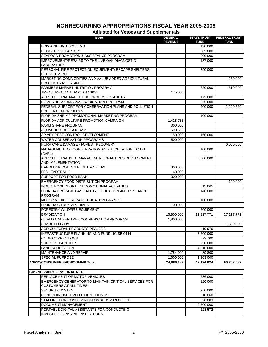| <b>BRIX ACID UNIT SYSTEMS</b><br>120,000<br><b>RUGGEDIZED LAPTOPS</b><br>65,000<br>SEAFOOD PROMOTION & ASSISTANCE PROGRAM<br>200,000<br>IMPROVEMENT/REPAIRS TO THE LIVE OAK DIAGNOSTIC<br>137,000<br>LABORATORY<br>PERSONAL FIRE PROTECTION EQUIPMENT/ ESCAPE SHELTERS -<br>390,000<br><b>REPLACEMENT</b><br>MARKETING COMMODITIES AND VALUE ADDED AGRICULTURAL<br>250,000<br>PRODUCTS ASSISTANCE<br>FARMERS MARKET NUTRITION PROGRAM<br>220,000<br>510,000<br><b>TREASURE COAST FOOD BANKS</b><br>175,000<br>AGRICULTURAL MARKETING ORDERS - PEANUTS<br>175,000<br>DOMESTIC MARIJUANA ERADICATION PROGRAM<br>375,000<br>FEDERAL SUPPORT FOR CONSERVATION PLANS AND POLLUTION<br>400,000<br>1,220,520<br>PREVENTION PROJECTS<br>FLORIDA SHRIMP PROMOTIONAL MARKETING PROGRAM<br>100,000<br>FLORIDA AGRICULTURE PROMOTION CAMPAIGN<br>1,428,733<br><b>FARM SHARE PROGRAM</b><br>300,000<br>AQUACULTURE PROGRAM<br>598,699<br>APIARY PEST CONTROL DEVELOPMENT<br>150,000<br>150,000<br><b>WATER CONSERVATION PROGRAMS</b><br>500,000<br>HURRICANE DAMAGE - FOREST RECOVERY<br>6,000,000<br>MANAGEMENT OF CONSERVATION AND RECREATION LANDS<br>100,000<br>(CARL)<br>AGRICULTURAL BEST MANAGEMENT PRACTICES DEVELOPMENT<br>6,300,000<br>AND IMPLEMENTATION<br>HARDLOCK COTTON RESEARCH-IFAS<br>300,000<br>FFA LEADERSHIP<br>60,000<br>SUPPORT FOR FOOD BANK<br>300,000<br>EMERGENCY FOOD DISTRIBUTION PROGRAM<br>100,000<br>INDUSTRY SUPPORTED PROMOTIONAL ACTIVITIES<br>13,865<br>FLORIDA PROPANE GAS SAFETY, EDUCATION AND RESEARCH<br>148,000<br>PROGRAM<br>MOTOR VEHICLE REPAIR EDUCATION GRANTS<br>100,000<br><b>FLORIDA CITRUS ARCHIVES</b><br>100,000<br>FORESTRY WILDFIRE EQUIPMENT<br>500,000<br><b>ERADICATION</b><br>15,800,000<br>11,317,771<br>27,117,771<br>CITRUS CANKER TREE COMPENSATION PROGRAM<br>1,800,000<br><b>SHADE FLORIDA</b><br>1,800,000<br>AGRICULTURAL PRODUCTS DEALERS<br>19,976<br>INFRASTRUCTURE PLANNING AND FUNDING SB 0444<br>7,500,000<br><b>CODE CORRECTIONS</b><br>73,700<br><b>SUPPORT FACILITIES</b><br>250,000<br><b>LAND ACQUISITION</b><br>4,610,000<br><b>MAINTENANCE AND REPAIR</b><br>1,754,000<br>89,800<br>SPECIAL PURPOSE<br>1,600,000<br>1,903,000<br><b>AGRIC/CONSUMER SVCS/COMMR Total</b><br>24,886,182<br>42,124,624<br>60,252,589<br><b>BUSINESS/PROFESSIONAL REG</b><br>REPLACEMENT OF MOTOR VEHICLES<br>236,000<br>EMERGENCY GENERATOR TO MAINTAIN CRITICAL SERVICES FOR<br>120,000<br><b>CUSTOMERS AT ALL TIMES</b><br><b>SECURITY SYSTEM</b><br>250,000<br>CONDOMINIUM DEVELOPMENT FILINGS<br>10,060<br>26,883<br>STAFFING FOR CONDOMINIUM OMBUDSMAN OFFICE<br>DOCUMENT MANAGEMENT<br>2,500,000<br>PORTABLE DIGITAL ASSISTANTS FOR CONDUCTING<br>228,572 | <b>Issue</b>                          | <b>GENERAL</b> | <b>STATE TRUST</b><br><b>FUND</b> | <b>FEDERAL TRUST</b><br><b>FUND</b> |
|-----------------------------------------------------------------------------------------------------------------------------------------------------------------------------------------------------------------------------------------------------------------------------------------------------------------------------------------------------------------------------------------------------------------------------------------------------------------------------------------------------------------------------------------------------------------------------------------------------------------------------------------------------------------------------------------------------------------------------------------------------------------------------------------------------------------------------------------------------------------------------------------------------------------------------------------------------------------------------------------------------------------------------------------------------------------------------------------------------------------------------------------------------------------------------------------------------------------------------------------------------------------------------------------------------------------------------------------------------------------------------------------------------------------------------------------------------------------------------------------------------------------------------------------------------------------------------------------------------------------------------------------------------------------------------------------------------------------------------------------------------------------------------------------------------------------------------------------------------------------------------------------------------------------------------------------------------------------------------------------------------------------------------------------------------------------------------------------------------------------------------------------------------------------------------------------------------------------------------------------------------------------------------------------------------------------------------------------------------------------------------------------------------------------------------------------------------------------------------------------------------------------------------------------------------------------------------------------------------------------------------------------------------------------------------------------------------------------|---------------------------------------|----------------|-----------------------------------|-------------------------------------|
|                                                                                                                                                                                                                                                                                                                                                                                                                                                                                                                                                                                                                                                                                                                                                                                                                                                                                                                                                                                                                                                                                                                                                                                                                                                                                                                                                                                                                                                                                                                                                                                                                                                                                                                                                                                                                                                                                                                                                                                                                                                                                                                                                                                                                                                                                                                                                                                                                                                                                                                                                                                                                                                                                                                 |                                       | <b>REVENUE</b> |                                   |                                     |
|                                                                                                                                                                                                                                                                                                                                                                                                                                                                                                                                                                                                                                                                                                                                                                                                                                                                                                                                                                                                                                                                                                                                                                                                                                                                                                                                                                                                                                                                                                                                                                                                                                                                                                                                                                                                                                                                                                                                                                                                                                                                                                                                                                                                                                                                                                                                                                                                                                                                                                                                                                                                                                                                                                                 |                                       |                |                                   |                                     |
|                                                                                                                                                                                                                                                                                                                                                                                                                                                                                                                                                                                                                                                                                                                                                                                                                                                                                                                                                                                                                                                                                                                                                                                                                                                                                                                                                                                                                                                                                                                                                                                                                                                                                                                                                                                                                                                                                                                                                                                                                                                                                                                                                                                                                                                                                                                                                                                                                                                                                                                                                                                                                                                                                                                 |                                       |                |                                   |                                     |
|                                                                                                                                                                                                                                                                                                                                                                                                                                                                                                                                                                                                                                                                                                                                                                                                                                                                                                                                                                                                                                                                                                                                                                                                                                                                                                                                                                                                                                                                                                                                                                                                                                                                                                                                                                                                                                                                                                                                                                                                                                                                                                                                                                                                                                                                                                                                                                                                                                                                                                                                                                                                                                                                                                                 |                                       |                |                                   |                                     |
|                                                                                                                                                                                                                                                                                                                                                                                                                                                                                                                                                                                                                                                                                                                                                                                                                                                                                                                                                                                                                                                                                                                                                                                                                                                                                                                                                                                                                                                                                                                                                                                                                                                                                                                                                                                                                                                                                                                                                                                                                                                                                                                                                                                                                                                                                                                                                                                                                                                                                                                                                                                                                                                                                                                 |                                       |                |                                   |                                     |
|                                                                                                                                                                                                                                                                                                                                                                                                                                                                                                                                                                                                                                                                                                                                                                                                                                                                                                                                                                                                                                                                                                                                                                                                                                                                                                                                                                                                                                                                                                                                                                                                                                                                                                                                                                                                                                                                                                                                                                                                                                                                                                                                                                                                                                                                                                                                                                                                                                                                                                                                                                                                                                                                                                                 |                                       |                |                                   |                                     |
|                                                                                                                                                                                                                                                                                                                                                                                                                                                                                                                                                                                                                                                                                                                                                                                                                                                                                                                                                                                                                                                                                                                                                                                                                                                                                                                                                                                                                                                                                                                                                                                                                                                                                                                                                                                                                                                                                                                                                                                                                                                                                                                                                                                                                                                                                                                                                                                                                                                                                                                                                                                                                                                                                                                 |                                       |                |                                   |                                     |
|                                                                                                                                                                                                                                                                                                                                                                                                                                                                                                                                                                                                                                                                                                                                                                                                                                                                                                                                                                                                                                                                                                                                                                                                                                                                                                                                                                                                                                                                                                                                                                                                                                                                                                                                                                                                                                                                                                                                                                                                                                                                                                                                                                                                                                                                                                                                                                                                                                                                                                                                                                                                                                                                                                                 |                                       |                |                                   |                                     |
|                                                                                                                                                                                                                                                                                                                                                                                                                                                                                                                                                                                                                                                                                                                                                                                                                                                                                                                                                                                                                                                                                                                                                                                                                                                                                                                                                                                                                                                                                                                                                                                                                                                                                                                                                                                                                                                                                                                                                                                                                                                                                                                                                                                                                                                                                                                                                                                                                                                                                                                                                                                                                                                                                                                 |                                       |                |                                   |                                     |
|                                                                                                                                                                                                                                                                                                                                                                                                                                                                                                                                                                                                                                                                                                                                                                                                                                                                                                                                                                                                                                                                                                                                                                                                                                                                                                                                                                                                                                                                                                                                                                                                                                                                                                                                                                                                                                                                                                                                                                                                                                                                                                                                                                                                                                                                                                                                                                                                                                                                                                                                                                                                                                                                                                                 |                                       |                |                                   |                                     |
|                                                                                                                                                                                                                                                                                                                                                                                                                                                                                                                                                                                                                                                                                                                                                                                                                                                                                                                                                                                                                                                                                                                                                                                                                                                                                                                                                                                                                                                                                                                                                                                                                                                                                                                                                                                                                                                                                                                                                                                                                                                                                                                                                                                                                                                                                                                                                                                                                                                                                                                                                                                                                                                                                                                 |                                       |                |                                   |                                     |
|                                                                                                                                                                                                                                                                                                                                                                                                                                                                                                                                                                                                                                                                                                                                                                                                                                                                                                                                                                                                                                                                                                                                                                                                                                                                                                                                                                                                                                                                                                                                                                                                                                                                                                                                                                                                                                                                                                                                                                                                                                                                                                                                                                                                                                                                                                                                                                                                                                                                                                                                                                                                                                                                                                                 |                                       |                |                                   |                                     |
|                                                                                                                                                                                                                                                                                                                                                                                                                                                                                                                                                                                                                                                                                                                                                                                                                                                                                                                                                                                                                                                                                                                                                                                                                                                                                                                                                                                                                                                                                                                                                                                                                                                                                                                                                                                                                                                                                                                                                                                                                                                                                                                                                                                                                                                                                                                                                                                                                                                                                                                                                                                                                                                                                                                 |                                       |                |                                   |                                     |
|                                                                                                                                                                                                                                                                                                                                                                                                                                                                                                                                                                                                                                                                                                                                                                                                                                                                                                                                                                                                                                                                                                                                                                                                                                                                                                                                                                                                                                                                                                                                                                                                                                                                                                                                                                                                                                                                                                                                                                                                                                                                                                                                                                                                                                                                                                                                                                                                                                                                                                                                                                                                                                                                                                                 |                                       |                |                                   |                                     |
|                                                                                                                                                                                                                                                                                                                                                                                                                                                                                                                                                                                                                                                                                                                                                                                                                                                                                                                                                                                                                                                                                                                                                                                                                                                                                                                                                                                                                                                                                                                                                                                                                                                                                                                                                                                                                                                                                                                                                                                                                                                                                                                                                                                                                                                                                                                                                                                                                                                                                                                                                                                                                                                                                                                 |                                       |                |                                   |                                     |
|                                                                                                                                                                                                                                                                                                                                                                                                                                                                                                                                                                                                                                                                                                                                                                                                                                                                                                                                                                                                                                                                                                                                                                                                                                                                                                                                                                                                                                                                                                                                                                                                                                                                                                                                                                                                                                                                                                                                                                                                                                                                                                                                                                                                                                                                                                                                                                                                                                                                                                                                                                                                                                                                                                                 |                                       |                |                                   |                                     |
|                                                                                                                                                                                                                                                                                                                                                                                                                                                                                                                                                                                                                                                                                                                                                                                                                                                                                                                                                                                                                                                                                                                                                                                                                                                                                                                                                                                                                                                                                                                                                                                                                                                                                                                                                                                                                                                                                                                                                                                                                                                                                                                                                                                                                                                                                                                                                                                                                                                                                                                                                                                                                                                                                                                 |                                       |                |                                   |                                     |
|                                                                                                                                                                                                                                                                                                                                                                                                                                                                                                                                                                                                                                                                                                                                                                                                                                                                                                                                                                                                                                                                                                                                                                                                                                                                                                                                                                                                                                                                                                                                                                                                                                                                                                                                                                                                                                                                                                                                                                                                                                                                                                                                                                                                                                                                                                                                                                                                                                                                                                                                                                                                                                                                                                                 |                                       |                |                                   |                                     |
|                                                                                                                                                                                                                                                                                                                                                                                                                                                                                                                                                                                                                                                                                                                                                                                                                                                                                                                                                                                                                                                                                                                                                                                                                                                                                                                                                                                                                                                                                                                                                                                                                                                                                                                                                                                                                                                                                                                                                                                                                                                                                                                                                                                                                                                                                                                                                                                                                                                                                                                                                                                                                                                                                                                 |                                       |                |                                   |                                     |
|                                                                                                                                                                                                                                                                                                                                                                                                                                                                                                                                                                                                                                                                                                                                                                                                                                                                                                                                                                                                                                                                                                                                                                                                                                                                                                                                                                                                                                                                                                                                                                                                                                                                                                                                                                                                                                                                                                                                                                                                                                                                                                                                                                                                                                                                                                                                                                                                                                                                                                                                                                                                                                                                                                                 |                                       |                |                                   |                                     |
|                                                                                                                                                                                                                                                                                                                                                                                                                                                                                                                                                                                                                                                                                                                                                                                                                                                                                                                                                                                                                                                                                                                                                                                                                                                                                                                                                                                                                                                                                                                                                                                                                                                                                                                                                                                                                                                                                                                                                                                                                                                                                                                                                                                                                                                                                                                                                                                                                                                                                                                                                                                                                                                                                                                 |                                       |                |                                   |                                     |
|                                                                                                                                                                                                                                                                                                                                                                                                                                                                                                                                                                                                                                                                                                                                                                                                                                                                                                                                                                                                                                                                                                                                                                                                                                                                                                                                                                                                                                                                                                                                                                                                                                                                                                                                                                                                                                                                                                                                                                                                                                                                                                                                                                                                                                                                                                                                                                                                                                                                                                                                                                                                                                                                                                                 |                                       |                |                                   |                                     |
|                                                                                                                                                                                                                                                                                                                                                                                                                                                                                                                                                                                                                                                                                                                                                                                                                                                                                                                                                                                                                                                                                                                                                                                                                                                                                                                                                                                                                                                                                                                                                                                                                                                                                                                                                                                                                                                                                                                                                                                                                                                                                                                                                                                                                                                                                                                                                                                                                                                                                                                                                                                                                                                                                                                 |                                       |                |                                   |                                     |
|                                                                                                                                                                                                                                                                                                                                                                                                                                                                                                                                                                                                                                                                                                                                                                                                                                                                                                                                                                                                                                                                                                                                                                                                                                                                                                                                                                                                                                                                                                                                                                                                                                                                                                                                                                                                                                                                                                                                                                                                                                                                                                                                                                                                                                                                                                                                                                                                                                                                                                                                                                                                                                                                                                                 |                                       |                |                                   |                                     |
|                                                                                                                                                                                                                                                                                                                                                                                                                                                                                                                                                                                                                                                                                                                                                                                                                                                                                                                                                                                                                                                                                                                                                                                                                                                                                                                                                                                                                                                                                                                                                                                                                                                                                                                                                                                                                                                                                                                                                                                                                                                                                                                                                                                                                                                                                                                                                                                                                                                                                                                                                                                                                                                                                                                 |                                       |                |                                   |                                     |
|                                                                                                                                                                                                                                                                                                                                                                                                                                                                                                                                                                                                                                                                                                                                                                                                                                                                                                                                                                                                                                                                                                                                                                                                                                                                                                                                                                                                                                                                                                                                                                                                                                                                                                                                                                                                                                                                                                                                                                                                                                                                                                                                                                                                                                                                                                                                                                                                                                                                                                                                                                                                                                                                                                                 |                                       |                |                                   |                                     |
|                                                                                                                                                                                                                                                                                                                                                                                                                                                                                                                                                                                                                                                                                                                                                                                                                                                                                                                                                                                                                                                                                                                                                                                                                                                                                                                                                                                                                                                                                                                                                                                                                                                                                                                                                                                                                                                                                                                                                                                                                                                                                                                                                                                                                                                                                                                                                                                                                                                                                                                                                                                                                                                                                                                 |                                       |                |                                   |                                     |
|                                                                                                                                                                                                                                                                                                                                                                                                                                                                                                                                                                                                                                                                                                                                                                                                                                                                                                                                                                                                                                                                                                                                                                                                                                                                                                                                                                                                                                                                                                                                                                                                                                                                                                                                                                                                                                                                                                                                                                                                                                                                                                                                                                                                                                                                                                                                                                                                                                                                                                                                                                                                                                                                                                                 |                                       |                |                                   |                                     |
|                                                                                                                                                                                                                                                                                                                                                                                                                                                                                                                                                                                                                                                                                                                                                                                                                                                                                                                                                                                                                                                                                                                                                                                                                                                                                                                                                                                                                                                                                                                                                                                                                                                                                                                                                                                                                                                                                                                                                                                                                                                                                                                                                                                                                                                                                                                                                                                                                                                                                                                                                                                                                                                                                                                 |                                       |                |                                   |                                     |
|                                                                                                                                                                                                                                                                                                                                                                                                                                                                                                                                                                                                                                                                                                                                                                                                                                                                                                                                                                                                                                                                                                                                                                                                                                                                                                                                                                                                                                                                                                                                                                                                                                                                                                                                                                                                                                                                                                                                                                                                                                                                                                                                                                                                                                                                                                                                                                                                                                                                                                                                                                                                                                                                                                                 |                                       |                |                                   |                                     |
|                                                                                                                                                                                                                                                                                                                                                                                                                                                                                                                                                                                                                                                                                                                                                                                                                                                                                                                                                                                                                                                                                                                                                                                                                                                                                                                                                                                                                                                                                                                                                                                                                                                                                                                                                                                                                                                                                                                                                                                                                                                                                                                                                                                                                                                                                                                                                                                                                                                                                                                                                                                                                                                                                                                 |                                       |                |                                   |                                     |
|                                                                                                                                                                                                                                                                                                                                                                                                                                                                                                                                                                                                                                                                                                                                                                                                                                                                                                                                                                                                                                                                                                                                                                                                                                                                                                                                                                                                                                                                                                                                                                                                                                                                                                                                                                                                                                                                                                                                                                                                                                                                                                                                                                                                                                                                                                                                                                                                                                                                                                                                                                                                                                                                                                                 |                                       |                |                                   |                                     |
|                                                                                                                                                                                                                                                                                                                                                                                                                                                                                                                                                                                                                                                                                                                                                                                                                                                                                                                                                                                                                                                                                                                                                                                                                                                                                                                                                                                                                                                                                                                                                                                                                                                                                                                                                                                                                                                                                                                                                                                                                                                                                                                                                                                                                                                                                                                                                                                                                                                                                                                                                                                                                                                                                                                 |                                       |                |                                   |                                     |
|                                                                                                                                                                                                                                                                                                                                                                                                                                                                                                                                                                                                                                                                                                                                                                                                                                                                                                                                                                                                                                                                                                                                                                                                                                                                                                                                                                                                                                                                                                                                                                                                                                                                                                                                                                                                                                                                                                                                                                                                                                                                                                                                                                                                                                                                                                                                                                                                                                                                                                                                                                                                                                                                                                                 |                                       |                |                                   |                                     |
|                                                                                                                                                                                                                                                                                                                                                                                                                                                                                                                                                                                                                                                                                                                                                                                                                                                                                                                                                                                                                                                                                                                                                                                                                                                                                                                                                                                                                                                                                                                                                                                                                                                                                                                                                                                                                                                                                                                                                                                                                                                                                                                                                                                                                                                                                                                                                                                                                                                                                                                                                                                                                                                                                                                 |                                       |                |                                   |                                     |
|                                                                                                                                                                                                                                                                                                                                                                                                                                                                                                                                                                                                                                                                                                                                                                                                                                                                                                                                                                                                                                                                                                                                                                                                                                                                                                                                                                                                                                                                                                                                                                                                                                                                                                                                                                                                                                                                                                                                                                                                                                                                                                                                                                                                                                                                                                                                                                                                                                                                                                                                                                                                                                                                                                                 |                                       |                |                                   |                                     |
|                                                                                                                                                                                                                                                                                                                                                                                                                                                                                                                                                                                                                                                                                                                                                                                                                                                                                                                                                                                                                                                                                                                                                                                                                                                                                                                                                                                                                                                                                                                                                                                                                                                                                                                                                                                                                                                                                                                                                                                                                                                                                                                                                                                                                                                                                                                                                                                                                                                                                                                                                                                                                                                                                                                 |                                       |                |                                   |                                     |
|                                                                                                                                                                                                                                                                                                                                                                                                                                                                                                                                                                                                                                                                                                                                                                                                                                                                                                                                                                                                                                                                                                                                                                                                                                                                                                                                                                                                                                                                                                                                                                                                                                                                                                                                                                                                                                                                                                                                                                                                                                                                                                                                                                                                                                                                                                                                                                                                                                                                                                                                                                                                                                                                                                                 |                                       |                |                                   |                                     |
|                                                                                                                                                                                                                                                                                                                                                                                                                                                                                                                                                                                                                                                                                                                                                                                                                                                                                                                                                                                                                                                                                                                                                                                                                                                                                                                                                                                                                                                                                                                                                                                                                                                                                                                                                                                                                                                                                                                                                                                                                                                                                                                                                                                                                                                                                                                                                                                                                                                                                                                                                                                                                                                                                                                 |                                       |                |                                   |                                     |
|                                                                                                                                                                                                                                                                                                                                                                                                                                                                                                                                                                                                                                                                                                                                                                                                                                                                                                                                                                                                                                                                                                                                                                                                                                                                                                                                                                                                                                                                                                                                                                                                                                                                                                                                                                                                                                                                                                                                                                                                                                                                                                                                                                                                                                                                                                                                                                                                                                                                                                                                                                                                                                                                                                                 |                                       |                |                                   |                                     |
|                                                                                                                                                                                                                                                                                                                                                                                                                                                                                                                                                                                                                                                                                                                                                                                                                                                                                                                                                                                                                                                                                                                                                                                                                                                                                                                                                                                                                                                                                                                                                                                                                                                                                                                                                                                                                                                                                                                                                                                                                                                                                                                                                                                                                                                                                                                                                                                                                                                                                                                                                                                                                                                                                                                 |                                       |                |                                   |                                     |
|                                                                                                                                                                                                                                                                                                                                                                                                                                                                                                                                                                                                                                                                                                                                                                                                                                                                                                                                                                                                                                                                                                                                                                                                                                                                                                                                                                                                                                                                                                                                                                                                                                                                                                                                                                                                                                                                                                                                                                                                                                                                                                                                                                                                                                                                                                                                                                                                                                                                                                                                                                                                                                                                                                                 |                                       |                |                                   |                                     |
|                                                                                                                                                                                                                                                                                                                                                                                                                                                                                                                                                                                                                                                                                                                                                                                                                                                                                                                                                                                                                                                                                                                                                                                                                                                                                                                                                                                                                                                                                                                                                                                                                                                                                                                                                                                                                                                                                                                                                                                                                                                                                                                                                                                                                                                                                                                                                                                                                                                                                                                                                                                                                                                                                                                 |                                       |                |                                   |                                     |
|                                                                                                                                                                                                                                                                                                                                                                                                                                                                                                                                                                                                                                                                                                                                                                                                                                                                                                                                                                                                                                                                                                                                                                                                                                                                                                                                                                                                                                                                                                                                                                                                                                                                                                                                                                                                                                                                                                                                                                                                                                                                                                                                                                                                                                                                                                                                                                                                                                                                                                                                                                                                                                                                                                                 |                                       |                |                                   |                                     |
|                                                                                                                                                                                                                                                                                                                                                                                                                                                                                                                                                                                                                                                                                                                                                                                                                                                                                                                                                                                                                                                                                                                                                                                                                                                                                                                                                                                                                                                                                                                                                                                                                                                                                                                                                                                                                                                                                                                                                                                                                                                                                                                                                                                                                                                                                                                                                                                                                                                                                                                                                                                                                                                                                                                 |                                       |                |                                   |                                     |
|                                                                                                                                                                                                                                                                                                                                                                                                                                                                                                                                                                                                                                                                                                                                                                                                                                                                                                                                                                                                                                                                                                                                                                                                                                                                                                                                                                                                                                                                                                                                                                                                                                                                                                                                                                                                                                                                                                                                                                                                                                                                                                                                                                                                                                                                                                                                                                                                                                                                                                                                                                                                                                                                                                                 |                                       |                |                                   |                                     |
|                                                                                                                                                                                                                                                                                                                                                                                                                                                                                                                                                                                                                                                                                                                                                                                                                                                                                                                                                                                                                                                                                                                                                                                                                                                                                                                                                                                                                                                                                                                                                                                                                                                                                                                                                                                                                                                                                                                                                                                                                                                                                                                                                                                                                                                                                                                                                                                                                                                                                                                                                                                                                                                                                                                 |                                       |                |                                   |                                     |
|                                                                                                                                                                                                                                                                                                                                                                                                                                                                                                                                                                                                                                                                                                                                                                                                                                                                                                                                                                                                                                                                                                                                                                                                                                                                                                                                                                                                                                                                                                                                                                                                                                                                                                                                                                                                                                                                                                                                                                                                                                                                                                                                                                                                                                                                                                                                                                                                                                                                                                                                                                                                                                                                                                                 |                                       |                |                                   |                                     |
|                                                                                                                                                                                                                                                                                                                                                                                                                                                                                                                                                                                                                                                                                                                                                                                                                                                                                                                                                                                                                                                                                                                                                                                                                                                                                                                                                                                                                                                                                                                                                                                                                                                                                                                                                                                                                                                                                                                                                                                                                                                                                                                                                                                                                                                                                                                                                                                                                                                                                                                                                                                                                                                                                                                 |                                       |                |                                   |                                     |
|                                                                                                                                                                                                                                                                                                                                                                                                                                                                                                                                                                                                                                                                                                                                                                                                                                                                                                                                                                                                                                                                                                                                                                                                                                                                                                                                                                                                                                                                                                                                                                                                                                                                                                                                                                                                                                                                                                                                                                                                                                                                                                                                                                                                                                                                                                                                                                                                                                                                                                                                                                                                                                                                                                                 |                                       |                |                                   |                                     |
|                                                                                                                                                                                                                                                                                                                                                                                                                                                                                                                                                                                                                                                                                                                                                                                                                                                                                                                                                                                                                                                                                                                                                                                                                                                                                                                                                                                                                                                                                                                                                                                                                                                                                                                                                                                                                                                                                                                                                                                                                                                                                                                                                                                                                                                                                                                                                                                                                                                                                                                                                                                                                                                                                                                 |                                       |                |                                   |                                     |
|                                                                                                                                                                                                                                                                                                                                                                                                                                                                                                                                                                                                                                                                                                                                                                                                                                                                                                                                                                                                                                                                                                                                                                                                                                                                                                                                                                                                                                                                                                                                                                                                                                                                                                                                                                                                                                                                                                                                                                                                                                                                                                                                                                                                                                                                                                                                                                                                                                                                                                                                                                                                                                                                                                                 |                                       |                |                                   |                                     |
|                                                                                                                                                                                                                                                                                                                                                                                                                                                                                                                                                                                                                                                                                                                                                                                                                                                                                                                                                                                                                                                                                                                                                                                                                                                                                                                                                                                                                                                                                                                                                                                                                                                                                                                                                                                                                                                                                                                                                                                                                                                                                                                                                                                                                                                                                                                                                                                                                                                                                                                                                                                                                                                                                                                 |                                       |                |                                   |                                     |
|                                                                                                                                                                                                                                                                                                                                                                                                                                                                                                                                                                                                                                                                                                                                                                                                                                                                                                                                                                                                                                                                                                                                                                                                                                                                                                                                                                                                                                                                                                                                                                                                                                                                                                                                                                                                                                                                                                                                                                                                                                                                                                                                                                                                                                                                                                                                                                                                                                                                                                                                                                                                                                                                                                                 |                                       |                |                                   |                                     |
|                                                                                                                                                                                                                                                                                                                                                                                                                                                                                                                                                                                                                                                                                                                                                                                                                                                                                                                                                                                                                                                                                                                                                                                                                                                                                                                                                                                                                                                                                                                                                                                                                                                                                                                                                                                                                                                                                                                                                                                                                                                                                                                                                                                                                                                                                                                                                                                                                                                                                                                                                                                                                                                                                                                 |                                       |                |                                   |                                     |
|                                                                                                                                                                                                                                                                                                                                                                                                                                                                                                                                                                                                                                                                                                                                                                                                                                                                                                                                                                                                                                                                                                                                                                                                                                                                                                                                                                                                                                                                                                                                                                                                                                                                                                                                                                                                                                                                                                                                                                                                                                                                                                                                                                                                                                                                                                                                                                                                                                                                                                                                                                                                                                                                                                                 |                                       |                |                                   |                                     |
|                                                                                                                                                                                                                                                                                                                                                                                                                                                                                                                                                                                                                                                                                                                                                                                                                                                                                                                                                                                                                                                                                                                                                                                                                                                                                                                                                                                                                                                                                                                                                                                                                                                                                                                                                                                                                                                                                                                                                                                                                                                                                                                                                                                                                                                                                                                                                                                                                                                                                                                                                                                                                                                                                                                 | <b>INVESTIGATIONS AND INSPECTIONS</b> |                |                                   |                                     |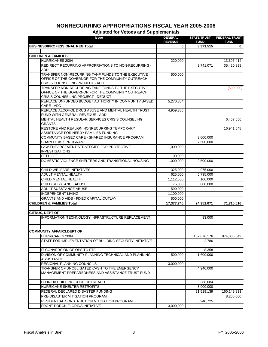| <b>Issue</b>                                                                                       | <b>GENERAL</b><br><b>REVENUE</b> | <b>STATE TRUST</b><br><b>FUND</b> | <b>FEDERAL TRUST</b><br><b>FUND</b> |
|----------------------------------------------------------------------------------------------------|----------------------------------|-----------------------------------|-------------------------------------|
| <b>BUSINESS/PROFESSIONAL REG Total</b>                                                             | 0                                | 3,371,515                         | 0                                   |
|                                                                                                    |                                  |                                   |                                     |
| <b>CHILDREN &amp; FAMILIES</b>                                                                     |                                  |                                   |                                     |
| HURRICANES 2004                                                                                    | 220,000                          |                                   | 13,395,414                          |
| REDIRECT RECURRING APPROPRIATIONS TO NON-RECURRING -                                               |                                  | 3,741,071                         | 35,420,898                          |
| <b>ADD</b>                                                                                         |                                  |                                   |                                     |
| TRANSFER NON-RECURRING TANF FUNDS TO THE EXECUTIVE                                                 | 500,000                          |                                   |                                     |
| OFFICE OF THE GOVERNOR FOR THE COMMUNITY OUTREACH                                                  |                                  |                                   |                                     |
| CRISIS COUNSELING PROJECT - ADD                                                                    |                                  |                                   |                                     |
| TRANSFER NON-RECURRING TANF FUNDS TO THE EXECUTIVE                                                 |                                  |                                   | (500,000)                           |
| OFFICE OF THE GOVERNOR FOR THE COMMUNITY OUTREACH<br>CRISIS COUNSELING PROJECT - DEDUCT            |                                  |                                   |                                     |
| REPLACE UNFUNDED BUDGET AUTHORITY IN COMMUNITY BASED                                               | 5,270,854                        |                                   |                                     |
| CARE - ADD                                                                                         |                                  |                                   |                                     |
| REPLACE ALCOHOL DRUG ABUSE AND MENTAL HEALTH TRUST                                                 | 4,959,386                        |                                   |                                     |
| FUND WITH GENERAL REVENUE - ADD                                                                    |                                  |                                   |                                     |
| MENTAL HEALTH REGULAR SERVICES CRISIS COUNSELING                                                   |                                  |                                   | 6,457,656                           |
| <b>GRANTS</b>                                                                                      |                                  |                                   |                                     |
| RESTORE AND REALIGN NONRECURRING TEMPORARY                                                         |                                  |                                   | 16,941,548                          |
| ASSISTANCE FOR NEEDY FAMILIES FUNDING                                                              |                                  |                                   |                                     |
| COMMUNITY BASED CARE - SHARED INSURANCE PROGRAM                                                    |                                  | 3,000,000                         |                                     |
| <b>SHARED RISK PROGRAM</b>                                                                         |                                  | 7,500,000                         |                                     |
| LAW ENFORCEMENT STRATEGIES FOR PROTECTIVE                                                          | 1,000,000                        |                                   |                                     |
| <b>INVESTIGATIONS</b>                                                                              |                                  |                                   |                                     |
| <b>REFUGEE</b>                                                                                     | 100,000                          |                                   |                                     |
| DOMESTIC VIOLENCE SHELTERS AND TRANSITIONAL HOUSING                                                | 1,000,000                        | 2,500,000                         |                                     |
| CHILD WELFARE INITIATIVES                                                                          | 325,000                          | 975,000                           |                                     |
| ADULT MENTAL HEALTH                                                                                | 625,000                          | 5,735,000                         |                                     |
| CHILD MENTAL HEALTH                                                                                | 1,112,500                        | 100,000                           |                                     |
| <b>CHILD SUBSTANCE ABUSE</b>                                                                       | 75,000                           | 800,000                           |                                     |
| ADULT SUBSTANCE ABUSE                                                                              | 590,000                          |                                   |                                     |
| <b>INDEPENDENT LIVING</b>                                                                          | 1,100,000                        |                                   |                                     |
| <b>GRANTS AND AIDS - FIXED CAPITAL OUTLAY</b>                                                      | 500,000                          |                                   |                                     |
| <b>CHILDREN &amp; FAMILIES Total</b>                                                               | 17,377,740                       | 24,351,071                        | 71,715,516                          |
|                                                                                                    |                                  |                                   |                                     |
| <b>CITRUS, DEPT OF</b>                                                                             |                                  |                                   |                                     |
| INFORMATION TECHNOLOGY INFRASTRUCTURE REPLACEMENT                                                  |                                  | 83,000                            |                                     |
|                                                                                                    |                                  |                                   |                                     |
|                                                                                                    |                                  |                                   |                                     |
| <b>COMMUNITY AFFAIRS, DEPT OF</b>                                                                  |                                  |                                   |                                     |
| <b>HURRICANES 2004</b>                                                                             |                                  | 107,676,176                       | 974,006,549                         |
| STAFF FOR IMPLEMENTATION OF BUILDING SECURITY INITIATIVE                                           |                                  | 2,786                             |                                     |
|                                                                                                    |                                  |                                   |                                     |
| IT CONVERSION OF OPS TO FTE                                                                        |                                  | 8,358                             |                                     |
| DIVISION OF COMMUNITY PLANNING TECHNICAL AND PLANNING                                              | 500,000                          | 1,600,000                         |                                     |
| <b>ASSISTANCE</b>                                                                                  |                                  |                                   |                                     |
| REGIONAL PLANNING COUNCILS                                                                         | 3,000,000                        |                                   |                                     |
| TRANSFER OF UNOBLIGATED CASH TO THE EMERGENCY<br>MANAGEMENT PREPAREDNESS AND ASSISTANCE TRUST FUND |                                  | 4,940,000                         |                                     |
|                                                                                                    |                                  |                                   |                                     |
| FLORIDA BUILDING CODE OUTREACH                                                                     |                                  | 388,084                           |                                     |
| HURRICANE SHELTER RETROFITS                                                                        |                                  | 3,000,000                         |                                     |
| FEDERAL DECLARED DISASTER FUNDING                                                                  |                                  | 21,519,139                        | 160,149,833                         |
| PRE-DISASTER MITIGATION PROGRAM                                                                    |                                  |                                   | 8,200,000                           |
| RESIDENTIAL CONSTRUCTION MITIGATION PROGRAM                                                        |                                  | 6,940,725                         |                                     |
| FRONT PORCH FLORIDA INITIATIVE                                                                     | 3,000,000                        |                                   |                                     |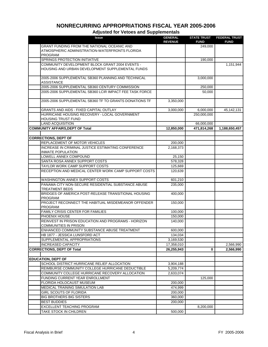| <b>Issue</b>                                              | <b>GENERAL</b><br><b>REVENUE</b> | <b>STATE TRUST</b><br><b>FUND</b> | <b>FEDERAL TRUST</b><br><b>FUND</b> |
|-----------------------------------------------------------|----------------------------------|-----------------------------------|-------------------------------------|
| GRANT FUNDING FROM THE NATIONAL OCEANIC AND               |                                  | 249,000                           |                                     |
| ATMOSPHERIC ADMINISTRATION-WATERFRONTS FLORIDA            |                                  |                                   |                                     |
| <b>PROGRAM</b>                                            |                                  |                                   |                                     |
| SPRINGS PROTECTION INITIATIVE                             |                                  | 190,000                           |                                     |
| COMMUNITY DEVELOPMENT BLOCK GRANT 2004 EVENTS -           |                                  |                                   | 1,151,944                           |
| HOUSING AND URBAN DEVELOPMENT SUPPLEMENTAL FUNDS          |                                  |                                   |                                     |
|                                                           |                                  |                                   |                                     |
| 2005-2006 SUPPLEMENTAL SB360 PLANNING AND TECHNICAL       |                                  | 3,000,000                         |                                     |
| <b>ASSISTANCE</b>                                         |                                  |                                   |                                     |
| 2005-2006 SUPPLEMENTAL SB360 CENTURY COMMISSION           |                                  | 250,000                           |                                     |
| 2005-2006 SUPPLEMENTAL SB360 LCIR IMPACT FEE TASK FORCE   |                                  | 50,000                            |                                     |
|                                                           |                                  |                                   |                                     |
| 2005-2006 SUPPLEMENTAL SB360 TF TO GRANTS DONATIONS TF    | 3,350,000                        |                                   |                                     |
|                                                           |                                  |                                   |                                     |
| <b>GRANTS AND AIDS - FIXED CAPITAL OUTLAY</b>             | 3,000,000                        | 6,000,000                         | 45,142,131                          |
| HURRICANE HOUSING RECOVERY - LOCAL GOVERNMENT             |                                  | 250,000,000                       |                                     |
| <b>HOUSING TRUST FUND</b>                                 |                                  |                                   |                                     |
| <b>LAND ACQUISITION</b>                                   |                                  | 66,000,000                        |                                     |
| <b>COMMUNITY AFFAIRS, DEPT OF Total</b>                   | 12,850,000                       | 471,814,268                       | 1,188,650,457                       |
|                                                           |                                  |                                   |                                     |
| <b>CORRECTIONS, DEPT OF</b>                               |                                  |                                   |                                     |
| REPLACEMENT OF MOTOR VEHICLES                             | 200,000                          |                                   |                                     |
| <b>INCREASE IN CRIMINAL JUSTICE ESTIMATING CONFERENCE</b> | 2,168,373                        |                                   |                                     |
| <b>INMATE POPULATION</b>                                  |                                  |                                   |                                     |
| LOWELL ANNEX COMPOUND                                     | 25,150                           |                                   |                                     |
| SANTA ROSA ANNEX SUPPORT COSTS                            | 578,328                          |                                   |                                     |
| TAYLOR WORK CAMP SUPPORT COSTS                            | 125,669                          |                                   |                                     |
| RECEPTION AND MEDICAL CENTER WORK CAMP SUPPORT COSTS      | 120,639                          |                                   |                                     |
| WASHINGTON ANNEX SUPPORT COSTS                            | 601,210                          |                                   |                                     |
| PANAMA CITY NON-SECURE RESIDENTIAL SUBSTANCE ABUSE        | 235,000                          |                                   |                                     |
| <b>TREATMENT BEDS</b>                                     |                                  |                                   |                                     |
| BRIDGES OF AMERICA POST-RELEASE TRANSITIONAL HOUSING      | 400,000                          |                                   |                                     |
| <b>PROGRAM</b>                                            |                                  |                                   |                                     |
| PROJECT RECONNECT THE HABITUAL MISDEMEANOR OFFENDER       | 150,000                          |                                   |                                     |
| PROGRAM                                                   |                                  |                                   |                                     |
| <b>FAMILY CRISIS CENTER FOR FAMILIES</b>                  | 100,000                          |                                   |                                     |
| PHOENIX HOUSE                                             | 150,000                          |                                   |                                     |
| REINVEST IN PRISON EDUCATION AND PROGRAMS - HORIZON       | 140,000                          |                                   |                                     |
| <b>COMMUNITIES IN PRISON</b>                              |                                  |                                   |                                     |
| ENHANCED COMMUNITY SUBSTANCE ABUSE TREATMENT              | 600,000                          |                                   |                                     |
| HB 1877 - JESSICA LUNSFORD ACT                            | 134,034                          |                                   |                                     |
| SUPPLEMENTAL APPROPRIATIONS                               | 3,169,530                        |                                   |                                     |
| <b>INCREASED CAPACITY</b>                                 | 17,358,010                       |                                   | 2,566,990                           |
| <b>CORRECTIONS, DEPT OF Total</b>                         | 26,255,943                       | 0                                 | 2,566,990                           |
|                                                           |                                  |                                   |                                     |
| <b>EDUCATION, DEPT OF</b>                                 |                                  |                                   |                                     |
| SCHOOL DISTRICT HURRICANE RELIEF ALLOCATION               | 3,904,188                        |                                   |                                     |
| REIMBURSE COMMUNITY COLLEGE HURRICANE DEDUCTIBLE          | 5,209,774                        |                                   |                                     |
| COMMUNITY COLLEGE HURRICANE RECOVERY ALLOCATION           | 2,633,074                        |                                   |                                     |
| FUNDING CURRENT YEAR ENROLLMENT                           |                                  | 125,000                           |                                     |
| FLORIDA HOLOCAUST MUSEUM                                  | 200,000                          |                                   |                                     |
| MEDICAL TRAINING SIMULATION LAB                           | 474,999                          |                                   |                                     |
| GIRL SCOUTS OF FLORIDA                                    | 200,000                          |                                   |                                     |
| <b>BIG BROTHERS BIG SISTERS</b>                           | 360,000                          |                                   |                                     |
| <b>BEST BUDDIES</b>                                       | 200,000                          |                                   |                                     |
| EXCELLENT TEACHING PROGRAM                                |                                  | 8,200,000                         |                                     |
| TAKE STOCK IN CHILDREN                                    | 500,000                          |                                   |                                     |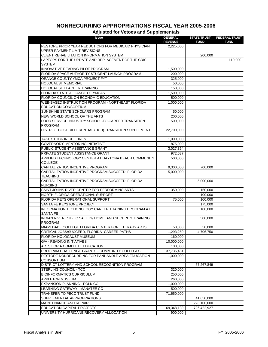| <b>Issue</b>                                                                          | <b>GENERAL</b><br><b>REVENUE</b> | <b>STATE TRUST</b><br><b>FUND</b> | <b>FEDERAL TRUST</b><br><b>FUND</b> |
|---------------------------------------------------------------------------------------|----------------------------------|-----------------------------------|-------------------------------------|
| RESTORE PRIOR YEAR REDUCTIONS FOR MEDICAID PHYSICIAN<br>UPPER PAYMENT LIMIT REVISIONS | 2,225,000                        |                                   |                                     |
| CLIENT REHABILITATION INFORMATION SYSTEM                                              |                                  | 200,000                           |                                     |
| LAPTOPS FOR THE UPDATE AND REPLACEMENT OF THE CRIS                                    |                                  |                                   | 110,000                             |
| <b>SYSTEM</b>                                                                         |                                  |                                   |                                     |
| INNOVATIVE READING PILOT PROGRAM                                                      | 1,500,000                        |                                   |                                     |
| FLORIDA SPACE AUTHORITY STUDENT LAUNCH PROGRAM                                        | 200,000                          |                                   |                                     |
| ORANGE COUNTY YMCA PROJECT FYT                                                        | 325,000                          |                                   |                                     |
| <b>HOLOCAUST MEMORIAL</b>                                                             | 50,000                           |                                   |                                     |
| HOLOCAUST TEACHER TRAINING                                                            | 150,000                          |                                   |                                     |
| FLORIDA STATE ALLIANCE OF YMCAS                                                       | 1,500,000                        |                                   |                                     |
| FLORIDA COUNCIL ON ECONOMIC EDUCATION                                                 | 500,000                          |                                   |                                     |
| WEB-BASED INSTRUCTION PROGRAM - NORTHEAST FLORIDA                                     | 1,000,000                        |                                   |                                     |
| <b>EDUCATION CONSORTIUM</b>                                                           |                                  |                                   |                                     |
| SUNSHINE STATE SCHOLARS PROGRAM                                                       | 50,000                           |                                   |                                     |
| NEW WORLD SCHOOL OF THE ARTS                                                          | 200,000                          |                                   |                                     |
| FOOD SERVICE INDUSTRY SCHOOL-TO-CAREER TRANSITION<br><b>PROGRAM</b>                   | 500,000                          |                                   |                                     |
| DISTRICT COST DIFFERENTIAL (DCD) TRANSITION SUPPLEMENT                                | 22,700,000                       |                                   |                                     |
| <b>TAKE STOCK IN CHILDREN</b>                                                         | 1,000,000                        |                                   |                                     |
| <b>GOVERNOR'S MENTORING INITIATIVE</b>                                                | 875,000                          |                                   |                                     |
| PUBLIC STUDENT ASSISTANCE GRANT                                                       | 3,027,364                        |                                   |                                     |
| PRIVATE STUDENT ASSISTANCE GRANT                                                      | 972,637                          |                                   |                                     |
| APPLIED TECHNOLOGY CENTER AT DAYTONA BEACH COMMUNITY                                  | 500,000                          |                                   |                                     |
| <b>COLLEGE</b>                                                                        |                                  |                                   |                                     |
| CAPITALIZATION INCENTIVE PROGRAM                                                      | 9,300,000                        | 700,000                           |                                     |
| CAPITALIZATION INCENTIVE PROGRAM SUCCEED, FLORIDA -                                   | 5,000,000                        |                                   |                                     |
| <b>TEACHING</b>                                                                       |                                  |                                   |                                     |
| CAPITALIZATION INCENTIVE PROGRAM SUCCEED, FLORIDA -<br><b>NURSING</b>                 |                                  | 5,000,000                         |                                     |
| SAINT JOHNS RIVER CENTER FOR PERFORMING ARTS                                          | 350,000                          | 150,000                           |                                     |
| NORTH FLORIDA OPERATIONAL SUPPORT                                                     |                                  | 100,000                           |                                     |
| FLORIDA KEYS OPERATIONAL SUPPORT                                                      | 75,000                           | 100,000                           |                                     |
| SANTA FE KEYSTONE PROJECT                                                             |                                  | 175,000                           |                                     |
| INFORMATION TECHONOLOGY CAREER TRAINING PROGRAM AT<br><b>SANTA FE</b>                 |                                  | 100,000                           |                                     |
| INDIAN RIVER PUBLIC SAFETY/ HOMELAND SECURITY TRAINING                                |                                  | 500,000                           |                                     |
| <b>PROGRAM</b>                                                                        |                                  |                                   |                                     |
| MIAMI DADE COLLEGE FLORIDA CENTER FOR LITERARY ARTS                                   | 50,000                           | 50,000                            |                                     |
| CRITICAL JOBS/SUCCEED, FLORIDA- CAREER PATHS                                          | 1,293,250                        | 4,706,750                         |                                     |
| FLORIDA HOLOCAUST MUSEUM                                                              | 160,000                          |                                   |                                     |
| <b>G/A - READING INITIATIVES</b>                                                      | 10,000,000                       |                                   |                                     |
| ARTS FOR A COMPLETE EDUCATION                                                         | 100,000                          |                                   |                                     |
| PROGRAM CHALLENGE GRANTS - COMMUNITY COLLEGES                                         | 37,736,481                       |                                   |                                     |
| RESTORE NONRECURRING FOR PANHANDLE AREA EDUCATION                                     | 1,000,000                        |                                   |                                     |
| <b>CONSORTIUM</b>                                                                     |                                  |                                   |                                     |
| DISTRICT LOTTERY AND SCHOOL RECOGNITION PROGRAM                                       |                                  | 67,267,849                        |                                     |
| STERLING COUNCIL - TCC                                                                | 320,000                          |                                   |                                     |
| <b>BIOINFORMATICS CURRICULUM</b>                                                      | 250,000                          |                                   |                                     |
| APPLETON MUSEUM                                                                       | 260,000                          |                                   |                                     |
| EXPANSION PLANNING - POLK CC                                                          | 1,000,000                        |                                   |                                     |
| LEARNING GATEWAY - MANATEE CC                                                         | 500,000                          |                                   |                                     |
| TRANSFER TO PECO TRUST FUND                                                           | 71,650,000                       |                                   |                                     |
| SUPPLEMENTAL APPROPRIATIONS                                                           |                                  | 41,650,000                        |                                     |
| MAINTENANCE AND REPAIR                                                                |                                  | 228,100,000                       |                                     |
| EDUCATION CAPITAL PROJECTS                                                            | 69,348,139                       | 726,422,927                       |                                     |
| UNIVERSITY HURRICANE RECOVERY ALLOCATION                                              | 900,000                          |                                   |                                     |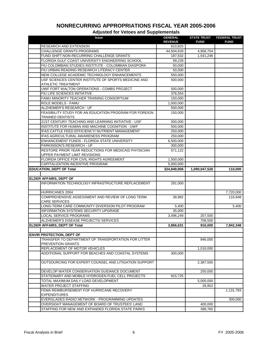| <b>Issue</b>                                                                          | <b>GENERAL</b><br><b>REVENUE</b> | <b>STATE TRUST</b><br><b>FUND</b> | <b>FEDERAL TRUST</b><br><b>FUND</b> |
|---------------------------------------------------------------------------------------|----------------------------------|-----------------------------------|-------------------------------------|
| <b>RESEARCH AND EXTENSION</b>                                                         | 610,825                          |                                   |                                     |
| <b>CHALLENGE GRANTS PROGRAMS</b>                                                      | 44,504,628                       | 4,958,754                         |                                     |
| FUND SHIFT:NON-RECURRING CHALLENGE GRANTS                                             | 187,632                          | 1,541,246                         |                                     |
| FLORIDA GULF COAST UNIVERSITY ENGINEERING SCHOOL                                      | 99,239                           |                                   |                                     |
| FIU COLOMBIAN STUDIES INSTITUTE - COLOMBIAN DIASPORA                                  | 50,000                           |                                   |                                     |
| FIU URBAN READING RESEARCH LITERACY CENTER                                            | 50,000                           |                                   |                                     |
| NEW COLLEGE ACADEMIC TECHNOLOGY ENHANCEMENTS                                          | 550,000                          |                                   |                                     |
| USF SCIENCES CENTER INSTITUTE OF SPORTS MEDICINE AND<br><b>ATHLETIC TREATMENT</b>     | 500,000                          |                                   |                                     |
| UWF FORT WALTON OPERATIONS - COMBS PROJECT                                            | 500,000                          |                                   |                                     |
| FIU LIFE SCIENCES INITIATIVE                                                          | 376,554                          |                                   |                                     |
| FAMU MINORITY TEACHER TRAINING CONSORTIUM                                             | 150,000                          |                                   |                                     |
| ROLE MODELS - FAMU                                                                    | 1,000,000                        |                                   |                                     |
| ALZHEIMER'S RESEARCH - UF                                                             | 500,000                          |                                   |                                     |
| FEASIBILITY STUDY FOR AN EDUCATION PROGRAM FOR FOREIGN                                |                                  |                                   |                                     |
| <b>TRAINED DENTISTS</b>                                                               | 150,000                          |                                   |                                     |
| 21ST CENTURY TEACHING AND LEARNING INITIATIVE - USF                                   | 500,000                          |                                   |                                     |
| INSTITUTE FOR HUMAN AND MACHINE COGNITION - UWF                                       | 500,000                          |                                   |                                     |
| IFAS CATTLE FEED EFFICIENCY/ NUTRIENT MANAGEMENT                                      | 250,000                          |                                   |                                     |
| IFAS AGRICULTURAL AWARENESS PROGRAM                                                   | 250,000                          |                                   |                                     |
| ENHANCEMENT FUNDS - FLORIDA STATE UNIVERSITY                                          | 6,500,000                        |                                   |                                     |
| PARKINSON'S RESEARCH - UF                                                             | 300,000                          |                                   |                                     |
| RESTORE PRIOR YEAR REDUCTIONS FOR MEDICAID PHYSICIAN<br>UPPER PAYMENT LIMIT REVISIONS | 571,122                          |                                   |                                     |
| FLORIDA OFFICE FOR CIVIL RIGHTS AGREEMENT                                             | 1,500,000                        |                                   |                                     |
| CAPITALIZATION INCENTIVE PROGRAM                                                      | 5,000,000                        |                                   |                                     |
| <b>EDUCATION, DEPT OF Total</b>                                                       | 324,849,906                      | 1,090,047,526                     | 110,000                             |
|                                                                                       |                                  |                                   |                                     |
| <b>ELDER AFFAIRS, DEPT OF</b>                                                         |                                  |                                   |                                     |
| INFORMATION TECHNOLOGY INFRASTRUCTURE REPLACEMENT                                     | 291,000                          |                                   |                                     |
| <b>HURRICANES 2004</b>                                                                |                                  |                                   | 7,720,000                           |
| COMPREHENSIVE ASSESSMENT AND REVIEW OF LONG TERM                                      | 38,982                           |                                   | 116,948                             |
| <b>CARE SERVICES</b>                                                                  |                                  |                                   |                                     |
| ONG-TERM CARE COMMUNITY DIVERSION PILOT PROGRAM                                       | 5,400                            |                                   | 5,400                               |
| <b>INFORMATION SYSTEMS SECURITY UPGRADE</b>                                           | 35,000                           |                                   |                                     |
| <b>LOCAL SERVICE PROGRAMS</b>                                                         | 3,496,249                        | 207,500                           |                                     |
| ALZHEIMER'S DISEASE PROJECTS/ SERVICES                                                |                                  | 708,500                           |                                     |
| <b>ELDER AFFAIRS, DEPT OF Total</b>                                                   | 3,866,631                        | 916,000                           | 7,842,348                           |
|                                                                                       |                                  |                                   |                                     |
| <b>ENVIR PROTECTION, DEPT OF</b>                                                      |                                  |                                   |                                     |
| TRANSFER TO DEPARTMENT OF TRANSPORTATION FOR LITTER                                   |                                  | 846,000                           |                                     |
| PREVENTION GRANTS                                                                     |                                  |                                   |                                     |
| REPLACEMENT OF MOTOR VEHICLES                                                         |                                  | 1,016,000                         |                                     |
| ADDITIONAL SUPPORT FOR BEACHES AND COASTAL SYSTEMS                                    | 300,000                          |                                   |                                     |
| OUTSOURCING FOR EXPERT COUNSEL AND LITIGATION SUPPORT                                 |                                  | 2,387,500                         |                                     |
| DEVELOP WATER CONSERVATION GUIDANCE DOCUMENT                                          |                                  | 250,000                           |                                     |
| STATIONARY AND MOBILE HYDROGEN FUEL CELL PROJECTS                                     | 815,725                          |                                   |                                     |
| TOTAL MAXIMUM DAILY LOAD DEVELOPMENT                                                  |                                  | 5,000,000                         |                                     |
| <b>WATER PROJECT STAFFING</b>                                                         |                                  |                                   |                                     |
|                                                                                       |                                  | 28,952                            |                                     |
| FEMA REIMBURSEMENT FOF HURRICANE RECOVERY<br><b>EXPENDITURES</b>                      |                                  |                                   | 1,131,783                           |
| EVERGLADES RADIO NETWORK - PROGRAMMING UPDATES                                        |                                  |                                   | 300,000                             |
| OVERSIGHT MANAGEMENT OF BOARD OF TRUSTEES' LAND                                       |                                  | 400,000                           |                                     |
| STAFFING FOR NEW AND EXPANDED FLORIDA STATE PARKS                                     |                                  | 398,760                           |                                     |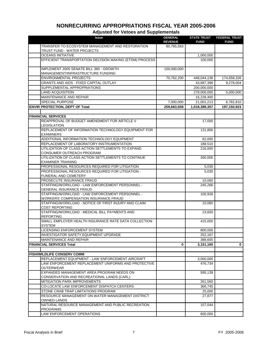| <b>Issue</b>                                                                      | <b>GENERAL</b> | <b>STATE TRUST</b> | <b>FEDERAL TRUST</b> |
|-----------------------------------------------------------------------------------|----------------|--------------------|----------------------|
| TRANSFER TO ECOSYSTEM MANAGEMENT AND RESTORATION                                  | <b>REVENUE</b> | <b>FUND</b>        | <b>FUND</b>          |
| TRUST FUND - WATER PROJECTS                                                       | 80,785,583     |                    |                      |
| <b>OCEANS INITIATIVE</b>                                                          |                | 1,000,000          |                      |
| EFFICIENT TRANSPORTATION DECISION MAKING (ETDM) PROCESS                           |                | 100,000            |                      |
|                                                                                   |                |                    |                      |
| IMPLEMENT 2005 SENATE BILL 360 - GROWTH                                           | 100,000,000    |                    |                      |
| MANAGEMENT/INFRASTRUCTURE FUNDING                                                 |                |                    |                      |
| <b>ENVIRONMENTAL PROJECTS</b>                                                     | 70,762,200     | 448,044,136        | 174,658,326          |
| GRANTS AND AIDS - FIXED CAPITAL OUTLAY                                            |                | 43,687,396         | 9,278,004            |
| SUPPLEMENTAL APPROPRIATIONS                                                       |                | 200,000,000        |                      |
| <b>LAND ACQUISITION</b>                                                           |                | 278,000,000        | 5,000,000            |
| MAINTENANCE AND REPAIR                                                            |                | 16,228,400         |                      |
| <b>SPECIAL PURPOSE</b>                                                            | 7,000,000      | 21,001,213         | 6,782,810            |
| <b>ENVIR PROTECTION, DEPT OF Total</b>                                            | 259,663,508    | 1,018,388,357      | 197,150,923          |
|                                                                                   |                |                    |                      |
| <b>FINANCIAL SERVICES</b>                                                         |                |                    |                      |
| REAPPROVAL OF BUDGET AMENDMENT FOR ARTICLE V                                      |                | 17,000             |                      |
| <b>LEGISLATION</b>                                                                |                |                    |                      |
| REPLACEMENT OF INFORMATION TECHNOLOGY EQUIPMENT FOR                               |                | 131,856            |                      |
| <b>EXAMINERS</b>                                                                  |                |                    |                      |
| ADDITIONAL INFORMATION TECHNOLOGY EQUIPMENT                                       |                | 82,000             |                      |
| REPLACEMENT OF LABORATORY INSTRUMENTATION                                         |                | 188,510            |                      |
| UTILIZATION OF CLASS ACTION SETTLEMENTS TO EXPAND                                 |                | 216,000            |                      |
| CONSUMER OUTREACH PROGRAM                                                         |                |                    |                      |
| UTILIZATION OF CLASS ACTION SETTLEMENTS TO CONTINUE                               |                | 260,000            |                      |
| <b>EXAMINER TRAINING</b>                                                          |                |                    |                      |
| PROFESSIONAL RESOURCES REQUIRED FOR LITIGATION                                    |                | 5,030              |                      |
| PROFESSIONAL RESOURCES REQUIRED FOR LITIGATION -                                  |                | 5,030              |                      |
| FUNERAL AND CEMETERY                                                              |                |                    |                      |
| PROSECUTE INSURANCE FRAUD                                                         |                | 10,060             |                      |
| STAFFING/WORKLOAD - LAW ENFORCEMENT PERSONNEL -<br><b>GENERAL INSURANCE FRAUD</b> |                | 245,266            |                      |
| STAFFING/WORKLOAD - LAW ENFORCEMENT PERSONNEL -                                   |                | 100,926            |                      |
| <b>WORKERS' COMPENSATION INSURANCE FRAUD</b>                                      |                |                    |                      |
| STAFFING/WORKLOAD - NOTICE OF FIRST INJURY AND CLAIM                              |                | 10,060             |                      |
| COST REPORTING                                                                    |                |                    |                      |
| STAFFING/WORKLOAD - MEDICAL BILL PAYMENTS AND                                     |                | 23,650             |                      |
| <b>REPORTING</b>                                                                  |                |                    |                      |
| SMALL EMPLOYER HEALTH INSURANCE RATE DATA COLLECTION                              |                | 415,000            |                      |
| <b>SYSTEM</b>                                                                     |                |                    |                      |
| LICENSING ENFORCEMENT SYSTEM                                                      |                | 800,000            |                      |
| <b>INVESTIGATOR SAFETY EQUIPMENT UPGRADE</b>                                      |                | 252,167            |                      |
| MAINTENANCE AND REPAIR                                                            |                | 388,605            |                      |
| <b>FINANCIAL SERVICES Total</b>                                                   | 0              | 3,151,160          | $\mathbf 0$          |
|                                                                                   |                |                    |                      |
| <b>FISH/WILDLIFE CONSERV COMM</b>                                                 |                |                    |                      |
| REPLACEMENT EQUIPMENT - LAW ENFORCEMENT AIRCRAFT                                  |                | 3,000,000          |                      |
| LAW ENFORCEMENT REPLACEMENT UNIFORMS AND PROTECTIVE                               |                | 476,734            |                      |
| <b>OUTERWEAR</b>                                                                  |                |                    |                      |
| EXPANDED MANAGEMENT AREA PROGRAM NEEDS ON                                         |                | 595,139            |                      |
| CONSERVATION AND RECREATIONAL LANDS (CARL)<br>MITIGATION PARK IMPROVEMENTS        |                | 261,560            |                      |
| CO-LOCATE LAW ENFORCEMENT DISPATCH CENTERS                                        |                | 366,745            |                      |
| STONE CRAB TRAP LIMITATIONS PROGRAM                                               |                | 25,000             |                      |
| RESOURCE MANAGEMENT ON WATER MANAGEMENT DISTRICT                                  |                | 27,877             |                      |
| <b>OWNED LANDS</b>                                                                |                |                    |                      |
| NATURAL RESOURCE MANAGEMENT AND PUBLIC RECREATION                                 |                | 157,044            |                      |
| <b>PROGRAMS</b>                                                                   |                |                    |                      |
| LAW ENFORCEMENT OPERATIONS                                                        |                | 600,000            |                      |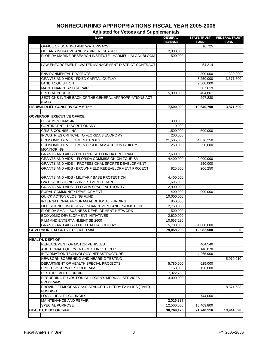| <b>Issue</b>                                                            | <b>GENERAL</b><br><b>REVENUE</b> | <b>STATE TRUST</b><br><b>FUND</b> | <b>FEDERAL TRUST</b><br><b>FUND</b> |
|-------------------------------------------------------------------------|----------------------------------|-----------------------------------|-------------------------------------|
| OFFICE OF BOATING AND WATERWAYS                                         |                                  | 16,725                            |                                     |
| OCEANS INITIATIVE AND MARINE RESEARCH                                   | 2,000,000                        |                                   |                                     |
| FLORIDA MARINE RESEARCH INSTITUTE - HARMFUL ALGAL BLOOM                 | 500,000                          |                                   |                                     |
|                                                                         |                                  |                                   |                                     |
| LAW ENFORCEMENT - WATER MANAGEMENT DISTRICT CONTRACT                    |                                  | 54,214                            |                                     |
| <b>ENVIRONMENTAL PROJECTS</b>                                           |                                  | 300,000                           | 300,000                             |
| <b>GRANTS AND AIDS - FIXED CAPITAL OUTLAY</b>                           |                                  | 3,250,000                         | 3,571,500                           |
| <b>LAND ACQUISITION</b>                                                 |                                  | 9,500,000                         |                                     |
| MAINTENANCE AND REPAIR                                                  |                                  | 307,619                           |                                     |
| <b>SPECIAL PURPOSE</b>                                                  | 5,000,000                        | 404,861                           |                                     |
| SECTIONS IN THE BACK OF THE GENERAL APPROPRIATIONS ACT                  |                                  | 297,280                           |                                     |
| (GAA)                                                                   |                                  |                                   |                                     |
| <b>FISH/WILDLIFE CONSERV COMM Total</b>                                 | 7,500,000                        | 19,640,798                        | 3,871,500                           |
|                                                                         |                                  |                                   |                                     |
| <b>GOVERNOR, EXECUTIVE OFFICE</b>                                       |                                  |                                   |                                     |
| <b>DOCUMENT IMAGING</b>                                                 | 300,000                          |                                   |                                     |
| CONTINGENT - DISCRETIONARY                                              | 10,000                           |                                   |                                     |
| <b>CRISIS COUNSELING</b>                                                | 1,500,000                        | 500,000                           |                                     |
| INDUSTRIES CRITICAL TO FLORIDA'S ECONOMY                                | 200,000                          |                                   |                                     |
| ECONOMIC DEVELOPMENT TOOLS                                              | 21,505,000                       | 4,876,250                         |                                     |
| ECONOMIC DEVELOPMENT PROGRAM ACCOUNTABILITY                             | 250,000                          | 250,000                           |                                     |
| <b>MONITORING</b>                                                       |                                  |                                   |                                     |
| GRANTS AND AIDS - ENTERPRISE FLORIDA PROGRAM                            | 7,600,000                        |                                   |                                     |
| GRANTS AND AIDS - FLORIDA COMMISSION ON TOURISM                         | 4,400,000                        | 2,000,000                         |                                     |
| GRANTS AND AIDS - PROFESSIONAL SPORTS DEVELOPMENT                       |                                  | 250,000                           |                                     |
| GRANTS AND AIDS - BROWNFIELD REDEVELOPMENT PROJECT                      | 825,000                          | 206,250                           |                                     |
| <b>GRANTS AND AIDS - MILITARY BASE PROTECTION</b>                       | 4,400,000                        |                                   |                                     |
| G/A BLACK BUSINESS INVESTMENT BOARD                                     | 1,695,000                        |                                   |                                     |
| GRANTS AND AIDS - FLORIDA SPACE AUTHORITY                               | 2,900,000                        |                                   |                                     |
| RURAL COMMUNITY DEVELOPMENT                                             | 400,000                          | 900,000                           |                                     |
| QUICK ACTION CLOSING FUND                                               | 10,000,000                       |                                   |                                     |
| INTERNATIONAL PROGRAM ADDITIONAL FUNDING                                | 850,000                          |                                   |                                     |
| LIFE SCIENCE INDUSTRY ENHANCEMENT AND PROMOTION                         | 2,750,000                        |                                   |                                     |
| FLORIDA SMALL BUSINESS DEVELOPMENT NETWORK                              | 500,000                          |                                   |                                     |
| ECONOMIC DEVELOPMENT INITIATIVES                                        | 2,620,000                        |                                   |                                     |
| FILM AND ENTERTAINMENT SB 2600                                          | 10,653,296                       |                                   |                                     |
| GRANTS AND AIDS - FIXED CAPITAL OUTLAY                                  | 5,700,000                        | 4,000,000                         |                                     |
| <b>GOVERNOR, EXECUTIVE OFFICE Total</b>                                 | 79,058,296                       | 12,982,500                        | 0                                   |
|                                                                         |                                  |                                   |                                     |
| <b>HEALTH, DEPT OF</b>                                                  |                                  |                                   |                                     |
| REPLACEMENT OF MOTOR VEHICLES                                           |                                  | 404,540                           |                                     |
| ADDITIONAL EQUIPMENT - MOTOR VEHICLES                                   |                                  | 146,870                           |                                     |
| INFORMATION TECHNOLOGY INFRASTRUCTURE                                   |                                  | 4,265,906                         |                                     |
| NEWBORN SCREENING AND HEARING TESTING                                   |                                  |                                   | 5,070,010                           |
| DEPARTMENT OF HEALTH SPECIAL PROJECTS                                   | 5,780,000                        | 625,000                           |                                     |
| EPILEPSY SERVICES PROGRAM                                               | 150,000                          | 150,000                           |                                     |
| <b>RESTORE AHEC FUNDING</b>                                             | 7,322,789                        |                                   |                                     |
| RECURRING FUNDS FOR CHILDREN'S MEDICAL SERVICES<br><b>PROGRAMS</b>      | 3,000,000                        |                                   |                                     |
| PROVIDE TEMPORARY ASSISTANCE TO NEEDY FAMILIES (TANF)<br><b>FUNDING</b> |                                  |                                   | 8,871,588                           |
| <b>LOCAL HEALTH COUNCILS</b>                                            |                                  | 744,000                           |                                     |
| MAINTENANCE AND REPAIR                                                  | 2,016,337                        |                                   |                                     |
| <b>SPECIAL PURPOSE</b>                                                  | 12,500,000                       | 15,403,800                        |                                     |
| <b>HEALTH, DEPT OF Total</b>                                            | 30,769,126                       | 21,740,116                        | 13,941,598                          |
|                                                                         |                                  |                                   |                                     |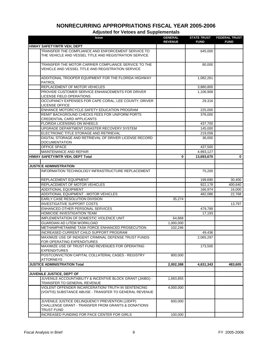| <b>Issue</b>                                                                                                        | <b>GENERAL</b><br><b>REVENUE</b> | <b>STATE TRUST</b><br><b>FUND</b> | <b>FEDERAL TRUST</b><br><b>FUND</b> |
|---------------------------------------------------------------------------------------------------------------------|----------------------------------|-----------------------------------|-------------------------------------|
| HIWAY SAFETY/MTR VEH, DEPT                                                                                          |                                  |                                   |                                     |
| TRANSFER THE COMPLIANCE AND ENFORCEMENT SERVICE TO<br>THE VEHICLE AND VESSEL TITLE AND REGISTRATION SERVICE         |                                  | 645,000                           |                                     |
| TRANSFER THE MOTOR CARRIER COMPLIANCE SERVICE TO THE<br>VEHICLE AND VESSEL TITLE AND REGISTRATION SERVICE           |                                  | 80,000                            |                                     |
| ADDITIONAL TROOPER EQUIPMENT FOR THE FLORIDA HIGHWAY<br><b>PATROL</b>                                               |                                  | 1,082,261                         |                                     |
| REPLACEMENT OF MOTOR VEHICLES                                                                                       |                                  | 3,880,800                         |                                     |
| PROVIDE CUSTOMER SERVICE ENHANCEMENTS FOR DRIVER<br>LICENSE FIELD OPERATIONS                                        |                                  | 1,106,908                         |                                     |
| OCCUPANCY EXPENSES FOR CAPE CORAL, LEE COUNTY, DRIVER<br><b>LICENSE OFFICE</b>                                      |                                  | 29,316                            |                                     |
| ENHANCE MOTORCYCLE SAFETY EDUCATION PROGRAM                                                                         |                                  | 225,000                           |                                     |
| REMIT BACKGROUND CHECKS FEES FOR UNIFORM PORTS<br>CREDENTIAL CARD APPLICANTS                                        |                                  | 376,000                           |                                     |
| FLORIDA LICENSING ON WHEELS                                                                                         |                                  | 437,700                           |                                     |
| UPGRADE DEPARTMENT DISASTER RECOVERY SYSTEM                                                                         |                                  | 145,000                           |                                     |
| ELECTRONIC TITLE STORAGE AND RETRIEVAL                                                                              |                                  | 219,058                           |                                     |
| DIGITAL STORAGE AND RETRIEVAL OF DRIVER LICENSE RECORD<br><b>DOCUMENTATION</b>                                      |                                  | 36,000                            |                                     |
| OFFICE SPACE                                                                                                        |                                  | 437,500                           |                                     |
| <b>MAINTENANCE AND REPAIR</b>                                                                                       |                                  | 4,993,127                         |                                     |
| HIWAY SAFETY/MTR VEH, DEPT Total                                                                                    | 0                                | 13,693,670                        | $\mathbf 0$                         |
|                                                                                                                     |                                  |                                   |                                     |
| <b>JUSTICE ADMINISTRATION</b>                                                                                       |                                  |                                   |                                     |
| INFORMATION TECHNOLOGY INFRASTRUCTURE REPLACEMENT                                                                   |                                  | 75,200                            |                                     |
| REPLACEMENT EQUIPMENT                                                                                               |                                  | 199,690                           | 30,400                              |
| REPLACEMENT OF MOTOR VEHICLES                                                                                       |                                  | 922,178                           | 400,640                             |
| <b>ADDITIONAL EQUIPMENT</b>                                                                                         |                                  | 166,974                           | 16,000                              |
| ADDITIONAL EQUIPMENT - MOTOR VEHICLES                                                                               |                                  | 482,086                           | 22,768                              |
| EARLY CASE RESOLUTION DIVISION                                                                                      | 35,274                           |                                   |                                     |
| <b>INVESTIGATIVE SUPPORT COSTS</b>                                                                                  |                                  |                                   | 13,797                              |
| ENHANCED OTHER PERSONAL SERVICES                                                                                    |                                  | 479,789                           |                                     |
| HOMICIDE INVESTIGATION TEAM                                                                                         |                                  | 17,193                            |                                     |
| IMPLEMENTATION OF DOMESTIC VIOLENCE UNIT                                                                            | 64,868                           |                                   |                                     |
| GUARDIAN AD LITEM WORKLOAD                                                                                          | 1,000,000                        |                                   |                                     |
| METHAMPHETAMINE TASK FORCE ENHANCED PROSECUTION                                                                     | 102,246                          |                                   |                                     |
| INCREASED CURRENT CHILD SUPPORT PROGRAM                                                                             |                                  | 49,436                            |                                     |
| MAXIMIZE USE OF INDIGENT CRIMINAL DEFENSE TRUST FUNDS<br>FOR OPERATING EXPENDITURES                                 |                                  | 2,065,297                         |                                     |
| MAXIMIZE USE OF TRUST FUND REVENUES FOR OPERATING<br><b>EXPENDITURES</b>                                            |                                  | 173,500                           |                                     |
| POSTCONVICTION CAPITAL COLLATERAL CASES - REGISTRY<br><b>ATTORNEYS</b>                                              | 800,000                          |                                   |                                     |
| <b>JUSTICE ADMINISTRATION Total</b>                                                                                 | 2,002,388                        | 4,631,343                         | 483,605                             |
|                                                                                                                     |                                  |                                   |                                     |
| JUVENILE JUSTICE, DEPT OF                                                                                           |                                  |                                   |                                     |
| JUVENILE ACCOUNTABILITY & INCENTIVE BLOCK GRANT (JAIBG) -<br>TRANSFER TO GENERAL REVENUE                            | 1,693,855                        |                                   |                                     |
| VIOLENT OFFENDER INCARCERATION/ TRUTH IN SENTENCING                                                                 | 4,000,000                        |                                   |                                     |
| (VOI/TIS) SUBSTANCE ABUSE - TRANSFER TO GENERAL REVENUE                                                             |                                  |                                   |                                     |
| JUVENILE JUSTICE DELINQUENCY PREVENTION (JJDFP)<br>CHALLENGE GRANT - TRANSFER FROM GRANTS & DONATIONS<br>TRUST FUND | 600,000                          |                                   |                                     |
| INCREASED FUNDING FOR PACE CENTER FOR GIRLS                                                                         | 100,000                          |                                   |                                     |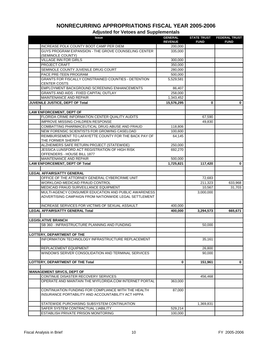| <b>Issue</b>                                                                                                  | <b>GENERAL</b><br><b>REVENUE</b> | <b>STATE TRUST</b><br><b>FUND</b> | <b>FEDERAL TRUST</b><br><b>FUND</b> |
|---------------------------------------------------------------------------------------------------------------|----------------------------------|-----------------------------------|-------------------------------------|
| INCREASE POLK COUNTY BOOT CAMP PER DIEM                                                                       | 200,000                          |                                   |                                     |
| GUYS PROGRAM EXPANSION - THE GROVE COUNSELING CENTER<br>(SEMINOLE COUNTY)                                     | 335,000                          |                                   |                                     |
| <b>VILLAGE INN FOR GIRLS</b>                                                                                  | 300,000                          |                                   |                                     |
| PROJECT CRAFT                                                                                                 | 350,000                          |                                   |                                     |
| SEMINOLE COUNTY JUVENILE DRUG COURT                                                                           | 280,000                          |                                   |                                     |
| PACE PRE-TEEN PROGRAM                                                                                         | 500,000                          |                                   |                                     |
| GRANTS FOR FISCALLY CONSTRAINED COUNTIES - DETENTION<br><b>CENTER COSTS</b>                                   | 5,529,581                        |                                   |                                     |
| EMPLOYMENT BACKGROUND SCREENING ENHANCEMENTS                                                                  | 86,407                           |                                   |                                     |
| <b>GRANTS AND AIDS - FIXED CAPITAL OUTLAY</b>                                                                 | 258,000                          |                                   |                                     |
| <b>MAINTENANCE AND REPAIR</b>                                                                                 | 1,343,452                        |                                   |                                     |
| JUVENILE JUSTICE, DEPT OF Total                                                                               | 15,576,295                       | 0                                 | $\mathbf 0$                         |
| <b>LAW ENFORCEMENT, DEPT OF</b>                                                                               |                                  |                                   |                                     |
| FLORIDA CRIME INFORMATION CENTER QUALITY AUDITS                                                               |                                  | 67,590                            |                                     |
| <b>IMPROVE MISSING CHILDREN RESPONSE</b>                                                                      |                                  | 49,830                            |                                     |
| COMBATTING PHARMACEUTICAL DRUG ABUSE AND FRAUD                                                                | 118,806                          |                                   |                                     |
| NEW FORENSIC SCIENTISTS FOR GROWING CASELOAD                                                                  | 100,600                          |                                   |                                     |
| REIMBURSEMENT TO LAFAYETTE COUNTY FOR THE BACK PAY OF<br>THE FORMER SHERIFF                                   | 64,145                           |                                   |                                     |
| ALZHEIMERS SAFE RETURN PROJECT (STATEWIDE)                                                                    | 250,000                          |                                   |                                     |
| JESSICA LUNSFORD ACT REGISTRATION OF HIGH RISK                                                                | 692,270                          |                                   |                                     |
| OFFENDERS - HOUSE BILL 1877                                                                                   |                                  |                                   |                                     |
| MAINTENANCE AND REPAIR                                                                                        | 500,000                          |                                   |                                     |
| <b>LAW ENFORCEMENT, DEPT OF Total</b>                                                                         | 1,725,821                        | 117,420                           | $\mathbf 0$                         |
|                                                                                                               |                                  |                                   |                                     |
| <b>LEGAL AFFAIRS/ATTY GENERAL</b>                                                                             |                                  |                                   |                                     |
| OFFICE OF THE ATTORNEY GENERAL CYBERCRIME UNIT                                                                |                                  | 72,683                            |                                     |
| WORKLOAD-MEDICAID FRAUD CONTROL                                                                               |                                  | 211,323                           | 633,968                             |
| MEDICAID FRAUD SURVEILLANCE EQUIPMENT                                                                         |                                  | 10,567                            | 31,703                              |
| MULTI-AGENCY CONSUMER EDUCATION AND PUBLIC AWARENESS<br>ADVERTISING CAMPAIGN FROM NATIONWIDE LEGAL SETTLEMENT |                                  | 3,000,000                         |                                     |
| INCREASE SERVICES FOR VICTIMS OF SEXUAL ASSAULT                                                               | 400.000                          |                                   |                                     |
| <b>LEGAL AFFAIRS/ATTY GENERAL Total</b>                                                                       | 400,000                          | 3,294,573                         | 665,671                             |
|                                                                                                               |                                  |                                   |                                     |
| <b>LEGISLATIVE BRANCH</b>                                                                                     |                                  |                                   |                                     |
| SB 360 - INFRASTRUCTURE PLANNING AND FUNDING                                                                  |                                  | 50,000                            |                                     |
|                                                                                                               |                                  |                                   |                                     |
| LOTTERY, DEPARTMENT OF THE                                                                                    |                                  |                                   |                                     |
| INFORMATION TECHNOLOGY INFRASTRUCTURE REPLACEMENT                                                             |                                  | 35,161                            |                                     |
| REPLACEMENT EQUIPMENT                                                                                         |                                  | 26,800                            |                                     |
| WINDOWS SERVER CONSOLIDATION AND TERMINAL SERVICES                                                            |                                  | 90,000                            |                                     |
| <b>LOTTERY, DEPARTMENT OF THE Total</b>                                                                       | 0                                | 151,961                           | 0                                   |
|                                                                                                               |                                  |                                   |                                     |
| <b>MANAGEMENT SRVCS, DEPT OF</b>                                                                              |                                  |                                   |                                     |
| CONTINUE DISASTER RECOVERY SERVICES                                                                           |                                  | 456,468                           |                                     |
| OPERATE AND MAINTAIN THE MYFLORIDA.COM INTERNET PORTAL                                                        | 363,000                          |                                   |                                     |
| CONTINUATION FUNDING FOR COMPLIANCE WITH THE HEALTH<br>INSURANCE PORTABILITY AND ACCOUNTABILITY ACT HIPPA     | 87,000                           |                                   |                                     |
| STATEWIDE PURCHASING SUBSYSTEM CONTINUATION                                                                   |                                  | 1,369,831                         |                                     |
| SAFER SYSTEM CONTRACTUAL LIABILITY                                                                            | 529,214                          |                                   |                                     |
| ESTABLISH PRIVATE PRISON MONITORING                                                                           | 100,000                          |                                   |                                     |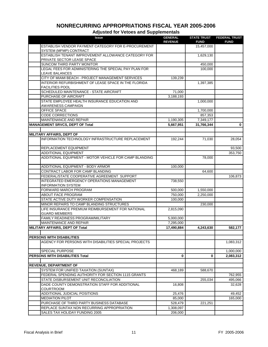| <b>Issue</b>                                                                       | <b>GENERAL</b> | <b>STATE TRUST</b>        | <b>FEDERAL TRUST</b> |
|------------------------------------------------------------------------------------|----------------|---------------------------|----------------------|
| ESTABLISH VENDOR PAYMENT CATEGORY FOR E-PROCUREMENT                                | <b>REVENUE</b> | <b>FUND</b><br>15,457,000 | <b>FUND</b>          |
| SYSTEM (MFMP) CONTRACT                                                             |                |                           |                      |
| ESTABLISH TENANT IMPROVEMENT ALLOWANCE CATEGORY FOR                                |                | 1,629,130                 |                      |
| PRIVATE SECTOR LEASE SPACE                                                         |                |                           |                      |
| SUNCOM THIRD PARTY MONITOR                                                         |                | 450,000                   |                      |
| LEGAL FEES FOR ADMINISTERING THE SPECIAL PAY PLAN FOR                              |                | 100,000                   |                      |
| <b>LEAVE BALANCES</b>                                                              |                |                           |                      |
| CITY OF MIAMI BEACH - PROJECT MANAGEMENT SERVICES                                  | 139,239        |                           |                      |
| INTERIOR REFURBISHMENT OF LEASE SPACE IN THE FLORIDA<br><b>FACILITIES POOL</b>     |                | 1,397,385                 |                      |
| SCHEDULED MAINTENANCE - STATE AIRCRAFT                                             | 71,000         |                           |                      |
| PURCHASE OF AIRCRAFT                                                               | 3,188,193      |                           |                      |
| STATE EMPLOYEE HEALTH INSURANCE EDUCATION AND                                      |                | 1,000,000                 |                      |
| <b>AWARENESS CAMPAIGN</b>                                                          |                |                           |                      |
| <b>OFFICE SPACE</b>                                                                |                | 1,700,000                 |                      |
| <b>CODE CORRECTIONS</b>                                                            |                | 857,353                   |                      |
| MAINTENANCE AND REPAIR                                                             | 1,190,305      | 7,349,177                 |                      |
| <b>MANAGEMENT SRVCS, DEPT OF Total</b>                                             | 5,667,951      | 31,766,344                | $\mathbf 0$          |
|                                                                                    |                |                           |                      |
| <b>MILITARY AFFAIRS, DEPT OF</b>                                                   |                |                           |                      |
| INFORMATION TECHNOLOGY INFRASTRUCTURE REPLACEMENT                                  | 192,244        | 71,030                    | 28,054               |
| REPLACEMENT EQUIPMENT                                                              |                |                           | 93,500               |
| <b>ADDITIONAL EQUIPMENT</b>                                                        |                |                           | 353,750              |
| ADDITIONAL EQUIPMENT - MOTOR VEHICLE FOR CAMP BLANDING                             |                | 78,000                    |                      |
|                                                                                    |                |                           |                      |
| ADDITIONAL EQUIPMENT - BODY ARMOR                                                  | 100,000        |                           |                      |
| CONTRACT LABOR FOR CAMP BLANDING                                                   |                | 64,600                    |                      |
| FEDERAL/STATE COOPERATIVE AGREEMENT SUPPORT                                        |                |                           | 106,873              |
| INTEGRATED EMERGENCY OPERATIONS MANAGEMENT                                         | 738,550        |                           |                      |
| <b>INFORMATION SYSTEM</b>                                                          |                |                           |                      |
| FORWARD MARCH PROGRAM                                                              | 500,000        | 1,550,000                 |                      |
| <b>ABOUT FACE PROGRAM</b>                                                          | 750,000        | 2,250,000                 |                      |
| STATE ACTIVE DUTY WORKER COMPENSATION<br>MINOR REPAIRS TO CAMP BLANDING STRUCTURES | 100,000        |                           |                      |
| LIFE INSURANCE PREMIUM REIMBURSEMENT FOR NATIONAL                                  |                | 230,000                   |                      |
| <b>GUARD MEMBERS</b>                                                               | 2,815,090      |                           |                      |
| FAMILY READINESS PROGRAM/MILITARY                                                  | 5,000,000      |                           |                      |
| MAINTENANCE AND REPAIR                                                             | 7,295,000      |                           |                      |
| <b>MILITARY AFFAIRS, DEPT OF Total</b>                                             | 17,490,884     | 4,243,630                 | 582,177              |
|                                                                                    |                |                           |                      |
| PERSONS WITH DISABILITIES                                                          |                |                           |                      |
| AGENCY FOR PERSONS WITH DISABILITIES SPECIAL PROJECTS                              |                |                           | 1,083,312            |
|                                                                                    |                |                           |                      |
| SPECIAL PURPOSE                                                                    |                |                           | 1,000,000            |
| <b>PERSONS WITH DISABILITIES Total</b>                                             | 0              | 0                         | 2,083,312            |
|                                                                                    |                |                           |                      |
| <b>REVENUE, DEPARTMENT OF</b><br>SYSTEM FOR UNIFIED TAXATION (SUNTAX)              | 468,189        | 588,670                   |                      |
| FEDERAL SPENDING AUTHORITY FOR SECTION 1115 GRANTS                                 |                |                           | 762,955              |
| STATE DISBURSEMENT UNIT RECONCILIATION                                             |                | 255,034                   | 495,066              |
| DADE COUNTY DEMONSTRATION STAFF FOR ADDITIONAL                                     | 16,808         |                           | 32,628               |
| <b>COURTROOM</b>                                                                   |                |                           |                      |
| ADDITIONAL JUDICIAL POSITIONS                                                      | 25,476         |                           | 49,452               |
| <b>MEDIATION PILOT</b>                                                             | 85,000         |                           | 165,000              |
| PURCHASE OF THIRD PARTY BUSINESS DATABASE                                          | 528,479        | 221,251                   |                      |
| REPLACE SUNTAX NON RECURRING APPROPRIATION                                         | 1,308,097      |                           |                      |
| SALES TAX HOLIDAY FUNDING 2005                                                     | 206,000        |                           |                      |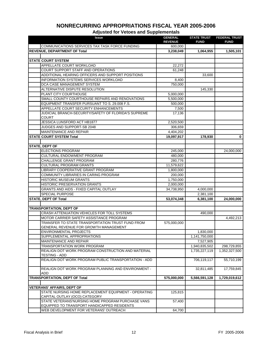#### **Issue GENERAL REVENUE STATE TRUST FUND FEDERAL TRUST FUND Adjusted for Vetoes and Supplementals** COMMUNICATIONS SERVICES TAX TASK FORCE FUNDING 600,000 **REVENUE, DEPARTMENT OF Total 3,238,049 1,064,955 1,505,101 STATE COURT SYSTEM** APPELLATE COURT WORKLOAD 22,272 COURT SUPPORT STAFF AND OPERATIONS 61,248 ADDITIONAL HEARING OFFICERS AND SUPPORT POSITIONS  $\vert$  33,600 33,600 INFORMATION SYSTEMS SERVICES WORKLOAD 8,400 DCA CASE MANAGEMENT SYSTEM 750,000 ALTERNATIVE DISPUTE RESOLUTION **145,330** PLANT CITY COURTHOUSE **FULL ASSAULT AS A SEXUAL EXAMPLE 25,000,000** SMALL COUNTY COURTHOUSE REPAIRS AND RENOVATIONS  $\begin{bmatrix} 5,500,000 \end{bmatrix}$ EQUIPMENT TRANSFER PURSUANT TO S. 29.008 F.S. 600,000 APPELLATE COURT SECURITY ENHANCEMENTS  $\vert$  7,500 JUDICIAL BRANCH-SECURITY/SAFETY OF FLORIDA'S SUPREME **COURT** 17,136 JESSICA LUNSFORD ACT HB1877 2,520,500 JUDGES AND SUPPORT-SB 2048 306,659 MAINTENANCE AND REPAIR  $\begin{array}{|c|c|c|c|c|c|}\n\hline\n\text{MAINTENANCE AND REPAIR} \end{array} \hspace{1cm} 4,404,202$ **STATE COURT SYSTEM Total 19,097,917 178,930 0 STATE, DEPT OF** ELECTIONS PROGRAM 24,000,000 24,000,000 24,000,000 24,000,000 CULTURAL ENDOWMENT PROGRAM 480.000 CHALLENGE GRANT PROGRAM 280,776 CULTURAL PROGRAM GRANTS 11,579,622 LIBRARY COOPERATIVE GRANT PROGRAM 1,800,000 1,800,000 COMMUNITY LIBRARIES IN CARING PROGRAM 200,000 HISTORIC MUSEUM GRANTS 1,750,000 HISTORIC PRESERVATION GRANTS 2,000,000 GRANTS AND AIDS - FIXED CAPITAL OUTLAY **1999 120 120 134,738,950** 4,000,000 SPECIAL PURPOSE 2,381,100 **STATE, DEPT OF Total 53,074,348 6,381,100 24,000,000 TRANSPORTATION, DEPT OF** CRASH ATTENUATION VEHICLES FOR TOLL SYSTEMS 490,000 MOTOR CARRIER SAFETY ASSISTANCE PROGRAM **1992,213** 4,492,213 TRANSFER TO STATE TRANSPORTATION TRUST FUND FROM GENERAL REVENUE FOR GROWTH MANAGEMENT 575,000,000 ENVIRONMENTAL PROJECTS 1,830,000 SUPPLEMENTAL APPROPRIATIONS 1,141,750,000 MAINTENANCE AND REPAIR **Fig. 10.1 and 20.3 and 3.527,905** TRANSPORTATION WORK PROGRAM 1,940,835,502 298,729,855 REALIGN DOT WORK PROGRAM CONSTRUCTION AND MATERIAL TESTING - ADD 1,735,227,119 1,352,327,500 REALIGN DOT WORK PROGRAM PUBLIC TRANSPORTATION - ADD | 706,119,117 | 55,710,199 REALIGN DOT WORK PROGRAM PLANNING AND ENVIRONMENT - ADD 32,811,485 17,759,845 **TRANSPORTATION, DEPT OF Total 575,000,000 5,566,591,128 1,729,019,612 VETERANS' AFFAIRS, DEPT OF** STATE NURSING HOME REPLACEMENT EQUIPMENT - OPERATING CAPITAL OUTLAY (OCO) CATEGORY 125,815 STATE VETERANS'NURSING HOME PROGRAM PURCHASE VANS EQUIPPED TO TRANSPORT HANDICAPPED RESIDENTS 57,400 WEB DEVELOPMENT FOR VETERANS' OUTREACH **FOR A SA AND THE SET ALSO CONTRACT**

## **NONRECURRING APPROPRIATIONS FISCAL YEAR 2005-2006**

Fiscal Analysis in Brief 12 Fiscal Analysis in Brief 12 Fiscal Analysis in Brief 12 FY 2005-2006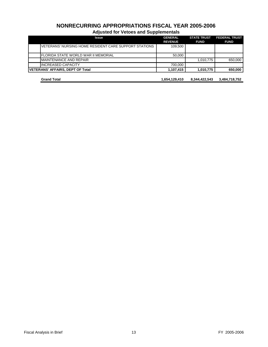| <b>Issue</b>                                          | <b>GENERAL</b><br><b>REVENUE</b> | <b>STATE TRUST</b><br><b>FUND</b> | <b>FEDERAL TRUST</b><br><b>FUND</b> |
|-------------------------------------------------------|----------------------------------|-----------------------------------|-------------------------------------|
| VETERANS' NURSING HOME RESIDENT CARE SUPPORT STATIONS | 109,500                          |                                   |                                     |
| IFLORIDA STATE WORLD WAR II MEMORIAL                  | 50,000                           |                                   |                                     |
| <b>IMAINTENANCE AND REPAIR</b>                        |                                  | 1,010,775                         | 650.000                             |
| <b>INCREASED CAPACITY</b>                             | 700,000                          |                                   |                                     |
| <b>VETERANS' AFFAIRS, DEPT OF Total</b>               | 1,107,415                        | 1,010,775                         | 650,000                             |
| <b>Grand Total</b>                                    | 1,654,129,410                    | 8,344,422,543                     | 3,484,718,752                       |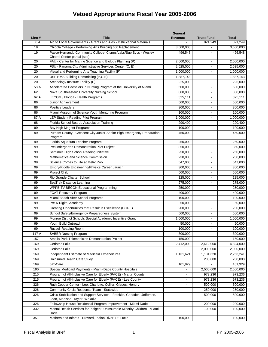|        |                                                                                                             | General                  |                   |              |
|--------|-------------------------------------------------------------------------------------------------------------|--------------------------|-------------------|--------------|
| Line # | <b>Title</b>                                                                                                | Revenue                  | <b>Trust Fund</b> | <b>Total</b> |
| 6 A    | Aid to Local Governments - Grants and Aids - Instructional Materials                                        |                          | 821,249           | 821,249      |
| 19     | Chipola College - Performing Arts Building 600 Replacement                                                  | 3,500,000                |                   | 3,500,000    |
| 19     | Pasco-Hernando Community College- Clsrms/Labs/Sup Svcs - Wesley<br>Chapel Center partial (spc)              | 496,548                  |                   | 496,548      |
| 20     | FAU - Center for Marine Science and Biology Planning (P)                                                    | 2,000,000                | $\blacksquare$    | 2,000,000    |
| 20     | FSU - Panama City Administrative Services Center (C, E)                                                     | 2,525,000                | $\blacksquare$    | 2,525,000    |
| 20     | Visual and Performing Arts Teaching Facility (P)                                                            | 1,000,000                |                   | 1,000,000    |
| 20     | USF HMS Building Remodeling (P,C,E)                                                                         | 1,887,143                |                   | 1,887,143    |
| 20     | Archeology Institute Facility (P)                                                                           | 225,000                  | $\overline{a}$    | 225,000      |
| 58 A   | Accelerated Bachelors in Nursing Program at the University of Miami                                         | 500,000                  | $\blacksquare$    | 500,000      |
| 62     | Nova Southeastern University Nursing School                                                                 | 800,000                  |                   | 800,000      |
| 62 A   | LECOM / Florida - Health Programs                                                                           | 325,111                  |                   | 325,111      |
| 86     | Junior Achievement                                                                                          | 500,000                  |                   | 500,000      |
| 86     | <b>Positive Leaders</b>                                                                                     | 300,000                  |                   | 300,000      |
| 86     | Miami Museum of Science Youth Mentoring Program                                                             | 100,000                  |                   | 100,000      |
| 87 A   | LEP Student Reading Pilot Program                                                                           | 1,000,000                |                   | 1,000,000    |
| 98     | Florida School Boards Association Training                                                                  | 290,400                  | $\blacksquare$    | 290,400      |
| 99     | Bay High Magnet Programs                                                                                    | 100,000                  | $\blacksquare$    | 100,000      |
| 99     | Putnam County - Crescent City Junior-Senior High Emergency Preparation<br>Program                           | 450,000                  |                   | 450,000      |
| 99     | Florida Aquarium Teacher Program                                                                            | 250,000                  | $\blacksquare$    | 250,000      |
| 99     | Prekindergarten Demonstration Pilot Project                                                                 | 850,000                  |                   | 850,000      |
| 99     | Seminole High School Reading Initiative                                                                     | 250,000                  |                   | 250,000      |
| 99     | Mathematics and Science Commission                                                                          | 230,000                  |                   | 230,000      |
| 99     | Science Comes to Life at Metro Zoo                                                                          | 547,000                  | $\blacksquare$    | 547,000      |
| 99     | Embry-Riddle Engineering/Physics Career Launch                                                              | 300,000                  |                   | 300,000      |
| 99     | <b>Project Child</b>                                                                                        | 500,000                  | $\blacksquare$    | 500,000      |
| 99     | Rio Grande Charter School                                                                                   | 125,000                  | $\blacksquare$    | 125,000      |
| 99     | SeaTrek Distance Learning                                                                                   | 275,000                  | $\blacksquare$    | 275,000      |
| 99     | <b>WPPB-TV BECON Educational Programming</b>                                                                | 250,000                  |                   | 250,000      |
| 99     | FCAT Recovery Program                                                                                       | 400,000                  |                   | 400,000      |
| 99     | Miami Beach After School Programs                                                                           | 100,000                  | $\blacksquare$    | 100,000      |
| 99     | Pre-K Digital Academy                                                                                       | 50,000                   | $\blacksquare$    | 50,000       |
| 99     | Creating Opportunities that Result in Excellence (CORE)                                                     | 200,000                  |                   | 200,000      |
| 99     | School Safety/Emergency Preparedness System                                                                 | 500,000                  |                   | 500,000      |
| 99     | Monroe District Schools Special Academic Incentive Grant                                                    | 1,000,000                |                   | 1,000,000    |
| 99     | Youth Build Outreach                                                                                        | 50,000                   |                   | 50,000       |
| 99     | <b>Russell Reading Room</b>                                                                                 | 100,000                  |                   | 100,000      |
| 117 A  | <b>SABER Nursing Program</b>                                                                                | 300,000                  |                   | 300,000      |
| 157    | Amelia Park Telemedicine Demonstration Project                                                              | 150,000                  |                   | 150,000      |
| 169    | Geriatric Falls                                                                                             | 2,412,000                | 2,412,000         | 4,824,000    |
| 169    | Geriatric Falls                                                                                             |                          | 2,000,000         | 2,000,000    |
| 169    | Independent Estimate of Medicaid Expenditures                                                               | 1,131,621                | 1,131,620         | 2,263,241    |
| 169    | Uninsured Health Care Study                                                                                 |                          | 200,000           | 200,000      |
| 169    | Jax-Care                                                                                                    | 101,929                  |                   | 101,929      |
| 190    | Special Medicaid Payments - Miami-Dade County Hospitals                                                     |                          | 2,500,000         | 2,500,000    |
| 215    | Program of All-Inclusive Care for Elderly (PACE) - Martin County                                            |                          | 973,236           | 973,236      |
| 215    | Program of All-Inclusive Care for Elderly (PACE) - Lee County                                               | $\overline{\phantom{a}}$ | 973,236           | 973,236      |
| 326    | Ruth Cooper Center - Lee, Charlotte, Collier, Glades, Hendry                                                | $\blacksquare$           | 500,000           | 500,000      |
| 326    | Community Crisis Response Team - Statewide                                                                  |                          | 250,000           | 250,000      |
| 326    | Crisis Stabilization and Support Services - Franklin, Gadsden, Jefferson,<br>Leon, Madison, Taylor, Wakulla | $\sim$                   | 500,000           | 500,000      |
| 326    | Fellowship House Residential Program Improvement - Miami Dade                                               |                          | 200,000           | 200,000      |
| 332    | Mental Health Services for Indigent, Uninsurable Minority Children - Miami-                                 |                          | 100,000           | 100,000      |
| 351    | Dade<br>Mothers and Infants - Brevard, Indian River, St. Lucie                                              | 100,000                  | $\blacksquare$    | 100,000      |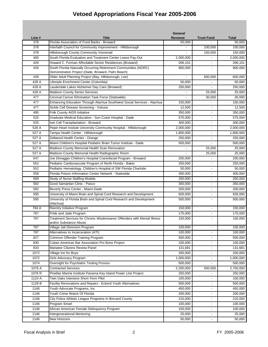|        |                                                                                                    | General        |                              |              |
|--------|----------------------------------------------------------------------------------------------------|----------------|------------------------------|--------------|
| Line # | <b>Title</b>                                                                                       | <b>Revenue</b> | <b>Trust Fund</b>            | <b>Total</b> |
| 378    | Florida Association of Food Banks - Broward                                                        | 50,000         |                              | 50,000       |
| 378    | Interfaith Council for Community Improvement - Hillsborough                                        |                | 100,000                      | 100,000      |
| 378    | Hillsborough County Community Voicemail                                                            |                | 150,000                      | 150,000      |
| 400    | South Florida Evaluation and Treatment Center Leave Pay-Out                                        | 2,000,000      |                              | 2,000,000    |
| 426    | Howard C. Forman Affordable Senior Residences (Broward)                                            | 206,101        |                              | 206,101      |
| 426    | South Florida Naturally Occurring Retirement Communities (NORC)                                    | 900,000        |                              | 900,000      |
|        | Demonstration Project (Dade, Broward, Palm Beach)                                                  |                |                              |              |
| 426    | Older Adult Planning Project (Bay, Hillsborough, Lee)                                              |                | 600,000                      | 600,000      |
| 428 A  | Lifestyle Enrichment Center (Columbia)                                                             | 50,000         |                              | 50,000       |
| 428 A  | Lauderdale Lakes Alzheimer Day Care (Broward)                                                      | 250,000        |                              | 250,000      |
| 428 A  | <b>Madison County Senior Services</b>                                                              |                | 25,000                       | 25,000       |
| 477    | Cervical Cancer Elimination Task Force (Statewide)                                                 |                | 30,000                       | 30,000       |
| 477    | Enhancing Education Through Alachua Southwest Social Services - Alachua                            | 150,000        |                              | 150,000      |
| 477    | Sickle Cell Disease Screening - Volusia                                                            | 12,500         |                              | 12,500       |
| 495    | Polk County AIDS Initiative                                                                        | 350,000        |                              | 350,000      |
| 525    | Graduate Medical Education - Sun Coast Hospital - Dade                                             | 575,000        |                              | 575,000      |
| 525    | Iset Cell Transplantation - Broward                                                                | 400,000        |                              | 400,000      |
| 526 A  | Pepin Heart Insitute University Community Hospital - Hillsborough                                  | 2,000,000      | $\blacksquare$               | 2,000,000    |
| 527 A  | Tampa Health Center - Hillsborough                                                                 | 1,800,000      | $\blacksquare$               | 1,800,000    |
| 527 A  | Zellwood Health Center - Orange                                                                    | 250,000        | $\blacksquare$               | 250,000      |
| 527 A  | Miami Children's Hospital Pediatric Brain Tumor Institute - Dade                                   | 500,000        | $\blacksquare$               | 500,000      |
| 527 A  | Madison County Memorial Health Scan Renovation                                                     |                | 25,000                       | 25,000       |
| 527 A  | Madison County Memorial Health Radiographic Room                                                   | $\blacksquare$ | 25,000                       | 25,000       |
| 547    | Joe Dimaggio Children's Hospital Craniofacial Program - Broward                                    | 200,000        |                              | 200,000      |
| 552    | Pediatric Cardiovascular Program of North Florida - Baker                                          | 250,000        |                              | 250,000      |
| 552    | Pediatric Hematology, Children's Hospital of SW Florida Charlotte                                  | 50,000         | $\blacksquare$               | 50,000       |
| 558    | Florida Poison Information Center Network - Statewide                                              | 400,000        |                              | 400,000      |
| 569    | <b>Study of Nurse Staffing Models</b>                                                              | 250,000        |                              | 250,000      |
| 582    | Good Samaritan Clinic - Pasco                                                                      | 350,000        |                              | 350,000      |
| 582    | Beverly Press Center - Miami-Dade                                                                  | 200.000        |                              | 200,000      |
| 595    | University of Miami Brain and Spinal Cord Research and Development                                 | 926,000        |                              | 926,000      |
| 595    | University of Florida Brain and Spinal Cord Research and Development<br>(Alachua)                  | 500,000        |                              | 500,000      |
| 784 A  | Reentry Initiative Program                                                                         | 150,000        | $\blacksquare$               | 150,000      |
| 787    | Pride and Jade Program                                                                             | 175,000        |                              | 175,000      |
| 787    | Treatment Services for Chronic Misdemeanor Offenders with Mental Illness<br>and/or Substance Abuse | 150,000        |                              | 150,000      |
| 787    | Village Jail Diversion Program                                                                     | 100,000        | $\blacksquare$               | 100,000      |
| 787    | Alternatives to Incarceration (ATI)                                                                | 100,000        |                              | 100,000      |
| 827    | Criminon Offender Training Program                                                                 | 500,000        |                              | 500,000      |
| 830    | Cuban American Bar Association Pro Bono Project                                                    | 100,000        | $\sim$                       | 100,000      |
| 833    | Manatee Citizens Review Panel                                                                      | 131,681        | $\blacksquare$               | 131,681      |
| 1072   | Village Inn for Boys                                                                               | 200,000        |                              | 200,000      |
| 1072   | Girls Advocacy Program                                                                             | 1,000,000      |                              | 1,000,000    |
| 1074   | Oversight for Psychiatric Testing Proviso                                                          | 500,000        |                              | 500,000      |
| 1076 A | <b>Contracted Services</b>                                                                         | 2,200,000      | 500,000                      | 2,700,000    |
| 1076 R | Pinellas Marine Institute Panama Key Island Power Line Project                                     | 250,000        |                              | 250,000      |
| 1124 A | Twin Oaks Intensive Short-Term Pilot                                                               | 100,000        |                              | 100,000      |
| 1128 B | Facility Renovations and Repairs - Eckerd Youth Alternatives                                       | 500,000        | $\blacksquare$               | 500,000      |
| 1146   | Youth Advocate Programs, Inc                                                                       | 450,000        | $\qquad \qquad \blacksquare$ | 450,000      |
| 1146   | Youth Crime Watch Of Florida                                                                       | 200,000        | $\qquad \qquad \blacksquare$ | 200,000      |
| 1146   | City Police Athletic League Programs In Brevard County                                             | 210,000        | $\blacksquare$               | 210,000      |
| 1146   | Program Smart                                                                                      | 100,000        | $\blacksquare$               | 100,000      |
| 1146   | African American Female Delinquency Program                                                        | 100,000        | $\blacksquare$               | 100,000      |
| 1146   | <b>Intergenerational Mentoring</b>                                                                 | 25,000         | $\blacksquare$               | 25,000       |
| 1146   | New Horizons                                                                                       | 50,000         | $\blacksquare$               | 50,000       |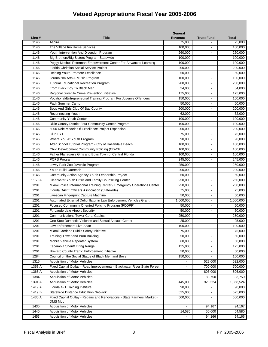|        |                                                                          | <b>General</b>       |                          |                    |
|--------|--------------------------------------------------------------------------|----------------------|--------------------------|--------------------|
| Line # | <b>Title</b>                                                             | <b>Revenue</b>       | <b>Trust Fund</b>        | <b>Total</b>       |
| 1146   | Aspira                                                                   | 75,000               |                          | 75,000             |
| 1146   | The Village Inn Home Services                                            | 100,000              | L,                       | 100,000            |
| 1146   | Youth Intervention And Diversion Program                                 | 260,000              | $\sim$                   | 260,000            |
| 1146   | Big Brothers/Big Sisters Program-Statewide                               | 100,000              | $\overline{a}$           | 100,000            |
| 1146   | Peggy Mitchell Peterman Empowerment Center For Advanced Learning         | 100,000              | $\blacksquare$           | 100,000            |
| 1146   | Florida Christian Social Service Project                                 | 200,000              |                          | 200,000            |
| 1146   | Helping Youth Promote Excellence                                         | 50,000               | $\blacksquare$           | 50.000             |
| 1146   | Journalism Arts & Music Program                                          | 100.000              | $\blacksquare$           | 100,000            |
| 1146   | <b>Tutorial Educational Recreation Program</b>                           | 200,000              | $\blacksquare$           | 200,000            |
| 1146   | From Black Boy To Black Man                                              | 34,000               |                          | 34,000             |
| 1146   | Regional Juvenile Crime Prevention Initiative                            | 175,000              |                          | 175,000            |
| 1146   | Vocational/Entrepreneurial Training Program For Juvenile Offenders       | 150,000              | $\overline{a}$           | 150,000            |
| 1146   | Pack Summer Camp                                                         | 50,000               | $\blacksquare$           | 50,000             |
| 1146   | Boys And Girls Club Of Bay County                                        | 200,000              |                          | 200,000            |
| 1146   | <b>Reconnecting Youth</b>                                                | 62,000               | $\blacksquare$           | 62,000             |
| 1146   | <b>Community Youth Center</b>                                            | 100,000              | $\blacksquare$           | 100,000            |
| 1146   | Dixie County District Four Community Center Program                      | 100,000              | ä,                       | 100,000            |
| 1146   | 5000 Role Models Of Excellence Project Expansion                         | 200,000              |                          | 200,000            |
| 1146   | Club FYT                                                                 | 75,000               | $\overline{\phantom{a}}$ | 75,000             |
| 1146   | Where You At Youth Program                                               | 90,000               | $\overline{a}$           | 90,000             |
| 1146   | After School Tutorial Program - City of Hallandale Beach                 | 100,000              | $\blacksquare$           | 100,000            |
| 1146   | Child Development Community Policing (CD-CP)                             | 100,000              |                          | 100,000            |
| 1146   | Father Flanagan's Girls and Boys Town of Central Florida                 | 100,000              | $\blacksquare$           | 100,000            |
| 1146   | POPS Program                                                             | 245,000              | $\blacksquare$           | 245,000            |
| 1146   | Lowry Park Zoo Juvenile Program                                          | 250,000              | ÷,                       | 250,000            |
| 1146   | Youth Build Outreach                                                     | 200,000              |                          | 200,000            |
| 1146   | Community Action Agency Youth Leadership Project                         | 60,000               | ٠                        | 60,000             |
| 1150 A | Clearwater Youth Crisis and Family Counseling Center                     | 250,000              | $\overline{a}$           | 250,000            |
| 1201   | Miami Police International Training Center / Emergency Operations Center | 250,000              | $\blacksquare$           | 250,000            |
| 1201   | Florida DARE Officers Association (Statewide)                            | 75,000               |                          | 75,000             |
| 1201   | Livescan Fingerprint Capture Machine                                     | 50,000               | ٠                        | 50,000             |
| 1201   | Automated External Defibrillator in Law Enforcement Vehicles Grant       | 1,000,000            | $\blacksquare$           | 1,000,000          |
| 1201   | Focused Community Oriented Policing Program (FCOPP)                      | 50,000               |                          | $\frac{1}{50,000}$ |
| 1201   | Ft. Lauderdale Airport Security                                          | 50,000               |                          | 50,000             |
| 1201   | <b>Communications Tower Coral Gables</b>                                 | 250,000              | $\blacksquare$           | 250,000            |
| 1201   | One Stop Domestic Violence and Sexual Assault Center                     | 25,000               | $\mathbf{r}$             | 25,000             |
| 1201   | Law Enforcement Live Scan                                                | 100,000              | $\blacksquare$           | 100,000            |
| 1201   | Miami Gardens Public Safety Initiative                                   | 75,000               | $\sim$                   | 75,000             |
| 1201   | Training Tower and Burn Building                                         | 50,000               |                          | 50,000             |
| 1201   | Mobile Vehicle Repeater System                                           | 60,800               | $\blacksquare$           | 60,800             |
| 1201   | Escambia Sheriff Firing Range                                            | 125,000              |                          | 125,000            |
|        |                                                                          |                      |                          |                    |
| 1201   | <b>Brevard County Traffic Enforcement Initiative</b>                     | 50,000               |                          | 50,000             |
| 1284   | Council on the Social Status of Black Men and Boys                       | 150,000              |                          | 150,000            |
| 1315   | <b>Acquisition of Motor Vehicles</b>                                     |                      | 522,000                  | 522,000            |
| 1358 A | Fixed Capital Outlay - Road Improvements - Blackwater River State Forest | $\blacksquare$       | 700,000                  | 700,000            |
| 1365 A | Acquisition of Motor Vehicles                                            | $\blacksquare$       | 806,000                  | 806,000            |
| 1384   | Acquisition of Motor Vehicles                                            | $\blacksquare$       | 83,750                   | 83,750             |
| 1391 A | Acquisition of Motor Vehicles                                            | 445,000              | 923,524                  | 1,368,524          |
| 1419 A | Florida 4-H Training Institute                                           | 90,000               |                          | 90,000             |
| 1419 B | <b>Statewide Distance Education Network</b>                              | 525,000              | $\ddot{\phantom{a}}$     | 525,000            |
| 1430 A | Fixed Capital Outlay - Repairs and Renovations - State Farmers' Market - | 500,000              | $\blacksquare$           | 500,000            |
|        | DMS Mgd                                                                  | $\ddot{\phantom{a}}$ |                          |                    |
| 1435   | <b>Acquisition of Motor Vehicles</b>                                     |                      | 94,167                   | 94,167             |
| 1445   | Acquisition of Motor Vehicles                                            | 14,580               | 50,000                   | 64,580             |
| 1453   | Acquisition of Motor Vehicles                                            |                      | 94,166                   | 94,166             |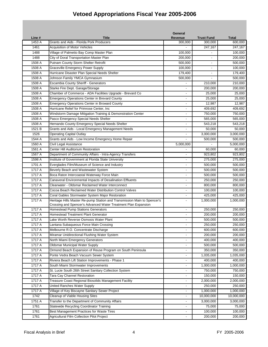|        |                                                                          | <b>General</b>           |                   |                     |
|--------|--------------------------------------------------------------------------|--------------------------|-------------------|---------------------|
| Line # | Title                                                                    | <b>Revenue</b>           | <b>Trust Fund</b> | <b>Total</b>        |
| 1453 A | Grants and Aids - Florida Pork Producers                                 | 300,000                  | 300,000           | 600,000             |
| 1461   | Acquisition of Motor Vehicles                                            |                          | 247,167           | 247,167             |
| 1488   | Village of Palmetto Bay Comp Master Plan                                 | 100,000                  |                   | 100,000             |
| 1488   | City of Doral Transportation Master Plan                                 | 200,000                  | $\overline{a}$    | 200,000             |
| 1508 A | Putnam County Storm Shelter Retrofit                                     | 500,000                  | $\blacksquare$    | 500,000             |
| 1508 A | <b>Graceville Emergency Power Supply</b>                                 | 100,000                  |                   | 100,000             |
| 1508 A | Hurricane Disaster Plan Special Needs Shelter                            | 179,400                  |                   | 179,400             |
| 1508 A | Johnson Family YMCA Gymnasium                                            | 500,000                  |                   | 500,000             |
| 1508 A | Escambia County Sheriff - Generators                                     |                          | 210,000           | 210,000             |
| 1508 A | Starke Fire Dept. Garage/Storage                                         |                          | 200,000           | 200,000             |
| 1508 A | Chamber of Commerce - ADA Facilities Upgrade - Brevard Co                |                          | 25,000            | 25,000              |
| 1508 A | <b>Emergency Operations Center in Brevard County</b>                     | $\sim$                   | 25,000            | 25,000              |
| 1508 A | <b>Emergency Operations Center in Broward County</b>                     | $\blacksquare$           | 12,987            | 12,987              |
| 1508 A | Hurricane Relief for Primrose Center, Inc                                | $\overline{a}$           | 409,692           | 409,692             |
| 1508 A | Windstorm Damage Mitigation Training & Demonstration Center              | $\sim$                   | 750,000           | 750,000             |
| 1508 A | Pasco Emergency Special Needs Shelter                                    | $\sim$                   | 565,000           | 565,000             |
| 1508 A | Hernando County Emergency Special Needs Shelter                          | $\overline{a}$           | 543,218           | 543,218             |
| 1521 B | Grants and Aids - Local Emergency Management Needs                       |                          | 50,000            | $\overline{50,000}$ |
| 1526   | <b>Operating Capital Outlay</b>                                          |                          | 3,000,000         | 3,000,000           |
| 1544 A | Grants and Aids - Low Income Emergency Home Repair                       |                          | 500,000           | 500,000             |
| 1560 A | Civil Legal Assistance                                                   | 5,000,000                |                   | 5,000,000           |
| 1561 A | Center Hill Auditorium Restoration                                       |                          | 60,000            | 60,000              |
| 1567 A | Department of Community Affairs - Intra-Agency Transfers                 | $\sim$                   | 923,802           | 923,802             |
| 1598 A | Institute of Government at Florida State University                      | $\sim$                   | 275,000           | 275,000             |
| 1701 A | Everglades Film/Museum of Science and Industry                           | $\blacksquare$           | 500,000           | 500,000             |
| 1717 A | Beverly Beach and Wastewater System                                      |                          | 500,000           | 500,000             |
| 1717 A | Boca Raton Intercoastal Waterway Force Main                              |                          | 500,000           | 500,000             |
| 1717 A | Canaveral Environmental Impacts of Desalination Effluents                | $\overline{a}$           | 250,000           | 250,000             |
| 1717 A | Clearwater - Oldsmar Reclaimed Water Interconnect                        |                          | 800,000           | 800,000             |
| 1717 A | Cocoa Beach Reclaimed Water Distribution Control Valves                  |                          | 100,000           | 100,000             |
| 1717 A | Coral Gables Stormwater System Major Restoration                         | $\overline{\phantom{a}}$ | 425,000           | 425,000             |
| 1717 A | Heritage Hills Master Re-pump Station and Transmission Main to Spencer's | $\blacksquare$           | 1,000,000         | 1,000,000           |
|        | Crossing and Spencer's Advanced Water Treatment Plan Expansion           |                          |                   |                     |
| 1717 A | Homestead Pump Stations Generators                                       |                          | 250,000           | 250,000             |
| 1717 A | <b>Homestead Treatment Plant Generator</b>                               |                          | 200,000           | 200,000             |
| 1717 A | Lake Worth Reverse Osmosis Water Plant                                   | $\blacksquare$           | 500,000           | 500,000             |
| 1717 A | Lantana Subaqueous Force Main Crossing                                   | $\blacksquare$           | 250,000           | 250,000             |
| 1717 A | Melbourne R.O. Concentrate Discharge                                     | $\overline{\phantom{a}}$ | 600,000           | 600,000             |
| 1717 A | Miramar Unidirectional Flushing Water System                             | $\blacksquare$           | 200,000           | 200,000             |
| 1717 A | North Miami Emergency Generators                                         | $\blacksquare$           | 400,000           | 400,000             |
| 1717 A | <b>Oldsmar Municipal Water Supply</b>                                    | $\overline{a}$           | 500,000           | 500,000             |
| 1717 A | Ormond Beach Expansion of Reuse Program on South Peninsula               | $\blacksquare$           | 350,000           | 350,000             |
| 1717 A | Ponte Vedra Beach Vacuum Sewer System                                    | $\blacksquare$           | 1,035,000         | 1,035,000           |
| 1717 A | Riviera Beach Lift Station Improvements - Phase 1                        | $\blacksquare$           | 400,000           | 400,000             |
| 1717 A | South Miami Stormwater Improvements                                      | $\blacksquare$           | 1,000,000         | 1,000,000           |
| 1717 A | St. Lucie South 26th Street Sanitary Collection System                   | $\blacksquare$           | 750,000           | 750,000             |
| 1717 A | Tara Cay Channel Restoration                                             | $\sim$                   | 150,000           | 150,000             |
| 1717 A | Treasure Coast Regional Biosolids Management Facility                    |                          | 2,000,000         | 2,000,000           |
| 1717 A | United Ranches Water Supply                                              |                          | 250,000           | 250,000             |
| 1717 A | Village of Key Biscayne Sanitary Sewer Project                           |                          | 1,000,000         | 1,000,000           |
| 1742   | Cleanup of Viable Housing Sites                                          | $\blacksquare$           | 10,000,000        | 10,000,000          |
| 1751 A | Transfer to the Department of Community Affairs                          | $\blacksquare$           | 3,000,000         | 3,000,000           |
| 1761   | <b>Statewide Recycling Coordinator Training</b>                          | $\blacksquare$           | 75,000            | 75,000              |
| 1761   | Best Management Practices for Waste Tires                                | $\blacksquare$           | 100,000           | 100,000             |
| 1761   | Agricultural Film Collection Pilot Project                               | $\blacksquare$           | 200,000           | 200,000             |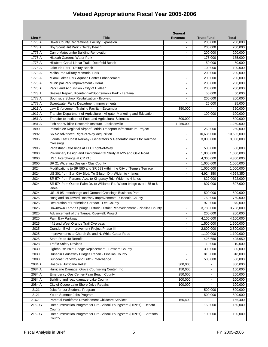|        |                                                                                 | General                  |                   |              |
|--------|---------------------------------------------------------------------------------|--------------------------|-------------------|--------------|
| Line # | Title                                                                           | Revenue                  | <b>Trust Fund</b> | <b>Total</b> |
| 1778 A | <b>Baker County Recreational Facility Expansion</b>                             |                          | 200,000           | 200,000      |
| 1778 A | Boy Scout Hut Park - Delray Beach                                               |                          | 200,000           | 200,000      |
| 1778 A | Camp Matecumbe Building Renovation                                              |                          | 200,000           | 200,000      |
| 1778 A | Hialeah Gardens Water Park                                                      | $\sim$                   | 175,000           | 175,000      |
| 1778 A | Hillsboro Canal Linear Trail - Deerfield Beach                                  | $\blacksquare$           | 50,000            | 50,000       |
| 1778 A | Lake Ida Park - Delray Beach                                                    |                          | 100,000           | 100,000      |
| 1778 A | Melbourne Military Memorial Park                                                |                          | 200,000           | 200,000      |
| 1778 A | Miami Lakes Park Aquatic Center Enhancement                                     | $\sim$                   | 200,000           | 200,000      |
| 1778 A | Municipal Park Improvement - Doral                                              | $\overline{\phantom{a}}$ | 200,000           | 200,000      |
| 1778 A | Park Land Acquisition - City of Hialeah                                         |                          | 200,000           | 200,000      |
| 1778 A | Seawall Repair, Bicentennial/Sportsman's Park - Lantana                         |                          | 50,000            | 50,000       |
| 1778 A | Southside School Revitalization - Broward                                       | $\sim$                   | 200,000           | 200,000      |
| 1778 A | Sweetwater Parks Department Improvements                                        |                          | 25,000            | 25,000       |
| 1911 A | Law Enforcement Training Facility - Escambia                                    | 350,000                  |                   | 350,000      |
| 1917 A | Transfer Department of Agriculture - Alligator Marketing and Education          |                          | 100,000           | 100,000      |
| 1951 A | Transfer to Institute of Food and Agricultural Sciences                         | 500.000                  |                   | 500,000      |
| 1981 A | Fish and Wildlife Research Institute - Jacksonville                             | 1,250,000                | $\overline{a}$    | 1,250,000    |
| 1990   | Immokalee Regional Airport/Florida Tradeport Infrastructure Project             |                          | 250,000           | 250,000      |
| 1992   | SR 52 Advanced Right-of-Way Acquisition                                         |                          | 10,635,000        | 10,635,000   |
| 1996   | Florida East Coast Railway - Generators & Generator Vaults for Railroad         | $\sim$                   | 3,000,000         | 3,000,000    |
|        | Crossings                                                                       |                          |                   |              |
| 1996   | Pedestrian Crossings at FEC Right-of-Way                                        | $\blacksquare$           | 500,000           | 500,000      |
| 2000   | Preliminary Design and Environmental Study at I-95 and Oslo Road                | $\blacksquare$           | 1,000,000         | 1,000,000    |
| 2000   | US 1 Interchange at CR 210                                                      | $\sim$                   | 4,300,000         | 4,300,000    |
| 2000   | SR 21 Widening Design - Clay County                                             | $\blacksquare$           | 1,000,000         | 1,000,000    |
| 2024   | Modifications to SR 580 and SR 583 within the City of Temple Terrace            |                          | 1,000,000         | 1,000,000    |
| 2024   | US 301 from Sun City Blvd. To Gibson Dr.- Widen to 4 lanes                      |                          | 4,924,350         | 4,924,350    |
| 2024   | SR 574 from Parsons Ave. to Kingsway Rd.- Widen to 4 lanes                      | $\blacksquare$           | 822,000           | 822,000      |
| 2024   | SR 574 from Queen Palm Dr. to Williams Rd.-Widen bridge over I-75 to 6          |                          | 807,000           | 807,000      |
|        | lanes                                                                           |                          |                   |              |
| 2024   | US 1/I-95 Interchange and Ormond Crossings Business Park                        | $\sim$                   | 500,000           | 500,000      |
| 2025   | Hoagland Boulevard Roadway Improvements - Osceola County                        | $\blacksquare$           | 750,000           | 750,000      |
| 2025   | Restoration of Periwinkle Corridor - Lee County                                 |                          | 970,000           | 970,000      |
| 2025   | Downtown Tarpon Springs Historic District Redevelopment - Pinellas County       |                          | 3,788,000         | 3,788,000    |
| 2025   | Advancement of the Tampa Riverwalk Project                                      |                          | 200,000           | 200,000      |
| 2025   | Palm Bay Parkway                                                                | $\ddot{\phantom{a}}$     | 4,100,000         | 4,100,000    |
| 2025   | 441 and West Orange Trail Overpass                                              |                          | 1,500,000         | 1,500,000    |
| 2025   | Crandon Blvd Improvement Project Phase III                                      | $\blacksquare$           | 2,800,000         | 2,800,000    |
| 2025   | Improvements to Church St. and N. White Cedar Road                              | $\blacksquare$           | 1,100,000         | 1,100,000    |
| 2025   | State Road 40 Retrofit                                                          |                          | 425,650           | 425,650      |
| 2028   | <b>Traffic Safety Devices</b>                                                   |                          | 10,000            | 10,000       |
| 2030   | Lighthouse Point Bridge Replacement - Broward County                            |                          | 300,000           | 300,000      |
| 2030   | Dunedin Causeway Bridges Repair - Pinellas County                               | $\overline{\phantom{a}}$ | 818,000           | 818,000      |
| 2080   | Suncoast Parkway and Lutz - Interchange                                         | $\blacksquare$           | 500,000           | 500,000      |
| 2084 A | <b>Hospice Hurricane Relief</b>                                                 | 300,000                  |                   | 300,000      |
| 2084 A | Hurricane Damage: Grove Counseling Center, Inc                                  | 150,000                  | $\blacksquare$    | 150,000      |
| 2084 A | Emergency Ops Center-Palm Beach County                                          | 250,000                  | $\blacksquare$    | 250,000      |
| 2084 A | Building and road damage-Lake County                                            | 100,000                  | $\blacksquare$    | 100,000      |
| 2084 A | City of Ocoee Lake Shore Drive Repairs                                          | 100,000                  | ä,                | 100,000      |
| 2121   | Jobs for our Students Program                                                   |                          | 500,000           | 500,000      |
| 2121   | Youth Summer Jobs Program                                                       | $\blacksquare$           | 500,000           | 500,000      |
| 2162 F | Parental Workforce Development Childcare Services                               | 166,400                  |                   | 166,400      |
| 2162 G | Home Instruction Program for Pre-School Youngsters (HIPPY) - Desoto             |                          | 150,000           | 150,000      |
|        | County                                                                          |                          |                   |              |
| 2162 G | Home Instruction Program for Pre-School Youngsters (HIPPY) - Sarasota<br>County | $\overline{\phantom{a}}$ | 100,000           | 100,000      |
|        |                                                                                 |                          |                   |              |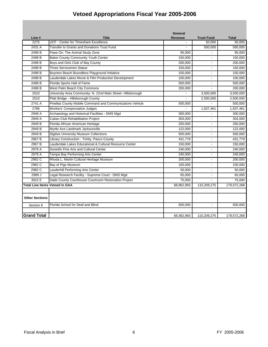|                                       |                                                              | <b>General</b> |                          |              |
|---------------------------------------|--------------------------------------------------------------|----------------|--------------------------|--------------|
| Line #                                | <b>Title</b>                                                 | <b>Revenue</b> | <b>Trust Fund</b>        | <b>Total</b> |
| 2275                                  | UCF - Center for Timeshare Excellence                        |                | 50,000                   | 50,000       |
| 2431 A                                | Transfer to Grants and Donations Trust Fund                  |                | 500,000                  | 500,000      |
| 2498 B                                | Paws On: The Animal Study Zone                               | 95,000         |                          | 95,000       |
| 2498 B                                | <b>Baker County Community Youth Center</b>                   | 150,000        |                          | 150,000      |
| 2498 B                                | Boys and Girls Club of Bay County                            | 200,000        |                          | 200,000      |
| 2498 B                                | <b>Three Servicemen Statue</b>                               | 150,000        | $\overline{a}$           | 150,000      |
| 2498 B                                | Boynton Beach Boundless Playground Initiative                | 150,000        |                          | 150,000      |
| 2498 B                                | Lauderdale Lakes Movie & Film Production Development         | 100,000        |                          | 100,000      |
| 2498 B                                | Florida Sports Hall of Fame                                  | 500,000        | $\blacksquare$           | 500,000      |
| 2498 B                                | West Palm Beach City Commons                                 | 200,000        |                          | 200,000      |
| 2510                                  | University Area Community- N. 22nd Main Street- Hillsborough |                | 3,500,000                | 3,500,000    |
| 2510                                  | Platt Bridge - Hillsborough County                           |                | 2,500,000                | 2,500,000    |
| 2741 A                                | Pinellas County Mobile Command and Communications Vehicle    | 500,000        |                          | 500,000      |
| 2786                                  | <b>Workers' Compensation Judges</b>                          |                | 1,637,461                | 1,637,461    |
| 2948 A                                | Archaeology and Historical Facilities - DMS Mgd              | 300,000        |                          | 300,000      |
| 2949 A                                | Cuban Club Rehabilitation Project                            | 304,000        | $\overline{a}$           | 304,000      |
| 2949 B                                | Florida African American Heritage                            | 250,000        | $\overline{\phantom{a}}$ | 250,000      |
| 2949 B                                | Myrtle Ave Landmark Jacksonville                             | 122,000        | $\sim$                   | 122,000      |
| 2949 B                                | <b>Digitize University Museum Collections</b>                | 500,000        | ÷,                       | 500,000      |
| 2967 <sub>B</sub>                     | Library Construction - Trinity, Pasco County                 | 431,779        |                          | 431,779      |
| 2967 <sub>B</sub>                     | Lauderdale Lakes Educational & Cultural Resource Center      | 150,000        |                          | 150,000      |
| 2978 A                                | Dunedin Fine Arts and Cultural Center                        | 240,000        |                          | 240,000      |
| 2978 A                                | Tampa Bay Performing Arts Center                             | 240,000        |                          | 240,000      |
| 2982 C                                | Rhoda L. Martin Cultural Heritage Museum                     | 200,000        |                          | 200,000      |
| 2982 C                                | Bay of Pigs Museum                                           | 100,000        | $\overline{a}$           | 100,000      |
| 2982 C                                | Lauderhill Performing Arts Center                            | 50,000         | $\sim$                   | 50,000       |
| 2989 J                                | Legal Research Facility - Supreme Court - DMS Mgd            | 65,000         | $\sim$                   | 65,000       |
| 3022 E                                | Dade County Courthouse Courtroom Restoration Project         | 75,000         | $\mathbf{r}$             | 75,000       |
| <b>Total Line Items Vetoed in GAA</b> |                                                              | 68,862,993     | 110,209,275              | 179,072,268  |
|                                       |                                                              |                |                          |              |
| <b>Other Sections</b>                 |                                                              |                |                          |              |
| Section 8                             | Florida School for Deaf and Blind                            | 500,000        | $\overline{a}$           | 500,000      |
| <b>Grand Total</b>                    |                                                              | 69,362,993     | 110,209,275              | 179,572,268  |
|                                       |                                                              |                |                          |              |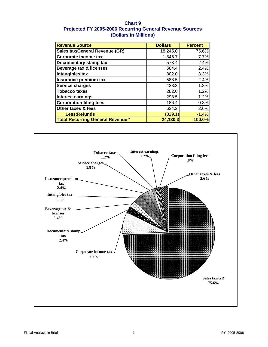### **Chart 9 Projected FY 2005-2006 Recurring General Revenue Sources (Dollars in Millions)**

| <b>Revenue Source</b>                    | <b>Dollars</b> | <b>Percent</b> |
|------------------------------------------|----------------|----------------|
| <b>Sales tax/General Revenue (GR)</b>    | 18,245.0       | 75.6%          |
| Corporate income tax                     | 1,846.7        | 7.7%           |
| Documentary stamp tax                    | 573.4          | 2.4%           |
| <b>Beverage tax &amp; licenses</b>       | 584.4          | 2.4%           |
| Intangibles tax                          | 802.0          | 3.3%           |
| Insurance premium tax                    | 588.5          | 2.4%           |
| <b>Service charges</b>                   | 428.3          | 1.8%           |
| <b>Tobacco taxes</b>                     | 282.0          | 1.2%           |
| Interest earnings                        | 298.5          | 1.2%           |
| <b>Corporation filing fees</b>           | 186.4          | 0.8%           |
| Other taxes & fees                       | 624.2          | 2.6%           |
| <b>Less:Refunds</b>                      | (329.1)        | $-1.4%$        |
| <b>Total Recurring General Revenue *</b> | 24,130.3       | 100.0%         |

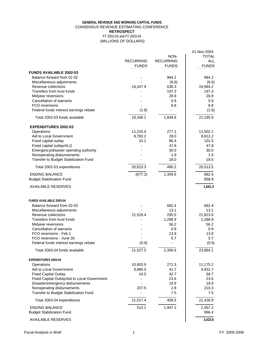### **GENERAL REVENUE AND WORKING CAPITAL FUNDS** CONSENSUS REVENUE ESTIMATING CONFERENCE **RETROSPECT** FY 2002-03 and FY 2003-04

(MILLIONS OF DOLLARS)

| NON-<br><b>TOTAL</b><br><b>RECURRING</b><br><b>ALL</b><br><b>RECURRING</b><br><b>FUNDS</b><br><b>FUNDS</b><br><b>FUNDS</b><br><b>FUNDS AVAILABLE 2002-03</b><br>Balance forward from 01-02<br>984.2<br>984.2<br>Miscellaneous adjustments<br>(6.6)<br>(6.6)<br>Revenue collections<br>19,347.9<br>636.3<br>19,984.2<br>Transfers from trust funds<br>197.3<br>197.3<br>28.9<br>Midyear reversions<br>28.9<br><b>Cancellation of warrants</b><br>0.9<br>0.9<br>FCO reversions<br>8.8<br>8.8<br>Federal funds interest earnings rebate<br>(1.8)<br>(1.8)<br>$\overline{\phantom{0}}$<br>19,346.1<br>Total 2002-03 funds available<br>1,849.8<br>21,195.9<br><b>EXPENDITURES 2002-03</b><br>Operations<br>11,225.0<br>277.1<br>11,502.1<br>Aid to Local Government<br>8,783.2<br>29.0<br>8,812.2<br>15.1<br>86.4<br>101.5<br>Fixed capital outlay<br>Fixed capital outlay/ALG<br>47.8<br>47.8<br>Emergency/disaster spending authority<br>30.0<br>30.0<br>Nonoperating disbursements<br>1.9<br>1.9<br>Transfer to Budget Stabilization Fund<br>18.0<br>18.0<br>490.2<br>20,023.3<br>20,513.5<br>Total 2002-03 expenditures<br>682.4<br><b>ENDING BALANCE</b><br>1,359.6<br>(677.2)<br>958.9<br><b>Budget Stabilization Fund</b><br>1,641.3<br><b>AVAILABLE RESERVES</b><br><b>FUNDS AVAILABLE 2003-04</b><br>Balance forward from 02-03<br>682.4<br>682.4<br>13.1<br>13.1<br>Miscellaneous adjustments<br>21,528.4<br>295.5<br>21,823.9<br>Revenue collections<br>Transfers from trust funds<br>1,288.9<br>1,288.9<br>56.2<br>56.2<br>Midyear reversions<br><b>Cancellation of warrants</b><br>0.9<br>0.9<br>FCO reversions - Feb 1<br>13.9<br>13.9<br>FCO reversions - June 30<br>5.7<br>5.7<br>Federal funds interest earnings rebate<br>(0.9)<br>(0.9)<br>21,527.5<br>23,884.1<br>Total 2003-04 funds available<br>2,356.6<br>EXPENDITURES 2003-04<br>10,903.9<br>Operations<br>271.3<br>11,175.2<br>9,890.0<br>9,931.7<br>Aid to Local Government<br>41.7<br><b>Fixed Capital Outlay</b><br>16.0<br>42.7<br>58.7<br>23.6<br>23.6<br>Fixed Capital Outlay/Aid to Local Government<br>19.9<br>19.9<br>Disaster/emergency disbursements<br>Nonoperating disbursements<br>207.5<br>210.3<br>2.8<br>Transfer to Budget Stabilization Fund<br>7.5<br>7.5<br>21,426.9<br>Total 2003-04 expenditures<br>21,017.4<br>409.5<br>510.1<br>1,947.1<br><b>ENDING BALANCE</b><br>2,457.2<br>966.4<br><b>Budget Stabilization Fund</b><br><b>AVAILABLE RESERVES</b><br>3,423.6 |  | 01-Nov-2004 |
|-----------------------------------------------------------------------------------------------------------------------------------------------------------------------------------------------------------------------------------------------------------------------------------------------------------------------------------------------------------------------------------------------------------------------------------------------------------------------------------------------------------------------------------------------------------------------------------------------------------------------------------------------------------------------------------------------------------------------------------------------------------------------------------------------------------------------------------------------------------------------------------------------------------------------------------------------------------------------------------------------------------------------------------------------------------------------------------------------------------------------------------------------------------------------------------------------------------------------------------------------------------------------------------------------------------------------------------------------------------------------------------------------------------------------------------------------------------------------------------------------------------------------------------------------------------------------------------------------------------------------------------------------------------------------------------------------------------------------------------------------------------------------------------------------------------------------------------------------------------------------------------------------------------------------------------------------------------------------------------------------------------------------------------------------------------------------------------------------------------------------------------------------------------------------------------------------------------------------------------------------------------------------------------------------------------------------------------------------------------------------------------------------------------------------------------------------------------------|--|-------------|
|                                                                                                                                                                                                                                                                                                                                                                                                                                                                                                                                                                                                                                                                                                                                                                                                                                                                                                                                                                                                                                                                                                                                                                                                                                                                                                                                                                                                                                                                                                                                                                                                                                                                                                                                                                                                                                                                                                                                                                                                                                                                                                                                                                                                                                                                                                                                                                                                                                                                 |  |             |
|                                                                                                                                                                                                                                                                                                                                                                                                                                                                                                                                                                                                                                                                                                                                                                                                                                                                                                                                                                                                                                                                                                                                                                                                                                                                                                                                                                                                                                                                                                                                                                                                                                                                                                                                                                                                                                                                                                                                                                                                                                                                                                                                                                                                                                                                                                                                                                                                                                                                 |  |             |
|                                                                                                                                                                                                                                                                                                                                                                                                                                                                                                                                                                                                                                                                                                                                                                                                                                                                                                                                                                                                                                                                                                                                                                                                                                                                                                                                                                                                                                                                                                                                                                                                                                                                                                                                                                                                                                                                                                                                                                                                                                                                                                                                                                                                                                                                                                                                                                                                                                                                 |  |             |
|                                                                                                                                                                                                                                                                                                                                                                                                                                                                                                                                                                                                                                                                                                                                                                                                                                                                                                                                                                                                                                                                                                                                                                                                                                                                                                                                                                                                                                                                                                                                                                                                                                                                                                                                                                                                                                                                                                                                                                                                                                                                                                                                                                                                                                                                                                                                                                                                                                                                 |  |             |
|                                                                                                                                                                                                                                                                                                                                                                                                                                                                                                                                                                                                                                                                                                                                                                                                                                                                                                                                                                                                                                                                                                                                                                                                                                                                                                                                                                                                                                                                                                                                                                                                                                                                                                                                                                                                                                                                                                                                                                                                                                                                                                                                                                                                                                                                                                                                                                                                                                                                 |  |             |
|                                                                                                                                                                                                                                                                                                                                                                                                                                                                                                                                                                                                                                                                                                                                                                                                                                                                                                                                                                                                                                                                                                                                                                                                                                                                                                                                                                                                                                                                                                                                                                                                                                                                                                                                                                                                                                                                                                                                                                                                                                                                                                                                                                                                                                                                                                                                                                                                                                                                 |  |             |
|                                                                                                                                                                                                                                                                                                                                                                                                                                                                                                                                                                                                                                                                                                                                                                                                                                                                                                                                                                                                                                                                                                                                                                                                                                                                                                                                                                                                                                                                                                                                                                                                                                                                                                                                                                                                                                                                                                                                                                                                                                                                                                                                                                                                                                                                                                                                                                                                                                                                 |  |             |
|                                                                                                                                                                                                                                                                                                                                                                                                                                                                                                                                                                                                                                                                                                                                                                                                                                                                                                                                                                                                                                                                                                                                                                                                                                                                                                                                                                                                                                                                                                                                                                                                                                                                                                                                                                                                                                                                                                                                                                                                                                                                                                                                                                                                                                                                                                                                                                                                                                                                 |  |             |
|                                                                                                                                                                                                                                                                                                                                                                                                                                                                                                                                                                                                                                                                                                                                                                                                                                                                                                                                                                                                                                                                                                                                                                                                                                                                                                                                                                                                                                                                                                                                                                                                                                                                                                                                                                                                                                                                                                                                                                                                                                                                                                                                                                                                                                                                                                                                                                                                                                                                 |  |             |
|                                                                                                                                                                                                                                                                                                                                                                                                                                                                                                                                                                                                                                                                                                                                                                                                                                                                                                                                                                                                                                                                                                                                                                                                                                                                                                                                                                                                                                                                                                                                                                                                                                                                                                                                                                                                                                                                                                                                                                                                                                                                                                                                                                                                                                                                                                                                                                                                                                                                 |  |             |
|                                                                                                                                                                                                                                                                                                                                                                                                                                                                                                                                                                                                                                                                                                                                                                                                                                                                                                                                                                                                                                                                                                                                                                                                                                                                                                                                                                                                                                                                                                                                                                                                                                                                                                                                                                                                                                                                                                                                                                                                                                                                                                                                                                                                                                                                                                                                                                                                                                                                 |  |             |
|                                                                                                                                                                                                                                                                                                                                                                                                                                                                                                                                                                                                                                                                                                                                                                                                                                                                                                                                                                                                                                                                                                                                                                                                                                                                                                                                                                                                                                                                                                                                                                                                                                                                                                                                                                                                                                                                                                                                                                                                                                                                                                                                                                                                                                                                                                                                                                                                                                                                 |  |             |
|                                                                                                                                                                                                                                                                                                                                                                                                                                                                                                                                                                                                                                                                                                                                                                                                                                                                                                                                                                                                                                                                                                                                                                                                                                                                                                                                                                                                                                                                                                                                                                                                                                                                                                                                                                                                                                                                                                                                                                                                                                                                                                                                                                                                                                                                                                                                                                                                                                                                 |  |             |
|                                                                                                                                                                                                                                                                                                                                                                                                                                                                                                                                                                                                                                                                                                                                                                                                                                                                                                                                                                                                                                                                                                                                                                                                                                                                                                                                                                                                                                                                                                                                                                                                                                                                                                                                                                                                                                                                                                                                                                                                                                                                                                                                                                                                                                                                                                                                                                                                                                                                 |  |             |
|                                                                                                                                                                                                                                                                                                                                                                                                                                                                                                                                                                                                                                                                                                                                                                                                                                                                                                                                                                                                                                                                                                                                                                                                                                                                                                                                                                                                                                                                                                                                                                                                                                                                                                                                                                                                                                                                                                                                                                                                                                                                                                                                                                                                                                                                                                                                                                                                                                                                 |  |             |
|                                                                                                                                                                                                                                                                                                                                                                                                                                                                                                                                                                                                                                                                                                                                                                                                                                                                                                                                                                                                                                                                                                                                                                                                                                                                                                                                                                                                                                                                                                                                                                                                                                                                                                                                                                                                                                                                                                                                                                                                                                                                                                                                                                                                                                                                                                                                                                                                                                                                 |  |             |
|                                                                                                                                                                                                                                                                                                                                                                                                                                                                                                                                                                                                                                                                                                                                                                                                                                                                                                                                                                                                                                                                                                                                                                                                                                                                                                                                                                                                                                                                                                                                                                                                                                                                                                                                                                                                                                                                                                                                                                                                                                                                                                                                                                                                                                                                                                                                                                                                                                                                 |  |             |
|                                                                                                                                                                                                                                                                                                                                                                                                                                                                                                                                                                                                                                                                                                                                                                                                                                                                                                                                                                                                                                                                                                                                                                                                                                                                                                                                                                                                                                                                                                                                                                                                                                                                                                                                                                                                                                                                                                                                                                                                                                                                                                                                                                                                                                                                                                                                                                                                                                                                 |  |             |
|                                                                                                                                                                                                                                                                                                                                                                                                                                                                                                                                                                                                                                                                                                                                                                                                                                                                                                                                                                                                                                                                                                                                                                                                                                                                                                                                                                                                                                                                                                                                                                                                                                                                                                                                                                                                                                                                                                                                                                                                                                                                                                                                                                                                                                                                                                                                                                                                                                                                 |  |             |
|                                                                                                                                                                                                                                                                                                                                                                                                                                                                                                                                                                                                                                                                                                                                                                                                                                                                                                                                                                                                                                                                                                                                                                                                                                                                                                                                                                                                                                                                                                                                                                                                                                                                                                                                                                                                                                                                                                                                                                                                                                                                                                                                                                                                                                                                                                                                                                                                                                                                 |  |             |
|                                                                                                                                                                                                                                                                                                                                                                                                                                                                                                                                                                                                                                                                                                                                                                                                                                                                                                                                                                                                                                                                                                                                                                                                                                                                                                                                                                                                                                                                                                                                                                                                                                                                                                                                                                                                                                                                                                                                                                                                                                                                                                                                                                                                                                                                                                                                                                                                                                                                 |  |             |
|                                                                                                                                                                                                                                                                                                                                                                                                                                                                                                                                                                                                                                                                                                                                                                                                                                                                                                                                                                                                                                                                                                                                                                                                                                                                                                                                                                                                                                                                                                                                                                                                                                                                                                                                                                                                                                                                                                                                                                                                                                                                                                                                                                                                                                                                                                                                                                                                                                                                 |  |             |
|                                                                                                                                                                                                                                                                                                                                                                                                                                                                                                                                                                                                                                                                                                                                                                                                                                                                                                                                                                                                                                                                                                                                                                                                                                                                                                                                                                                                                                                                                                                                                                                                                                                                                                                                                                                                                                                                                                                                                                                                                                                                                                                                                                                                                                                                                                                                                                                                                                                                 |  |             |
|                                                                                                                                                                                                                                                                                                                                                                                                                                                                                                                                                                                                                                                                                                                                                                                                                                                                                                                                                                                                                                                                                                                                                                                                                                                                                                                                                                                                                                                                                                                                                                                                                                                                                                                                                                                                                                                                                                                                                                                                                                                                                                                                                                                                                                                                                                                                                                                                                                                                 |  |             |
|                                                                                                                                                                                                                                                                                                                                                                                                                                                                                                                                                                                                                                                                                                                                                                                                                                                                                                                                                                                                                                                                                                                                                                                                                                                                                                                                                                                                                                                                                                                                                                                                                                                                                                                                                                                                                                                                                                                                                                                                                                                                                                                                                                                                                                                                                                                                                                                                                                                                 |  |             |
|                                                                                                                                                                                                                                                                                                                                                                                                                                                                                                                                                                                                                                                                                                                                                                                                                                                                                                                                                                                                                                                                                                                                                                                                                                                                                                                                                                                                                                                                                                                                                                                                                                                                                                                                                                                                                                                                                                                                                                                                                                                                                                                                                                                                                                                                                                                                                                                                                                                                 |  |             |
|                                                                                                                                                                                                                                                                                                                                                                                                                                                                                                                                                                                                                                                                                                                                                                                                                                                                                                                                                                                                                                                                                                                                                                                                                                                                                                                                                                                                                                                                                                                                                                                                                                                                                                                                                                                                                                                                                                                                                                                                                                                                                                                                                                                                                                                                                                                                                                                                                                                                 |  |             |
|                                                                                                                                                                                                                                                                                                                                                                                                                                                                                                                                                                                                                                                                                                                                                                                                                                                                                                                                                                                                                                                                                                                                                                                                                                                                                                                                                                                                                                                                                                                                                                                                                                                                                                                                                                                                                                                                                                                                                                                                                                                                                                                                                                                                                                                                                                                                                                                                                                                                 |  |             |
|                                                                                                                                                                                                                                                                                                                                                                                                                                                                                                                                                                                                                                                                                                                                                                                                                                                                                                                                                                                                                                                                                                                                                                                                                                                                                                                                                                                                                                                                                                                                                                                                                                                                                                                                                                                                                                                                                                                                                                                                                                                                                                                                                                                                                                                                                                                                                                                                                                                                 |  |             |
|                                                                                                                                                                                                                                                                                                                                                                                                                                                                                                                                                                                                                                                                                                                                                                                                                                                                                                                                                                                                                                                                                                                                                                                                                                                                                                                                                                                                                                                                                                                                                                                                                                                                                                                                                                                                                                                                                                                                                                                                                                                                                                                                                                                                                                                                                                                                                                                                                                                                 |  |             |
|                                                                                                                                                                                                                                                                                                                                                                                                                                                                                                                                                                                                                                                                                                                                                                                                                                                                                                                                                                                                                                                                                                                                                                                                                                                                                                                                                                                                                                                                                                                                                                                                                                                                                                                                                                                                                                                                                                                                                                                                                                                                                                                                                                                                                                                                                                                                                                                                                                                                 |  |             |
|                                                                                                                                                                                                                                                                                                                                                                                                                                                                                                                                                                                                                                                                                                                                                                                                                                                                                                                                                                                                                                                                                                                                                                                                                                                                                                                                                                                                                                                                                                                                                                                                                                                                                                                                                                                                                                                                                                                                                                                                                                                                                                                                                                                                                                                                                                                                                                                                                                                                 |  |             |
|                                                                                                                                                                                                                                                                                                                                                                                                                                                                                                                                                                                                                                                                                                                                                                                                                                                                                                                                                                                                                                                                                                                                                                                                                                                                                                                                                                                                                                                                                                                                                                                                                                                                                                                                                                                                                                                                                                                                                                                                                                                                                                                                                                                                                                                                                                                                                                                                                                                                 |  |             |
|                                                                                                                                                                                                                                                                                                                                                                                                                                                                                                                                                                                                                                                                                                                                                                                                                                                                                                                                                                                                                                                                                                                                                                                                                                                                                                                                                                                                                                                                                                                                                                                                                                                                                                                                                                                                                                                                                                                                                                                                                                                                                                                                                                                                                                                                                                                                                                                                                                                                 |  |             |
|                                                                                                                                                                                                                                                                                                                                                                                                                                                                                                                                                                                                                                                                                                                                                                                                                                                                                                                                                                                                                                                                                                                                                                                                                                                                                                                                                                                                                                                                                                                                                                                                                                                                                                                                                                                                                                                                                                                                                                                                                                                                                                                                                                                                                                                                                                                                                                                                                                                                 |  |             |
|                                                                                                                                                                                                                                                                                                                                                                                                                                                                                                                                                                                                                                                                                                                                                                                                                                                                                                                                                                                                                                                                                                                                                                                                                                                                                                                                                                                                                                                                                                                                                                                                                                                                                                                                                                                                                                                                                                                                                                                                                                                                                                                                                                                                                                                                                                                                                                                                                                                                 |  |             |
|                                                                                                                                                                                                                                                                                                                                                                                                                                                                                                                                                                                                                                                                                                                                                                                                                                                                                                                                                                                                                                                                                                                                                                                                                                                                                                                                                                                                                                                                                                                                                                                                                                                                                                                                                                                                                                                                                                                                                                                                                                                                                                                                                                                                                                                                                                                                                                                                                                                                 |  |             |
|                                                                                                                                                                                                                                                                                                                                                                                                                                                                                                                                                                                                                                                                                                                                                                                                                                                                                                                                                                                                                                                                                                                                                                                                                                                                                                                                                                                                                                                                                                                                                                                                                                                                                                                                                                                                                                                                                                                                                                                                                                                                                                                                                                                                                                                                                                                                                                                                                                                                 |  |             |
|                                                                                                                                                                                                                                                                                                                                                                                                                                                                                                                                                                                                                                                                                                                                                                                                                                                                                                                                                                                                                                                                                                                                                                                                                                                                                                                                                                                                                                                                                                                                                                                                                                                                                                                                                                                                                                                                                                                                                                                                                                                                                                                                                                                                                                                                                                                                                                                                                                                                 |  |             |
|                                                                                                                                                                                                                                                                                                                                                                                                                                                                                                                                                                                                                                                                                                                                                                                                                                                                                                                                                                                                                                                                                                                                                                                                                                                                                                                                                                                                                                                                                                                                                                                                                                                                                                                                                                                                                                                                                                                                                                                                                                                                                                                                                                                                                                                                                                                                                                                                                                                                 |  |             |
|                                                                                                                                                                                                                                                                                                                                                                                                                                                                                                                                                                                                                                                                                                                                                                                                                                                                                                                                                                                                                                                                                                                                                                                                                                                                                                                                                                                                                                                                                                                                                                                                                                                                                                                                                                                                                                                                                                                                                                                                                                                                                                                                                                                                                                                                                                                                                                                                                                                                 |  |             |
|                                                                                                                                                                                                                                                                                                                                                                                                                                                                                                                                                                                                                                                                                                                                                                                                                                                                                                                                                                                                                                                                                                                                                                                                                                                                                                                                                                                                                                                                                                                                                                                                                                                                                                                                                                                                                                                                                                                                                                                                                                                                                                                                                                                                                                                                                                                                                                                                                                                                 |  |             |
|                                                                                                                                                                                                                                                                                                                                                                                                                                                                                                                                                                                                                                                                                                                                                                                                                                                                                                                                                                                                                                                                                                                                                                                                                                                                                                                                                                                                                                                                                                                                                                                                                                                                                                                                                                                                                                                                                                                                                                                                                                                                                                                                                                                                                                                                                                                                                                                                                                                                 |  |             |
|                                                                                                                                                                                                                                                                                                                                                                                                                                                                                                                                                                                                                                                                                                                                                                                                                                                                                                                                                                                                                                                                                                                                                                                                                                                                                                                                                                                                                                                                                                                                                                                                                                                                                                                                                                                                                                                                                                                                                                                                                                                                                                                                                                                                                                                                                                                                                                                                                                                                 |  |             |
|                                                                                                                                                                                                                                                                                                                                                                                                                                                                                                                                                                                                                                                                                                                                                                                                                                                                                                                                                                                                                                                                                                                                                                                                                                                                                                                                                                                                                                                                                                                                                                                                                                                                                                                                                                                                                                                                                                                                                                                                                                                                                                                                                                                                                                                                                                                                                                                                                                                                 |  |             |
|                                                                                                                                                                                                                                                                                                                                                                                                                                                                                                                                                                                                                                                                                                                                                                                                                                                                                                                                                                                                                                                                                                                                                                                                                                                                                                                                                                                                                                                                                                                                                                                                                                                                                                                                                                                                                                                                                                                                                                                                                                                                                                                                                                                                                                                                                                                                                                                                                                                                 |  |             |
|                                                                                                                                                                                                                                                                                                                                                                                                                                                                                                                                                                                                                                                                                                                                                                                                                                                                                                                                                                                                                                                                                                                                                                                                                                                                                                                                                                                                                                                                                                                                                                                                                                                                                                                                                                                                                                                                                                                                                                                                                                                                                                                                                                                                                                                                                                                                                                                                                                                                 |  |             |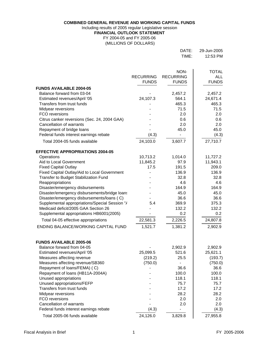**COMBINED GENERAL REVENUE AND WORKING CAPITAL FUNDS**

Including results of 2005 regular Legislative session

**FINANCIAL OUTLOOK STATEMENT**

FY 2004-05 and FY 2005-06 (MILLIONS OF DOLLARS)

| DATE: | 29-Jun-2005 |
|-------|-------------|
| TIME: | 12:53 PM    |

|                                                                                   | <b>RECURRING</b><br><b>FUNDS</b> | NON-<br><b>RECURRING</b><br><b>FUNDS</b> | <b>TOTAL</b><br><b>ALL</b><br><b>FUNDS</b> |
|-----------------------------------------------------------------------------------|----------------------------------|------------------------------------------|--------------------------------------------|
| <b>FUNDS AVAILABLE 2004-05</b>                                                    |                                  |                                          |                                            |
| Balance forward from 03-04                                                        |                                  | 2,457.2                                  | 2,457.2                                    |
| Estimated revenues/April '05                                                      | 24,107.3                         | 564.1                                    | 24,671.4                                   |
| Transfers from trust funds                                                        |                                  | 465.3                                    | 465.3                                      |
| Midyear reversions                                                                |                                  | 71.5                                     | 71.5                                       |
| FCO reversions                                                                    |                                  | 2.0                                      | 2.0                                        |
| Citrus canker reversions (Sec. 24, 2004 GAA)                                      |                                  | 0.6                                      | 0.6                                        |
| <b>Cancellation of warrants</b>                                                   |                                  | 2.0                                      | 2.0                                        |
| Repayment of bridge loans                                                         |                                  | 45.0                                     | 45.0                                       |
| Federal funds interest earnings rebate                                            | (4.3)                            |                                          | (4.3)                                      |
| Total 2004-05 funds available                                                     | 24,103.0                         | 3,607.7                                  | 27,710.7                                   |
| <b>EFFECTIVE APPROPRIATIONS 2004-05</b>                                           |                                  |                                          |                                            |
| Operations                                                                        | 10,713.2                         | 1,014.0                                  | 11,727.2                                   |
| Aid to Local Government                                                           | 11,845.2                         | 97.9                                     | 11,943.1                                   |
| <b>Fixed Capital Outlay</b>                                                       | 17.5                             | 191.5                                    | 209.0                                      |
| Fixed Capital Outlay/Aid to Local Government                                      |                                  | 136.9                                    | 136.9                                      |
| Transfer to Budget Stabilization Fund                                             |                                  | 32.8                                     | 32.8                                       |
| Reappropriations                                                                  |                                  | 4.6                                      | 4.6                                        |
| Disaster/emergency disbursements<br>Disaster/emergency disbursements/bridge loans |                                  | 164.9<br>45.0                            | 164.9<br>45.0                              |
| Disaster/emergency disbursements/loans (C)                                        |                                  | 36.6                                     | 36.6                                       |
| Supplemental appropriations/Special Session "/                                    | 5.4                              | 369.9                                    | 375.3                                      |
| Medicaid deficit/2005 GAA Section 26                                              |                                  | 132.2                                    | 132.2                                      |
| Supplemental appropriations HB6001(2005)                                          |                                  | 0.2                                      | 0.2                                        |
| Total 04-05 effective appropriations                                              | 22,581.3                         | 2,226.5                                  | 24,807.8                                   |
| ENDING BALANCE/WORKING CAPITAL FUND                                               | 1,521.7                          | 1,381.2                                  | 2,902.9                                    |
|                                                                                   |                                  |                                          |                                            |
| <b>FUNDS AVAILABLE 2005-06</b>                                                    |                                  |                                          |                                            |
| Balance forward from 04-05                                                        |                                  | 2,902.9                                  | 2,902.9                                    |
| Estimated revenues/April '05                                                      | 25,099.5                         | 521.6                                    | 25,621.1                                   |
| Measures affecting revenue                                                        | (219.2)                          | 25.5                                     | (193.7)                                    |
| Measures affecting revenue/SB360<br>Repayment of loans/FEMA) (C)                  | (750.0)                          |                                          | (750.0)<br>36.6                            |
| Repayment of loans (HB11A-2004A)                                                  |                                  | 36.6<br>100.0                            | 100.0                                      |
| Unused appropriations                                                             |                                  | 118.1                                    | 118.1                                      |
| Unused appropriations/FEFP                                                        |                                  | 75.7                                     | 75.7                                       |
| Transfers from trust funds                                                        |                                  | 17.2                                     | 17.2                                       |
| Midyear reversions                                                                |                                  | 28.2                                     | 28.2                                       |
| FCO reversions                                                                    |                                  | 2.0                                      | 2.0                                        |
| <b>Cancellation of warrants</b>                                                   |                                  | 2.0                                      | 2.0                                        |
| Federal funds interest earnings rebate                                            | (4.3)                            |                                          | (4.3)                                      |
| Total 2005-06 funds available                                                     | 24,126.0                         | 3,829.8                                  | 27,955.8                                   |
|                                                                                   |                                  |                                          |                                            |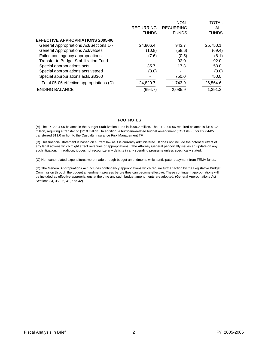|                                                |                  | NON-             | TOTAL        |
|------------------------------------------------|------------------|------------------|--------------|
|                                                | <b>RECURRING</b> | <b>RECURRING</b> | ALL          |
|                                                | <b>FUNDS</b>     | <b>FUNDS</b>     | <b>FUNDS</b> |
| <b>EFFECTIVE APPROPRIATIONS 2005-06</b>        |                  |                  |              |
| <b>General Appropriations Act/Sections 1-7</b> | 24,806.4         | 943.7            | 25,750.1     |
| <b>General Appropriations Act/vetoes</b>       | (10.8)           | (58.6)           | (69.4)       |
| Failed contingency appropriations              | (7.6)            | (0.5)            | (8.1)        |
| Transfer to Budget Stabilization Fund          |                  | 92.0             | 92.0         |
| Special appropriations acts                    | 35.7             | 17.3             | 53.0         |
| Special appropriations acts.vetoed             | (3.0)            |                  | (3.0)        |
| Special appropriations acts/SB360              |                  | 750.0            | 750.0        |
| Total 05-06 effective appropriations (D)       | 24,820.7         | 1,743.9          | 26,564.6     |
| <b>ENDING BALANCE</b>                          | (694.7           | 2,085.9          | 1,391.2      |

#### FOOTNOTES

(A) The FY 2004-05 balance in the Budget Stabilization Fund is \$999.2 million. The FY 2005-06 required balance is \$1091.2 million, requiring a transfer of \$92.0 million. In addition, a hurricane-related budget amendment (EOG #483) for FY 04-05 transferred \$11.0 million to the Casualty Insurance Risk Management TF.

(B) This financial statement is based on current law as it is currently administered. It does not include the potential effect of any legal actions which might affect revenues or appropriations. The Attorney General periodically issues an update on any such litigation. In addition, it does not recognize any deficits in any spending programs unless specifically stated.

(C) Hurricane related expenditures were made through budget amendments which anticipate repayment from FEMA funds.

(D) The General Appropriations Act includes contingency appropriations which require further action by the Legislative Budget Commission through the budget amendment process before they can become effective. These contingent appropriations will be included as effective appropriations at the time any such budget amendments are adopted. (General Appropriations Act Sections 34, 35, 36, 41, and 42)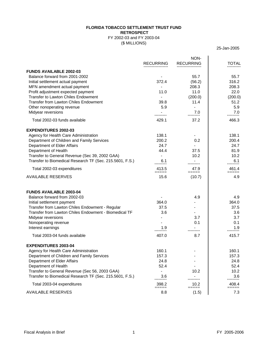### **FLORIDA TOBACCO SETTLEMENT TRUST FUND RETROSPECT**

### FY 2002-03 and FY 2003-04 (\$ MILLIONS)

25-Jan-2005

|                                                                   | <b>RECURRING</b> | NON-<br><b>RECURRING</b> | <b>TOTAL</b>   |
|-------------------------------------------------------------------|------------------|--------------------------|----------------|
|                                                                   |                  |                          |                |
| <b>FUNDS AVAILABLE 2002-03</b>                                    |                  |                          |                |
| Balance forward from 2001-2002                                    | 372.4            | 55.7                     | 55.7<br>316.2  |
| Initial settlement actual payment<br>MFN amendment actual payment |                  | (56.2)<br>208.3          | 208.3          |
| Profit adjustment expected payment                                | 11.0             | 11.0                     | 22.0           |
| <b>Transfer to Lawton Chiles Endowment</b>                        |                  | (200.0)                  | (200.0)        |
| <b>Transfer from Lawton Chiles Endowment</b>                      | 39.8             | 11.4                     | 51.2           |
| Other nonoperating revenue                                        | 5.9              |                          | 5.9            |
| Midyear reversions                                                |                  | 7.0                      | 7.0            |
|                                                                   |                  |                          |                |
| Total 2002-03 funds available                                     | 429.1            | 37.2                     | 466.3          |
| <b>EXPENDITURES 2002-03</b>                                       |                  |                          |                |
| Agency for Health Care Administration                             | 138.1            |                          | 138.1          |
| Department of Children and Family Services                        | 200.2            | 0.2                      | 200.4          |
| Department of Elder Affairs                                       | 24.7             |                          | 24.7           |
| Department of Health                                              | 44.4             | 37.5                     | 81.9           |
| Transfer to General Revenue (Sec 39, 2002 GAA)                    |                  | 10.2                     | 10.2           |
| Transfer to Biomedical Research TF (Sec. 215.5601, F.S.)          | 6.1              |                          | 6.1            |
| Total 2002-03 expenditures                                        | 413.5<br>$=====$ | 47.9<br>=====            | 461.4<br>===== |
| <b>AVAILABLE RESERVES</b>                                         | 15.6             | (10.7)                   | 4.9            |
| <b>FUNDS AVAILABLE 2003-04</b>                                    |                  |                          |                |
| Balance forward from 2002-03                                      |                  | 4.9                      | 4.9            |
| Initial settlement payment                                        | 364.0            |                          | 364.0          |
| Transfer from Lawton Chiles Endowment - Regular                   | 37.5             |                          | 37.5           |
| Transfer from Lawton Chiles Endowment - Biomedical TF             | 3.6              |                          | 3.6            |
| Midyear reversions                                                |                  | 3.7                      | 3.7            |
| Nonoperating revenue                                              |                  | 0.1                      | 0.1            |
| Interest earnings                                                 | 1.9              |                          | 1.9            |
| Total 2003-04 funds available                                     | 407.0            | 8.7                      | 415.7          |
| <b>EXPENDITURES 2003-04</b>                                       |                  |                          |                |
| Agency for Health Care Administration                             | 160.1            |                          | 160.1          |
| Department of Children and Family Services                        | 157.3            |                          | 157.3          |
| Department of Elder Affairs                                       | 24.8             |                          | 24.8           |
| Department of Health                                              | 52.4             |                          | 52.4           |
| Transfer to General Revenue (Sec 56, 2003 GAA)                    | L,               | 10.2                     | 10.2           |
| Transfer to Biomedical Research TF (Sec. 215.5601, F.S.)          | 3.6              |                          | 3.6            |
| Total 2003-04 expenditures                                        | 398.2<br>=====   | 10.2<br>=====            | 408.4<br>===== |
| <b>AVAILABLE RESERVES</b>                                         | 8.8              | (1.5)                    | 7.3            |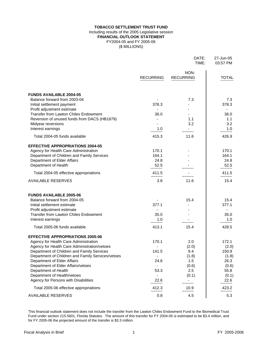### **TOBACCO SETTLEMENT TRUST FUND FINANCIAL OUTLOOK STATEMENT** FY2004-05 and FY 2005-06 (\$ MILLIONS) Including results of the 2005 Legislative session

|                                                                                            |                  | DATE:<br>TIME:           | 27-Jun-05<br>03:57 PM |
|--------------------------------------------------------------------------------------------|------------------|--------------------------|-----------------------|
|                                                                                            | <b>RECURRING</b> | NON-<br><b>RECURRING</b> | <b>TOTAL</b>          |
| <b>FUNDS AVAILABLE 2004-05</b>                                                             |                  |                          |                       |
| Balance forward from 2003-04                                                               |                  | 7.3                      | 7.3                   |
| Initial settlement payment                                                                 | 378.3            |                          | 378.3                 |
| Profit adjustment estimate<br><b>Transfer from Lawton Chiles Endowment</b>                 | 36.0             |                          | 36.0                  |
| Reversion of unused funds from DACS (HB1879)                                               |                  | 1.1                      | 1.1                   |
| Midyear reversions                                                                         |                  | 3.2                      | 3.2                   |
| Interest earnings                                                                          | 1.0              |                          | 1.0                   |
| Total 2004-05 funds available                                                              | 415.3            | 11.6                     | 426.9                 |
| <b>EFFECTIVE APPROPRIATIONS 2004-05</b>                                                    |                  |                          |                       |
| Agency for Health Care Administration                                                      | 170.1            |                          | 170.1                 |
| Department of Children and Family Services                                                 | 164.1            |                          | 164.1                 |
| Department of Elder Affairs                                                                | 24.8             |                          | 24.8                  |
| Department of Health                                                                       | 52.5             |                          | 52.5                  |
| Total 2004-05 effective appropriations                                                     | 411.5<br>=====   | =====                    | 411.5<br>=====        |
| <b>AVAILABLE RESERVES</b>                                                                  | 3.8              | 11.6                     | 15.4                  |
| <b>FUNDS AVAILABLE 2005-06</b>                                                             |                  |                          |                       |
| Balance forward from 2004-05                                                               |                  | 15.4                     | 15.4                  |
| Initial settlement estimate                                                                | 377.1            |                          | 377.1                 |
| Profit adjustment estimate                                                                 | $\blacksquare$   |                          | $\blacksquare$        |
| <b>Transfer from Lawton Chiles Endowment</b>                                               | 35.0             |                          | 35.0                  |
| Interest earnings                                                                          | 1.0              |                          | 1.0                   |
| Total 2005-06 funds available                                                              | 413.1            | 15.4                     | 428.5                 |
| <b>EFFECTIVE APPROPRIATIONS 2005-06</b>                                                    |                  |                          |                       |
| Agency for Health Care Administration                                                      | 170.1            | 2.0                      | 172.1                 |
| Agency for Health Care Administration/vetoes<br>Department of Children and Family Services | 141.5            | (2.0)<br>9.4             | (2.0)<br>150.9        |
| Department of Children and Family Services/vetoes                                          |                  | (1.8)                    | (1.8)                 |
| Department of Elder Affairs                                                                | 24.8             | 1.5                      | 26.3                  |
| Department of Elder Affairs/vetoes                                                         |                  | (0.6)                    | (0.6)                 |
| Department of Health                                                                       | 53.3             | 2.5                      | 55.8                  |
| Department of Health/vetoes                                                                |                  | (0.1)                    | (0.1)                 |
| Agency for Persons with Disabilities                                                       | 22.6             |                          | 22.6                  |
| Total 2005-06 effective appropriations                                                     | 412.3<br>=====   | 10.9<br>=====            | 423.2<br>=====        |
| <b>AVAILABLE RESERVES</b>                                                                  | 0.8              | 4.5                      | 5.3                   |

This financial outlook statement does not include the transfer from the Lawton Chiles Endowment Fund to the Biomedical Trust Fund under section 215.5601, Florida Statutes. The amount of this transfer for FY 2004-05 is estimated to be \$3.4 million, and for FY 2005-06 the projected amount of the transfer is \$3.3 million.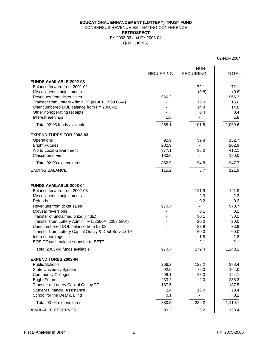### (\$ MILLIONS) **EDUCATIONAL ENHANCEMENT (LOTTERY) TRUST FUND** CONSENSUS REVENUE ESTIMATING CONFERENCE **RETROSPECT** FY 2002-03 and FY 2003-04

02-Nov-2004

|                                                        | <b>RECURRING</b> | NON-<br><b>RECURRING</b> | <b>TOTAL</b> |
|--------------------------------------------------------|------------------|--------------------------|--------------|
| <b>FUNDS AVAILABLE 2002-03</b>                         |                  |                          |              |
| Balance forward from 2001-02                           |                  | 72.1                     | 72.1         |
| Miscellaneous adjustments                              |                  | (0.8)                    | (0.8)        |
| Revenues from ticket sales                             | 966.3            |                          | 966.3        |
| Transfer from Lottery Admin TF (#1981, 1999 GAA)       |                  | 15.0                     | 15.0         |
| Unencumbered DOL balance from FY 2000-01               |                  | 14.8                     | 14.8         |
| Other nonoperating receipts                            |                  | 0.4                      | 0.4          |
| Interest earnings                                      | 1.8              |                          | 1.8          |
| Total 02-03 funds available                            | 968.1            | 101.5                    | 1,069.6      |
| <b>EXPENDITURES FOR 2002-03</b>                        |                  |                          |              |
| Operations                                             | 92.9             | 59.8                     | 152.7        |
| <b>Bright Futures</b>                                  | 202.9            |                          | 202.9        |
| Aid to Local Government                                | 377.1            | 35.0                     | 412.1        |
| <b>Classrooms First</b>                                | 180.0            |                          | 180.0        |
| Total 02-03 expenditures                               | 852.9            | 94.8                     | 947.7        |
| <b>ENDING BALANCE</b>                                  | 115.2            | 6.7                      | 121.9        |
| <b>FUNDS AVAILABLE 2003-04</b>                         |                  |                          |              |
| Balance forward from 2002-03                           |                  | 121.9                    | 121.9        |
| Miscellaneous adjustments                              |                  | 2.3                      | 2.3          |
| Refunds                                                |                  | 0.2                      | 0.2          |
| Revenues from ticket sales                             | 970.7            |                          | 970.7        |
| Midyear reversions                                     |                  | 0.1                      | 0.1          |
| Transfer of unclaimed prize (H43E)                     |                  | 30.1                     | 30.1         |
| Transfer from Lottery Admin TF (#2560A, 2003 GAA)      |                  | 20.0                     | 20.0         |
| Unencumbered DOL balance from 02-03                    |                  | 33.9                     | 33.9         |
| Transfer from Lottery Capital Outlay & Debt Service TF |                  | 60.0                     | 60.0         |
| Interest earnings                                      |                  | 1.8                      | 1.8          |
| BOR TF cash balance transfer to EETF                   |                  | 2.1                      | 2.1          |
| Total 2003-04 funds available                          | 970.7            | 272.4                    | 1,243.1      |
| <b>EXPENDITURES 2003-04</b>                            |                  |                          |              |
| <b>Public Schools</b>                                  | 266.2            | 122.2                    | 388.4        |
| <b>State University System</b>                         | 92.0             | 72.0                     | 164.0        |
| <b>Community Colleges</b>                              | 99.1             | 25.0                     | 124.1        |
| <b>Bright Futures</b>                                  | 233.2            | 2.0                      | 235.2        |
| Transfer to Lottery Capital Outlay TF                  | 187.5            |                          | 187.5        |
| <b>Student Financial Assistance</b>                    | 2.4              | 18.0                     | 20.4         |
| School for the Deaf & Blind                            | 0.1              | -                        | 0.1          |
| Total 03-04 expenditures                               | 880.5            | 239.2                    | 1,119.7      |
| <b>AVAILABLE RESERVES</b>                              | 90.2             | 33.2                     | 123.4        |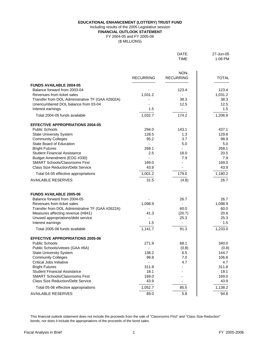**EDUCATIONAL ENHANCEMENT (LOTTERY) TRUST FUND**

### Including results of the 2005 Legislative session

**FINANCIAL OUTLOOK STATEMENT**

FY 2004-05 and FY 2005-06

(\$ MILLIONS)

|                                                                              |                  | DATE:<br>TIME:           | 27-Jun-05<br>1:08 PM |
|------------------------------------------------------------------------------|------------------|--------------------------|----------------------|
|                                                                              | <b>RECURRING</b> | NON-<br><b>RECURRING</b> | <b>TOTAL</b>         |
|                                                                              |                  |                          |                      |
| <b>FUNDS AVAILABLE 2004-05</b>                                               |                  |                          |                      |
| Balance forward from 2003-04                                                 |                  | 123.4                    | 123.4                |
| Revenues from ticket sales                                                   | 1,031.2          | $\overline{\phantom{0}}$ | 1,031.2              |
| $T_{\text{nonflow}}$ from $DOL$ Administrative $T\Gamma$ ( $CAN$ 40000 $N$ ) |                  | $\Omega$                 | 200.2                |

| Revenues from ticket sales                                              | 1,031.2       | $\blacksquare$ | 1,031.2       |
|-------------------------------------------------------------------------|---------------|----------------|---------------|
| Transfer from DOL Administrative TF (GAA #2602A)                        |               | 38.3           | 38.3          |
| Unencumbered DOL balance from 03-04                                     |               | 12.5           | 12.5          |
| Interest earnings                                                       | 1.5           | $\blacksquare$ | 1.5           |
| Total 2004-05 funds available                                           | 1,032.7       | 174.2          | 1,206.9       |
| <b>EFFECTIVE APPROPRIATIONS 2004-05</b>                                 |               |                |               |
| <b>Public Schools</b>                                                   | 294.0         | 143.1          | 437.1         |
| <b>State University System</b>                                          | 128.5         | 1.3            | 129.8         |
| <b>Community Colleges</b>                                               | 95.2          | 3.7            | 98.9          |
| State Board of Education                                                |               | 5.0            | 5.0           |
| <b>Bright Futures</b>                                                   | 268.1         |                | 268.1         |
| <b>Student Financial Assistance</b>                                     | 2.5           | 18.0           | 20.5          |
| Budget Amendment (EOG #330)                                             |               | 7.9            | 7.9           |
| <b>SMART Schools/Classrooms First</b>                                   | 169.0         |                | 169.0         |
| <b>Class Size Reduction/Debt Service</b>                                | 43.9          |                | 43.9          |
| Total 04-05 effective appropriations                                    | 1,001.2       | 179.0          | 1,180.2       |
| <b>AVAILABLE RESERVES</b>                                               | 31.5          | (4.8)          | 26.7          |
|                                                                         |               |                |               |
| <b>FUNDS AVAILABLE 2005-06</b>                                          |               |                |               |
| Balance forward from 2004-05                                            |               | 26.7           | 26.7          |
| Revenues from ticket sales                                              | 1,098.9       | 60.0           | 1,098.9       |
| Transfer from DOL Administrative TF (GAA #2622A)                        |               |                | 60.0          |
| Measures affecting revenue (H841)<br>Unused appropriations/debt service | 41.3          | (20.7)<br>25.3 | 20.6<br>25.3  |
| Interest earnings                                                       | 1.5           | $\blacksquare$ | 1.5           |
|                                                                         |               |                |               |
| Total 2005-06 funds available                                           | 1,141.7       | 91.3           | 1,233.0       |
| <b>EFFECTIVE APPROPRIATIONS 2005-06</b>                                 |               |                |               |
| <b>Public Schools</b>                                                   | 271.9         | 68.1           | 340.0         |
| Public Schools/vetoes (GAA #6A)                                         |               | (0.8)          | (0.8)         |
| <b>State University System</b>                                          | 138.2         | 6.5            | 144.7         |
| <b>Community Colleges</b>                                               | 99.8          | 7.0            | 106.8         |
| <b>Critical Jobs Initiative</b>                                         |               | 4.7            | 4.7           |
| <b>Bright Futures</b><br><b>Student Financial Assistance</b>            | 311.8         |                | 311.8         |
| <b>SMART Schools/Classrooms First</b>                                   | 18.1<br>169.0 |                | 18.1<br>169.0 |
| <b>Class Size Reduction/Debt Service</b>                                |               |                |               |
|                                                                         | 43.9          |                | 43.9          |
| Total 05-06 effective appropriations                                    | 1,052.7       | 85.5           | 1,138.2       |
| <b>AVAILABLE RESERVES</b>                                               | 89.0          | 5.8            | 94.8          |

This financial outlook statement does not include the proceeds from the sale of "Classrooms First" and "Class Size Reduction" bonds, nor does it include the appropriations of the proceeds of the bond sales.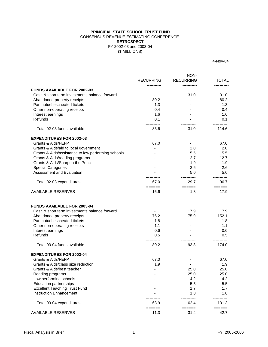### (\$ MILLIONS) **PRINCIPAL STATE SCHOOL TRUST FUND** CONSENSUS REVENUE ESTIMATING CONFERENCE FY 2002-03 and 2003-04 **RETROSPECT**

4-Nov-04

|                                                    | <b>RECURRING</b>                | NON-<br><b>RECURRING</b> | <b>TOTAL</b><br>. |
|----------------------------------------------------|---------------------------------|--------------------------|-------------------|
| <b>FUNDS AVAILABLE FOR 2002-03</b>                 |                                 |                          |                   |
| Cash & short term investments balance forward      |                                 | 31.0                     | 31.0              |
| Abandoned property receipts                        | 80.2                            |                          | 80.2              |
| Parimutuel escheated tickets                       | 1.3                             |                          | 1.3               |
| Other non-operating receipts                       | 0.4                             |                          | 0.4               |
| Interest earnings                                  | 1.6                             |                          | 1.6               |
| Refunds                                            | 0.1                             |                          | 0.1               |
| Total 02-03 funds available                        | 83.6                            | 31.0                     | 114.6             |
| <b>EXPENDITURES FOR 2002-03</b>                    |                                 |                          |                   |
| Grants & Aids/FEFP                                 | 67.0                            | $\blacksquare$           | 67.0              |
| Grants & Aids/aid to local government              |                                 | 2.0                      | 2.0               |
| Grants & Aids/assistance to low performing schools |                                 | 5.5                      | 5.5               |
| Grants & Aids/reading programs                     |                                 | 12.7                     | 12.7              |
| Grants & Aids/Sharpen the Pencil                   |                                 | 1.9                      | 1.9               |
| <b>Special Categories</b>                          |                                 | 2.6                      | 2.6               |
| <b>Assessment and Evaluation</b>                   |                                 | 5.0                      | 5.0               |
| Total 02-03 expenditures                           | 67.0                            | 29.7                     | 96.7              |
| <b>AVAILABLE RESERVES</b>                          | $=$ $=$ $=$ $=$ $=$ $=$<br>16.6 | ======<br>1.3            | ======<br>17.9    |
| <b>FUNDS AVAILABLE FOR 2003-04</b>                 |                                 |                          |                   |
| Cash & short term investments balance forward      |                                 | 17.9                     | 17.9              |
| Abandoned property receipts                        | 76.2                            | 75.9                     | 152.1             |
| Parimutuel escheated tickets                       | 1.8                             |                          | 1.8               |
| Other non-operating receipts                       | 1.1                             |                          | 1.1               |
| Interest earnings                                  | 0.6                             |                          | 0.6               |
| Refunds                                            | 0.5<br>.                        |                          | 0.5               |
| Total 03-04 funds available                        | 80.2                            | 93.8                     | 174.0             |
| <b>EXPENDITURES FOR 2003-04</b>                    |                                 |                          |                   |
| Grants & Aids/FEFP                                 | 67.0                            |                          | 67.0              |
| Grants & Aids/class size reduction                 | 1.9                             |                          | 1.9               |
| Grants & Aids/best teacher                         |                                 | 25.0                     | 25.0              |
| Reading programs                                   |                                 | 25.0                     | 25.0              |
| Low performing schools                             |                                 | 4.2                      | 4.2               |
| <b>Education partnerships</b>                      |                                 | 5.5                      | 5.5               |
| <b>Excellent Teaching Trust Fund</b>               |                                 | 1.7                      | 1.7               |
| <b>Instruction Enhancement</b>                     |                                 | 1.0                      | 1.0               |
| Total 03-04 expenditures                           | 68.9                            | 62.4                     | 131.3             |
| <b>AVAILABLE RESERVES</b>                          | $=$ $=$ $=$ $=$ $=$ $=$<br>11.3 | ======<br>31.4           | ======<br>42.7    |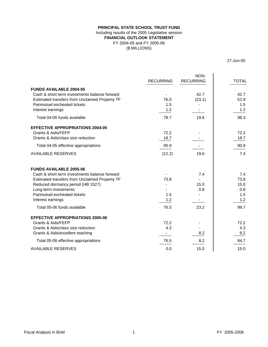### **PRINCIPAL STATE SCHOOL TRUST FUND** Including results of the 2005 Legislative session **FINANCIAL OUTLOOK STATEMENT** FY 2004-05 and FY 2005-06 (\$ MILLIONS)

27-Jun-05

|                                                | <b>RECURRING</b> | NON-<br><b>RECURRING</b> | <b>TOTAL</b>  |
|------------------------------------------------|------------------|--------------------------|---------------|
| <b>FUNDS AVAILABLE 2004-05</b>                 |                  |                          |               |
| Cash & short term investments balance forward  |                  | 42.7                     | 42.7          |
| Estimated transfers from Unclaimed Property TF | 76.0             | (23.1)                   | 52.9          |
| Parimutuel escheated tickets                   | 1.5              |                          | 1.5           |
| Interest earnings                              | $-1.2$           |                          | 1.2           |
| Total 04-05 funds available                    | 78.7             | 19.6                     | 98.3          |
| <b>EFFECTIVE APPROPRIATIONS 2004-05</b>        |                  |                          |               |
| Grants & Aids/FEFP                             | 72.2             |                          | 72.2          |
| Grants & Aids/class size reduction             | 18.7             |                          | 18.7          |
| Total 04-05 effective appropriations           | 90.9<br>=====    |                          | 90.9          |
| <b>AVAILABLE RESERVES</b>                      | (12.2)           | 19.6                     | 7.4           |
| <b>FUNDS AVAILABLE 2005-06</b>                 |                  |                          |               |
| Cash & short term investments balance forward  |                  | 7.4                      | 7.4           |
| Estimated transfers from Unclaimed Property TF | 73.8             |                          | 73.8          |
| Reduced dormancy period (HB 1527)              |                  | 15.0                     | 15.0          |
| Long-term investments                          |                  | 0.8                      | 0.8           |
| Parimutuel escheated tickets                   | 1.5              |                          | 1.5           |
| Interest earnings                              | 1.2              |                          | 1.2           |
| Total 05-06 funds available                    | 76.5             | 23.2                     | 99.7          |
| <b>EFFECTIVE APPROPRIATIONS 2005-06</b>        |                  |                          |               |
| Grants & Aids/FEFP                             | 72.2             |                          | 72.2          |
| Grants & Aids/class size reduction             | 4.3              |                          | 4.3           |
| Grants & Aids/excellent teaching               |                  | 8.2                      | 8.2           |
| Total 05-06 effective appropriations           | 76.5<br>----     | 8.2<br>=====             | 84.7<br>===== |
| <b>AVAILABLE RESERVES</b>                      | 0.0              | 15.0                     | 15.0          |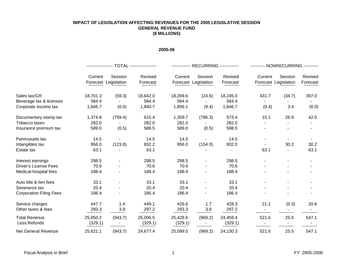### **IMPACT OF LEGISLATION AFFECTING REVENUES FOR THE 2005 LEGISLATIVE SESSION GENERAL REVENUE FUND (\$ MILLIONS)**

### **2005-06**

|                                      |                     |                                 |                      |                     | ------------- RECURRING ------------- |                     | ---------- NONRECURRING ---------- |                                 |                     |  |  |  |  |
|--------------------------------------|---------------------|---------------------------------|----------------------|---------------------|---------------------------------------|---------------------|------------------------------------|---------------------------------|---------------------|--|--|--|--|
|                                      | Current             | Session<br>Forecast Legislation | Revised<br>Forecast  | Current             | Session<br>Forecast Legislation       | Revised<br>Forecast | Current                            | Session<br>Forecast Legislation | Revised<br>Forecast |  |  |  |  |
| Sales tax/GR                         | 18,701.3            | (59.3)                          | 18,642.0             | 18,269.6            | (24.6)                                | 18,245.0            | 431.7                              | (34.7)                          | 397.0               |  |  |  |  |
| Beverage tax & licenses              | 584.4               |                                 | 584.4                | 584.4               |                                       | 584.4               |                                    |                                 |                     |  |  |  |  |
| Corporate income tax                 | 1,846.7             | (6.0)                           | 1,840.7              | 1,856.1             | (9.4)                                 | 1,846.7             | (9.4)                              | 3.4                             | (6.0)               |  |  |  |  |
| Documentary stamp tax                | 1,374.8             | (759.4)                         | 615.4                | 1,359.7             | (786.3)                               | 573.4               | 15.1                               | 26.9                            | 42.0                |  |  |  |  |
| Tobacco taxes                        | 282.0               |                                 | 282.0                | 282.0               |                                       | 282.0               |                                    |                                 |                     |  |  |  |  |
| Insurance premium tax                | 589.0               | (0.5)                           | 588.5                | 589.0               | (0.5)                                 | 588.5               |                                    |                                 |                     |  |  |  |  |
| Parimutuels tax                      | 14.5                |                                 | 14.5                 | 14.5                |                                       | 14.5                | ٠                                  |                                 |                     |  |  |  |  |
| Intangibles tax                      | 956.0               | (123.8)                         | 832.2                | 956.0               | (154.0)                               | 802.0               |                                    | 30.2                            | 30.2                |  |  |  |  |
| Estate tax                           | 63.1                |                                 | 63.1                 |                     |                                       |                     | 63.1                               |                                 | 63.1                |  |  |  |  |
| Interest earnings                    | 298.5               |                                 | 298.5                | 298.5               |                                       | 298.5               |                                    |                                 |                     |  |  |  |  |
| <b>Driver's License Fees</b>         | 70.6                |                                 | 70.6                 | 70.6                |                                       | 70.6                |                                    |                                 |                     |  |  |  |  |
| Medical-hospital fees                | 188.4               |                                 | 188.4                | 188.4               |                                       | 188.4               |                                    |                                 |                     |  |  |  |  |
| Auto title & lien fees               | 33.1                |                                 | 33.1                 | 33.1                |                                       | 33.1                |                                    |                                 |                     |  |  |  |  |
| Severance tax                        | 20.4                |                                 | 20.4                 | 20.4                |                                       | 20.4                |                                    |                                 |                     |  |  |  |  |
| <b>Corporation Filing Fees</b>       | 186.4               |                                 | 186.4                | 186.4               |                                       | 186.4               |                                    |                                 |                     |  |  |  |  |
| Service charges                      | 447.7               | 1.4                             | 449.1                | 426.6               | 1.7                                   | 428.3               | 21.1                               | (0.3)                           | 20.8                |  |  |  |  |
| Other taxes & fees                   | 293.3               | 3.9                             | 297.2<br>----------- | 293.3               | 3.9                                   | 297.2               |                                    |                                 |                     |  |  |  |  |
| <b>Total Revenue</b><br>Less:Refunds | 25,950.2<br>(329.1) | (943.7)                         | 25,006.5<br>(329.1)  | 25,428.6<br>(329.1) | (969.2)                               | 24,459.4<br>(329.1) | 521.6                              | 25.5                            | 547.1               |  |  |  |  |
| <b>Net General Revenue</b>           | 25,621.1            | (943.7)                         | 24,677.4             | 25,099.5            | (969.2)                               | 24,130.3            | 521.6                              | 25.5                            | 547.1               |  |  |  |  |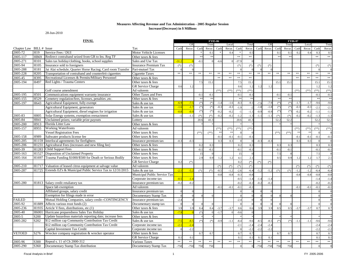28-Jun-2010

| <b>FINAL</b>             |                          |                                                                 | <b>FY05-06</b><br><b>FY06-07</b> |        |        |        |        |        |        |         |        |        |        |        |        |        |        |        |          |
|--------------------------|--------------------------|-----------------------------------------------------------------|----------------------------------|--------|--------|--------|--------|--------|--------|---------|--------|--------|--------|--------|--------|--------|--------|--------|----------|
|                          |                          |                                                                 |                                  |        | GR     |        | Trust  |        | Local  |         | Total  |        | GR     |        | Trust  |        | Local  |        | Total    |
| Chapter Law BILL # Issue |                          |                                                                 | Tax                              | Cash   | Recur  | Cash   | Recur. | Cash   | Recur. | Cash    | Recur  | Cash   | Recur. | Cash   | Recur. | Cash   | Recur. | Cash   | Recur.   |
| 2005-72                  | H <sub>19</sub>          | Service Fees / DUI                                              | <b>Motor Vehicle Licenses</b>    |        |        |        | 0.1    |        | 0.4    |         |        |        |        | 0.1    |        |        | 0.4    | 0.3    | 0.5      |
| 2005-117                 | <b>HB69</b>              | Redirect contraband seized from GR to Ins. Reg TF               | Other taxes & fees               |        |        | $**$   | $**$   |        |        | $**$    | $**$   |        |        | $**$   | 业业     |        |        | $**$   | $***$    |
| 2005-271                 | H101                     | Sales tax holiday/clothing, books, school supplies              | Sales and Use Tax                | $-31.$ |        | $-0.1$ |        | $-6.6$ |        | $-37.9$ |        |        |        |        |        |        |        |        |          |
| 2005-94                  | H105                     | Insurance sold to foreigners                                    | <b>Insurance Premium Tax</b>     | $(*)$  | $(*)$  |        |        |        |        | $(*)$   | $(*)$  | $(*)$  | $(*)$  |        |        |        |        | $(*)$  | $(*)$    |
| 2005-288                 | H181                     | Jai Alai schedule; Quarter Horse Racing; Card room Transfer     | Pari-mutuel Tax                  |        |        |        |        |        |        |         |        |        |        |        |        |        |        |        |          |
| $\overline{2005} - 228$  | H <sub>205</sub>         | Transportation of contraband and counterfeit cigarettes         | Cigarette Taxes                  | $***$  | $**$   | $**$   | **     | $***$  | $***$  | $***$   | $**$   | $**$   | $**$   | $**$   | $**$   | $**$   | $***$  | **     | $***$    |
| 2005-45                  | H395                     | Recreational Licenses & Permits/Military Personnel              | Other taxes & fees               |        |        |        |        | $**$   | $***$  | $***$   | $**$   |        |        |        |        | $**$   | $**$   | $**$   | $**$     |
| 2005-194                 | H497                     | Red Lights / Trauma Centers                                     | Other taxes & fees               |        |        | 7.5    | 15.1   |        |        | 7.5     | 15.1   |        |        | 15.1   | 15.1   |        |        | 15.1   | 15.1     |
|                          |                          |                                                                 | <b>GR Service Charge</b>         | 0.6    |        |        |        |        |        | 0.6     |        |        | 1.2    |        |        |        |        |        | 1.2      |
|                          |                          | Golf course amendment                                           | Ad valorem                       |        |        |        |        | $(**)$ | $(**)$ | $(**)$  | $(**)$ |        |        |        |        | $(**)$ | $(**)$ | $(**)$ | $(**)$   |
| 2005-195                 | H501                     | Communications equipment warranty insurance                     | Other Taxes and Fees             |        |        | $-0.1$ | $-0.1$ |        |        | $-0.1$  | $-0.1$ |        |        | $-0.1$ | $-0.1$ |        |        | $-0.1$ | $-0.1$   |
| 2005-155                 | H <sub>529</sub>         | Cemetery regulation/fees, licenses, penalties ,etc.             | Other taxes & fees               |        |        | $**$   | $**$   |        |        | $**$    |        |        |        | $**$   |        |        |        | $**$   | **       |
| 2005-197                 | H <sub>643</sub>         | Agricultural Equipment, fully exempt                            | Sales & use tax                  | $-6.9$ | $-7.5$ | $(*)$  | $(*)$  | $-1.4$ | $-1.6$ | $-8.3$  | $-9.$  | $-7.9$ | $-7.9$ | $(*)$  |        | $-1.7$ | $-1.7$ | $-9.6$ | $-9.6$   |
|                          |                          | Agricultural Equipment, generators                              | Sales & use tax                  | $-1.6$ | $-1.7$ | $(*)$  | $(*)$  | $-0.3$ | $-0.3$ | $-1.9$  |        | $-1.8$ | $-1.8$ | $(*)$  |        | $-0.3$ | $-0.3$ | $-2.1$ | $-2.1$   |
|                          |                          | Agricultural Equipment, diesel engines for irrigation           | Sales & use tax                  | $-0$ . | $-0.9$ | $(*)$  | $(*)$  | $-0.2$ | $-0.2$ |         |        | $-0.9$ | $-0.9$ | $(*)$  |        | $-0.2$ | $-0.2$ | $-1.1$ | $-1.1$   |
| 2005-83                  | H805                     | Solar Energy systems, exemption reenactment                     | Sales & use tax                  |        | $-1.1$ | $(*)$  | $(*)$  | $-0.2$ | $-0.2$ | $-1.2$  |        |        | $-1.1$ | $(*)$  | $(*)$  | $-0.2$ | $-0.2$ |        | $-1.3$   |
| 2005-84                  | H841                     | Unclaimed prizes; variable prize payouts                        | Lottery                          |        |        | 20.6   | 41.3   |        |        | 20.6    | 41.3   |        |        | 52.2   | 52.2   |        |        | 52.2   | 52.2     |
| 2005-200                 | H913                     | Florida Litter Law                                              | Other taxes & fees               |        |        |        |        |        |        |         |        |        |        |        |        |        |        |        |          |
| 2005-157                 | H955                     | <b>Working Waterfronts</b>                                      | Ad valorem                       |        |        |        |        | $(**)$ | $(**)$ | $(**)$  | $(**)$ |        |        |        |        | $(**)$ | $(**)$ | $(**)$ | $(**)$   |
|                          |                          | <b>Vessel Registration Fees</b>                                 | Other taxes & fees               |        |        | $(**)$ | $(**)$ | **     | $**$   |         |        |        |        | $(**)$ | $(**)$ |        | **     |        |          |
| 2005-158                 | H989                     | Saltwater products license fee                                  | Other taxes & fees               |        |        |        |        | $-0.1$ | $-0.1$ | $-0.1$  | $-0.1$ |        |        |        |        | $-0.1$ | $-0.1$ | $-0.1$ | $-0.1$   |
| 2005-205                 |                          | H1159 Interlocal agreements for firefighters                    | Insurance premium tax            | $-0.3$ | $-0.3$ |        |        | 0.3    | 0.3    |         |        | $-0.3$ | $-0.3$ |        |        | 0.3    | 0.3    |        |          |
| 2005-206                 |                          | H1231 Agricultural Fees (increases and new filing fee)          | Other taxes & fees               |        |        | 0.2    | 0.3    |        |        | 0.2     | 0.3    |        |        | 0.3    | 0.3    |        |        |        | 0.3      |
| 2005-39                  |                          | H1283 Child Support Fees                                        | Other taxes & fees               |        |        | $-0.1$ | $-0.1$ |        |        | $-0.1$  | $-0.1$ |        |        | $-0.1$ | $-0.1$ |        |        | $-0.1$ | $-0.1$   |
| 2005-163                 |                          | H1527 Disposition of Unclaimed Property                         | Other taxes & fees               |        |        | 15     |        |        |        | 15      |        |        |        | 7.5    |        |        |        | 7.5    | $\Omega$ |
| 2005-164                 | H1697                    | Trauma Funding \$1000/\$500 for Death or Serious Bodily         | Other taxes & fees               |        |        | 2.9    | 0.9    | 1.2    | 1.2    | 4.1     | 2.1    |        |        | 0.5    | 0.9    | 1.2    | 1.2    |        | 2.1      |
|                          |                          |                                                                 | <b>GR Service Charge</b>         | 0.2    | $(*)$  |        |        |        |        | 0.2     | $(*)$  | $(*)$  | $(*)$  |        |        |        |        |        |          |
| 2005-210                 |                          | H1717 Valuation of leased citrus equipment at salvage value     | Ad valorem                       |        |        |        |        | $(*)$  | $(*)$  | $(*)$   | $(*)$  |        |        |        |        | $(*)$  | $(*)$  | $(*)$  | $(*)$    |
| 2005-287                 |                          | H1725 Extends EZ's & Municipal Public Service Tax to 12/31/2015 | Sales & use tax                  | $-2.1$ | $-5.2$ | $(*)$  | $(*)$  | $-0.5$ | $-1.2$ | $-2.6$  | $-6.4$ | $-5.2$ | $-5.2$ | $(*)$  | $(*)$  | $-1.2$ | $-1.2$ | $-6.4$ | $-6.4$   |
|                          |                          |                                                                 | Municipal Public Service Tax     |        |        |        |        | $-0.8$ | $-0.8$ | $-0.3$  | $-0.8$ |        |        |        |        | $-0.8$ | $-0.8$ | $-0.8$ | $-0.8$   |
|                          |                          |                                                                 | Corporate income tax             |        | $-1.4$ |        |        |        |        | $-0.5$  |        |        | $-1.4$ |        |        |        |        |        | $-1.4$   |
| 2005-280                 |                          | H1813 Salary credit retaliatory tax                             | Insurance premium tax            | $-0.2$ | $-0.2$ |        |        |        |        | $-0.2$  | $-0.2$ | $-0.2$ | $-0.2$ |        |        |        |        | $-0.2$ | $-0.2$   |
|                          |                          | Space lab exemption                                             | Ad valorem                       |        |        |        |        | $-0.1$ | $-0.1$ | $-0.1$  | $-0$ . |        |        |        |        | $-0.1$ | $-0.1$ | $-0.1$ | $-0.1$   |
|                          |                          | Affiliated groups, salary credit                                | Insurance premium tax            |        |        |        |        |        |        |         |        |        |        |        |        |        |        |        | $\theta$ |
|                          |                          | Exemption for filings made in error                             | Documentary Stamp Tax            |        |        |        |        |        |        |         |        |        |        |        |        |        |        |        |          |
| <b>FAILED</b>            |                          | Mutual Holding Companies, salary credit--CONTINGENCY            | Insurance premium tax            | $-2.4$ |        |        |        |        |        | $-2.4$  |        |        |        |        |        |        |        |        |          |
| 2005-92                  | H1889                    | Affects various trust funds (2)                                 | Documentary stamp tax            |        |        |        |        |        |        |         |        |        |        |        |        |        |        |        |          |
| $\sqrt{2005 - 236}$      | H1935                    | Article V/fees, distributions, etc.(1)                          | Other taxes & fees               | 3.9    | 3.9    | 0.4    | 0.4    | $-3.7$ | $-3.7$ | 0.6     | 0.6    | 3.9    | 3.9    | 0.5    | 0.5    | $-3.7$ | $-3.7$ | 0.7    | 0.7      |
| 2005-40                  | H6001                    | Hurricane preparedness Sales Tax Holiday                        | Sales & use tax                  | $-7.9$ |        |        |        | $-1.7$ |        | $-9.6$  |        |        |        |        |        |        |        |        |          |
| $\boxed{2005-5}$         | S200                     | Update hazardous materials reporting date; increase fees        | Other taxes & fees               |        |        |        |        |        |        |         |        |        |        |        |        |        |        |        |          |
| 2005-282                 | $\overline{\text{S}}202$ | \$12 million cap Community Contribution Tax Credit              | Sales & use tax                  | $-7.3$ | $-8.5$ | $(*)$  | $(*)$  | $-0.9$ | $-1.1$ | $-8.4$  | $-9.6$ | $-8.5$ | $-8.5$ | $(*)$  |        | $-1.1$ | $-1.1$ | $-9.6$ | $-9.6$   |
|                          |                          | \$12 million cap Community Contribution Tax Credit              | Corporate income tax             | $-2.1$ | $-2.4$ |        |        |        |        | $-2.1$  | $-2.4$ | $-2.4$ | $-2.4$ |        |        |        |        | $-2.4$ | $-2.4$   |
|                          |                          | Capital Investment Tax Credit                                   | Corporate income tax             |        | $-2.2$ |        |        |        |        |         | $-2.2$ | $-2.2$ | $-2.2$ |        |        |        |        | $-2.2$ | $-2.2$   |
| <b>VETOED</b>            | S276                     | Wrecker company registration & wrecker operator                 | Other taxes & fees               |        |        | 0.7    | 0.7    |        |        | 0.7     |        |        |        | 0.7    | 0.7    |        |        | 0.7    | 0.7      |
|                          |                          |                                                                 | <b>GR Service Charge</b>         | 0.1    | 0.1    |        |        |        |        | 0.1     |        |        | 0.1    |        |        |        |        | 0.1    | 0.1      |
| 2005-96                  | S300                     | Repeal s. 11 of Ch 2000-312                                     | <b>Various Taxes</b>             | $***$  | $**$   | **     | $***$  | $**$   | $***$  | **      | **     | $**$   | $***$  | **     | $**$   | **     | $**$   | $**$   | $***$    |
| 2005-290                 | S360                     | Documentary Stamp Tax distribution                              | Documentary Stamp Tax            | $-750$ | $-750$ | 750    | 750    |        |        |         |        | $-750$ | $-750$ | 750    | 750    |        |        |        | $\theta$ |

### **Measures Affecting Revenue and Tax Administration - 2005 Regular Session Increase/(Decrease) in \$ Millions**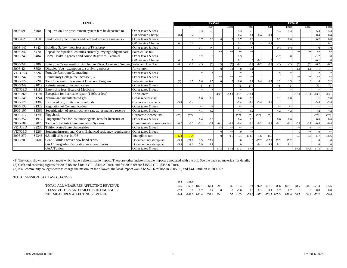| <b>FINAL</b>  |                  |                                                                                 |                            |            | <b>FY05-06</b> |        |        |         |         |         |                  |         | <b>FY06-07</b> |        |        |         |         |         |          |  |
|---------------|------------------|---------------------------------------------------------------------------------|----------------------------|------------|----------------|--------|--------|---------|---------|---------|------------------|---------|----------------|--------|--------|---------|---------|---------|----------|--|
|               |                  |                                                                                 |                            |            | GR             |        | Trust  |         | Local   |         | Total            |         | GR             |        | Trust  |         | Local   |         | Total    |  |
| 2005-59       | S400             | Requires on-line procurement system fees be deposited to                        | Other taxes & fees         |            |                | 5.3    | 5.3    |         |         | 5.3     | 5.3              |         |                | 5.4    | 5.4    |         |         | 5.4     | 5.4      |  |
|               |                  |                                                                                 | <b>GR</b> Service Charge   | $\Omega$   | 0.4            |        |        |         |         | 0.4     | $\Omega$ .       |         | 0.4            |        |        |         |         | 0.4     | 0.4      |  |
| 2005-62       | S410             | Health care practitioners and certified nursing assistants -                    | Other taxes & fees         |            |                | 1.7    | 0.8    |         |         | 1.7     | 0.8              |         |                | 0.2    | 0.8    |         |         | 0.2     | 0.8      |  |
|               |                  |                                                                                 | <b>GR</b> Service Charge   | 0.1        | 0.1            |        |        |         |         | 0.1     | $\overline{0}$ . |         | 0.1            |        |        |         |         |         | 0.1      |  |
| 2005-147      | S442             | Building Safety - new fees and a TF approp                                      | Other taxes & fees         |            |                | 0.1    | $(*)$  |         |         | 0.1     | $(*)$            |         |                | $(*)$  | $(*)$  |         |         | $(*)$   | $(*)$    |  |
| 2005-242      | S <sub>470</sub> | Repeal the repealer - counties currently levying/indigent care                  | Sales & use tax            |            |                |        |        | $**$    | $**$    | **      |                  |         |                |        |        | $**$    | **      | **      | $**$     |  |
| 2005-243      | S484             | Home Health Agencies and Nurse Registries--Biennial                             | Other taxes & fees         |            |                | 1.2    |        |         |         | 1.3     |                  |         |                | $-1.2$ |        |         |         | $-1.2$  | $\Omega$ |  |
|               |                  |                                                                                 | <b>GR</b> Service Charge   | 0.1        |                |        |        |         |         | 0.1     |                  | $-0.1$  |                |        |        |         |         | $-0.1$  |          |  |
| 2005-244      | S486             | Enterprise Zones--authorizing Indian River, Lakeland, Sumter, Sales and Use Tax |                            | $-0$ .     | $-0.2$         | (*     | $(*)$  | $(*)$   | $(*)$   | $-0.1$  | $-0.2$           | $-0.2$  | $-0.2$         | $(*)$  |        |         | $(*)$   | $-0.2$  | $-0.2$   |  |
| 2005-42       | S550             | Disabled Vets-exemption to surviving spouses                                    | Ad valorem                 |            |                |        |        |         | $-1.1$  |         | $-1.1$           |         |                |        |        | $-1.1$  | $-1.1$  | $-1.1$  | $-1.1$   |  |
| <b>VETOED</b> | S626             | <b>Portable Restroom Contracting</b>                                            | Other taxes & fees         |            |                |        |        |         |         |         |                  |         |                |        |        |         |         |         |          |  |
| 2005-247      | S670             | Community College fee increase (3)                                              | Other taxes & fees         |            |                |        |        | $**$    | $**$    | $**$    |                  |         |                |        |        | $**$    | **      | $**$    | $**$     |  |
| 2005-172      | S720             | <b>Tax Collection Enforcement Diversion Program</b>                             | Sales & use tax            | $(*)$      | 0.7            | 0.6    | 1.5    |         |         | 0.6     | 2.2              | 0.4     | 0.7            | 1.2    | 1.5    |         |         | 1.6     | 2.2      |  |
| 2005-249      | S1012            | Reinstatement of voided license                                                 | Other taxes & fees         |            |                |        | $(*)$  |         |         | $(*)$   | $(*)$            |         |                | $(*)$  |        |         |         | $(*)$   | $(*)$    |  |
| <b>VETOED</b> | S1180            | Externship fees, Board of Medicine                                              | Other taxes & fees         |            |                |        |        |         |         |         |                  |         |                |        |        |         |         |         |          |  |
| 2005-268      | S1194            | Exception for hurricane repair (110% or less)                                   | Ad valorem                 |            |                |        |        | $-13.1$ | $-13.1$ | $-13.1$ | $-13.1$          |         |                |        |        | $-13.1$ | $-13.1$ | $-13.1$ | $-13.1$  |  |
| 2005-148      | S1244            | Natural and manufactured gas                                                    | Gross receipts tax         |            |                | 0.6    | 2.9    |         |         | 0.6     | 2.9              |         |                | 1.1    | 2.8    |         |         | 1.1     | 2.8      |  |
| 2005-178      | S1300            | Estimated tax; limitation on refunds                                            | Corporate income tax       | $-3.4$     | $-3.4$         |        |        |         |         | $-3.4$  | $-3.4$           | $-3.4$  | $-3.4$         |        |        |         |         | $-3.4$  | $-3.4$   |  |
| 2005-132      | S1322            | Regulation of Communication                                                     | Other taxes & fees         |            |                | $**$   | $**$   |         |         | $**$    | يل مل            |         |                | $**$   | $**$   |         |         | $**$    | $**$     |  |
| 2005-107      |                  | S1366 Securitization of storm-recovery rate adjustments / reserve               | Other taxes & fees         |            |                | $-4.1$ | 4.2    |         |         | $-4.1$  | 4.2              |         |                | $-4.2$ | 4.2    |         |         | $-4.2$  | 4.2      |  |
| 2005-112      |                  | S1798 Piggyback                                                                 | Corporate income tax       | $(**)$     | $(**)$         |        |        |         |         | $(**)$  | $(**)$           | $(**`$  | $(**)$         |        |        |         |         | $(**)$  | $(**)$   |  |
| 2005-257      | S1912            | Fingerprint fees for insurance agents, fees for licensure of                    | Other taxes & fees         |            |                | 0.4    | 0.6    |         |         | 0.4     | 0.6              |         |                | 0.6    | 0.6    |         |         | 0.6     | 0.6      |  |
| 2005-187      | S2070            | <b>Tax on Substitute Communication Systems</b>                                  | Communication services tax | $-0.2$     | $-0.2$         | $-0.1$ | $-0.1$ | $-0.1$  | $-0.1$  | $-0.4$  | $-0.$            | $-0.2$  | $-0.2$         | $-0.1$ | $-0.1$ | $-0.1$  | $-0.1$  | $-0.4$  | $-0.4$   |  |
| <b>VETOED</b> | S2236            | <b>Tuition Rates/State Universities</b>                                         | Other taxes & fees         |            |                |        |        | $**$    | $**$    | $**$    |                  |         |                |        |        | $**$    | $**$    | $**$    | $**$     |  |
| <b>VETOED</b> | S2264            | Students/Instructional Costs, Enhanced residency requirement                    | Other taxes & fees         |            |                |        |        |         | $**$    |         |                  |         |                |        |        |         | **      |         | $**$     |  |
| 2005-270      | S2348            | $0.5$ mill effective $1/1/06$                                                   | Intangibles tax            | $-12\cdot$ | $-154$         |        |        |         | $-0.6$  | $-124$  | $-154.6$         | $-156$  | $-156$         |        |        | $-0.6$  | $-0.6$  | $-157$  | $-156.6$ |  |
| 2005-70       | S2600            | GAA/Florida Forever new bond series                                             | Documentary stamp tax      | $-3.5$     | $-27.2$        | 3.5    | 27.2   |         |         |         |                  | $-27.2$ | $-27.2$        | 27.2   | 27.2   |         |         |         | $\Omega$ |  |
|               |                  | GAA/Everglades Restoration new bond series                                      | Documentary stamp tax      | $-5.9$     | $-9.1$         | 5.9    | 9.1    |         |         |         |                  | $-9.$   | $-9.1$         | 9.1    | 9.1    |         |         |         |          |  |
|               |                  | GAA/Tuition                                                                     | Other taxes & fees         |            |                |        |        | 57.3    | 57.3    | 57.3    | 57.3             |         |                |        |        | 57.3    | 57.3    | 57.3    | 57.3     |  |

(1) The totals shown are for changes which have a determinable impact. There are other indeterminable impacts associated with the bill. See the back up materials for details. (2) Cash and recurring figures for 2007-08 are \$404.2 GR, -\$404.2 Trust, and for 2008-09 are \$455.0 GR, -\$455.0 Trust.

(3) If all community colleges were to charge the maximum fee allowed, the local impact would be \$22.6 million in 2005-06, and \$44.0 million in 2006-07.

### TOTAL SESSION TAX LAW CHANGES

|                                       | $-184$ | $-181.6$ |  |                                                                                          |  |  |  |  |  |
|---------------------------------------|--------|----------|--|------------------------------------------------------------------------------------------|--|--|--|--|--|
| TOTAL ALL MEASURES AFFECTING REVENUE  |        |          |  | -946 -969.1 812.1 860.1 29.1 35 -104 -74 -972 -971.6 866 871.1 34.7 34.9 -71.4 -65.6     |  |  |  |  |  |
| LESS: VETOES AND FAILED CONTINGENCIES | $-23$  |          |  | $0.1$ $0.7$ $0.7$ $0$ $0$ $-1.6$ $0.8$ $0.1$ $0.1$ $0.7$ $0.7$ $0$ $0.8$ $0.8$           |  |  |  |  |  |
| NET MEASURES AFFECTING REVENUE        |        |          |  | -944 -969.2 811.4 859.4 29.1 35 -103 -74.8 -972 -971.7 865.3 870.4 34.7 34.9 -72.2 -66.4 |  |  |  |  |  |